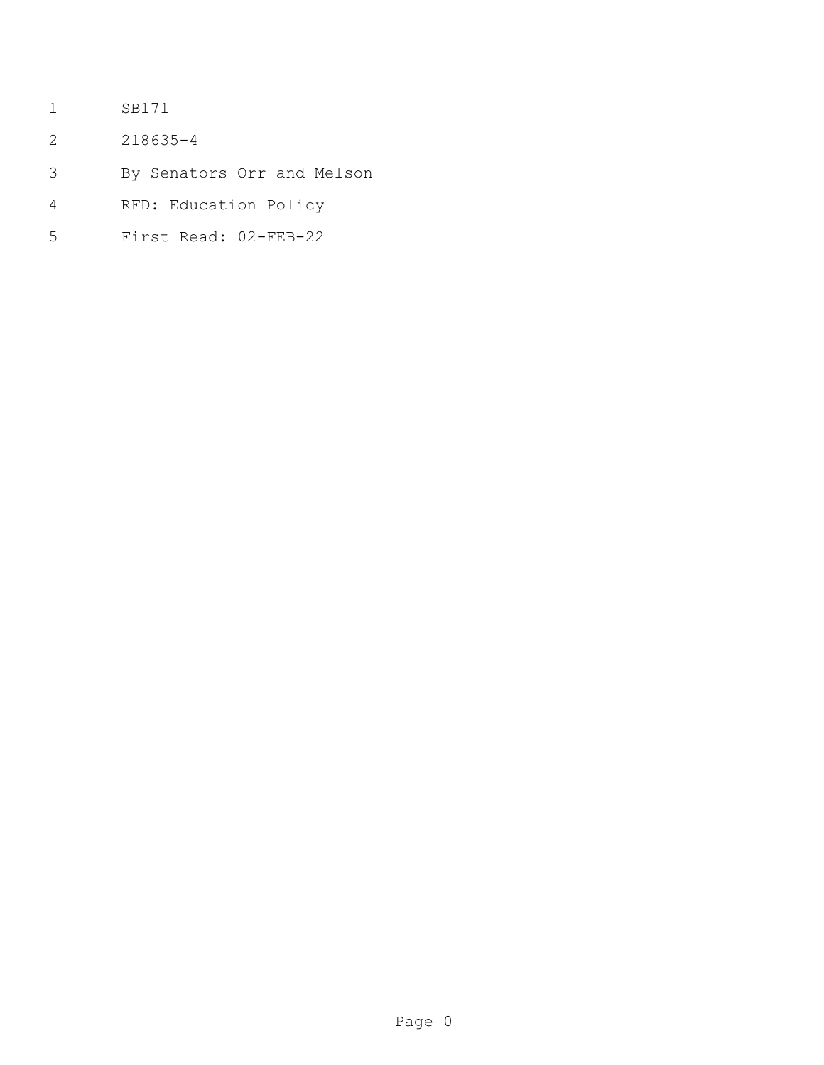- SB171
- 218635-4
- By Senators Orr and Melson
- RFD: Education Policy
- First Read: 02-FEB-22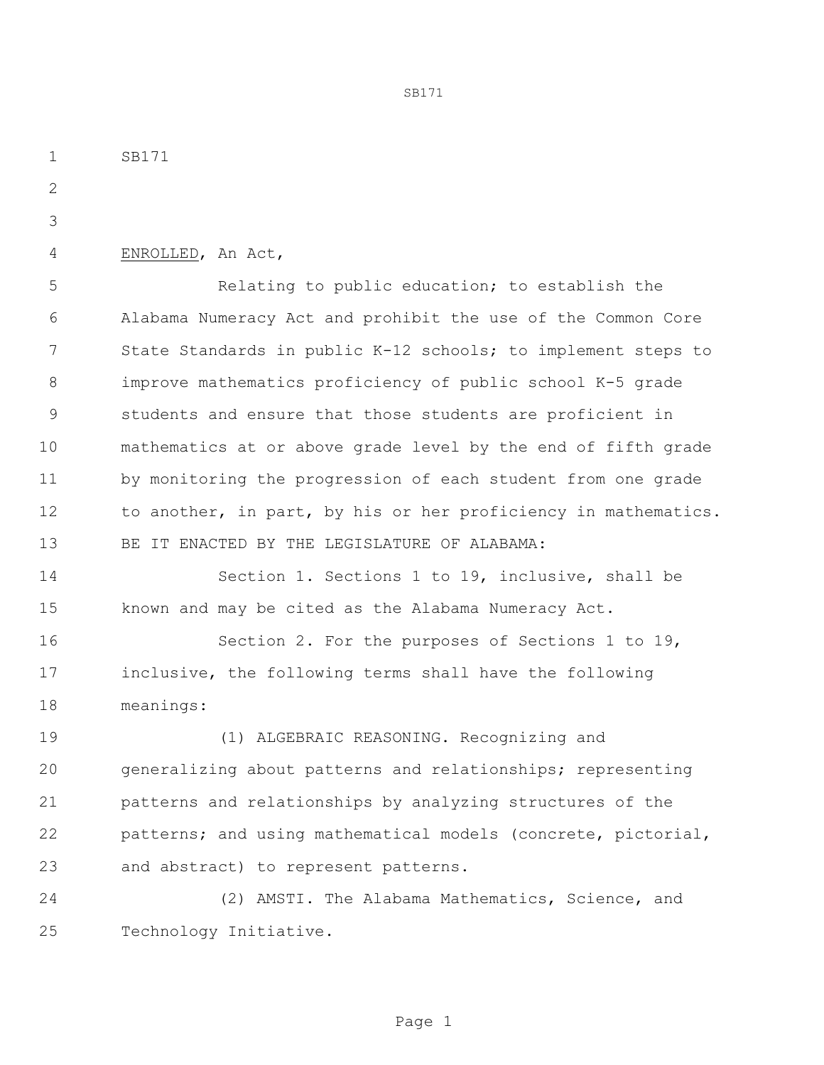SB171 ENROLLED, An Act, Relating to public education; to establish the Alabama Numeracy Act and prohibit the use of the Common Core State Standards in public K-12 schools; to implement steps to improve mathematics proficiency of public school K-5 grade students and ensure that those students are proficient in mathematics at or above grade level by the end of fifth grade by monitoring the progression of each student from one grade to another, in part, by his or her proficiency in mathematics. BE IT ENACTED BY THE LEGISLATURE OF ALABAMA: Section 1. Sections 1 to 19, inclusive, shall be known and may be cited as the Alabama Numeracy Act. Section 2. For the purposes of Sections 1 to 19, inclusive, the following terms shall have the following meanings: (1) ALGEBRAIC REASONING. Recognizing and generalizing about patterns and relationships; representing patterns and relationships by analyzing structures of the patterns; and using mathematical models (concrete, pictorial, and abstract) to represent patterns.

SB171

 (2) AMSTI. The Alabama Mathematics, Science, and Technology Initiative.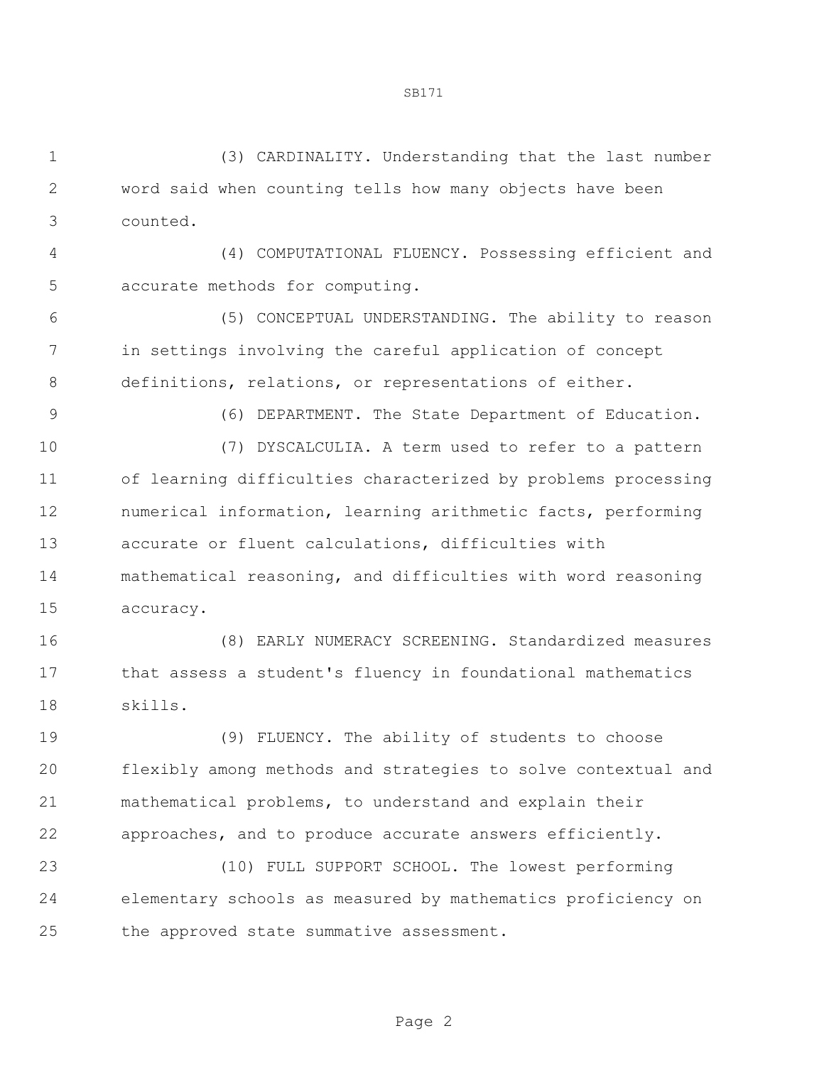(3) CARDINALITY. Understanding that the last number word said when counting tells how many objects have been counted.

 (4) COMPUTATIONAL FLUENCY. Possessing efficient and accurate methods for computing.

 (5) CONCEPTUAL UNDERSTANDING. The ability to reason in settings involving the careful application of concept 8 definitions, relations, or representations of either.

(6) DEPARTMENT. The State Department of Education.

 (7) DYSCALCULIA. A term used to refer to a pattern of learning difficulties characterized by problems processing numerical information, learning arithmetic facts, performing accurate or fluent calculations, difficulties with mathematical reasoning, and difficulties with word reasoning accuracy.

 (8) EARLY NUMERACY SCREENING. Standardized measures that assess a student's fluency in foundational mathematics skills.

 (9) FLUENCY. The ability of students to choose flexibly among methods and strategies to solve contextual and mathematical problems, to understand and explain their approaches, and to produce accurate answers efficiently.

 (10) FULL SUPPORT SCHOOL. The lowest performing elementary schools as measured by mathematics proficiency on the approved state summative assessment.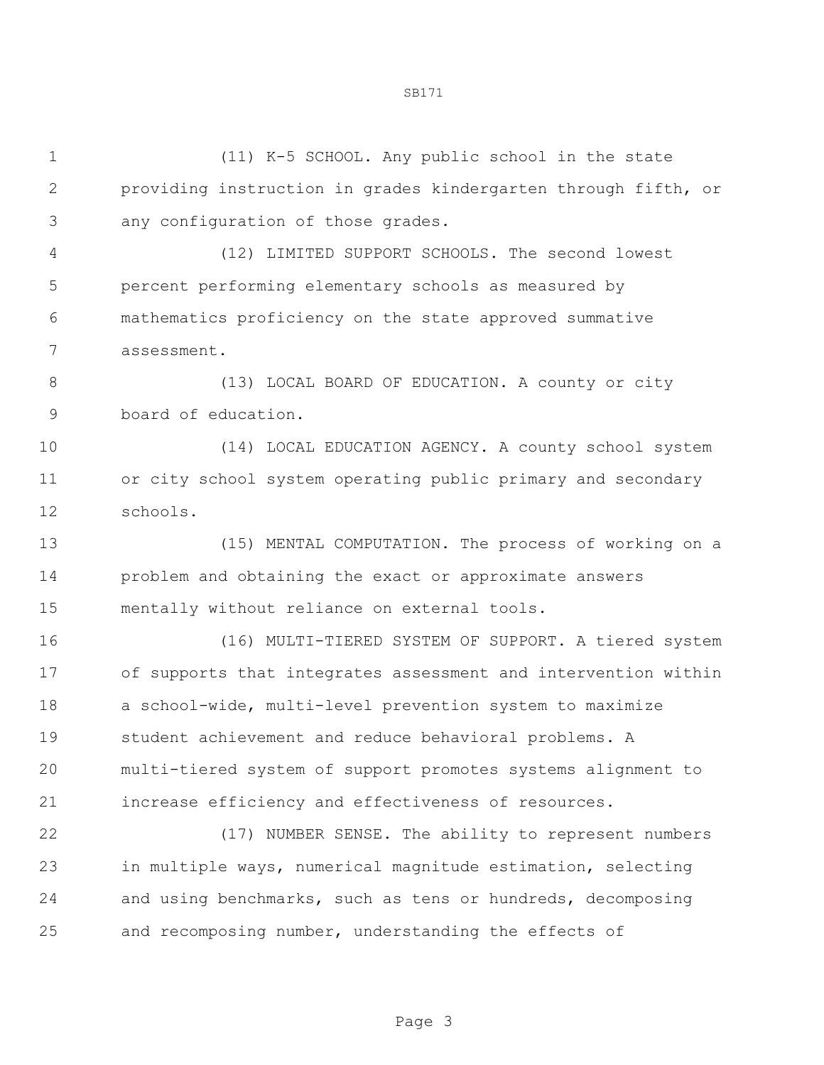| $\mathbf 1$ | (11) K-5 SCHOOL. Any public school in the state                |
|-------------|----------------------------------------------------------------|
| $\sqrt{2}$  | providing instruction in grades kindergarten through fifth, or |
| 3           | any configuration of those grades.                             |
| 4           | (12) LIMITED SUPPORT SCHOOLS. The second lowest                |
| 5           | percent performing elementary schools as measured by           |
| 6           | mathematics proficiency on the state approved summative        |
| 7           | assessment.                                                    |
| 8           | (13) LOCAL BOARD OF EDUCATION. A county or city                |
| $\mathsf 9$ | board of education.                                            |
| 10          | (14) LOCAL EDUCATION AGENCY. A county school system            |
| 11          | or city school system operating public primary and secondary   |
| 12          | schools.                                                       |
| 13          | (15) MENTAL COMPUTATION. The process of working on a           |
| 14          | problem and obtaining the exact or approximate answers         |
| 15          | mentally without reliance on external tools.                   |
| 16          | (16) MULTI-TIERED SYSTEM OF SUPPORT. A tiered system           |
| 17          | of supports that integrates assessment and intervention within |
| 18          | a school-wide, multi-level prevention system to maximize       |
| 19          | student achievement and reduce behavioral problems. A          |
| 20          | multi-tiered system of support promotes systems alignment to   |
| 21          | increase efficiency and effectiveness of resources.            |
| 22          | (17) NUMBER SENSE. The ability to represent numbers            |
| 23          | in multiple ways, numerical magnitude estimation, selecting    |
| 24          | and using benchmarks, such as tens or hundreds, decomposing    |
| 25          | and recomposing number, understanding the effects of           |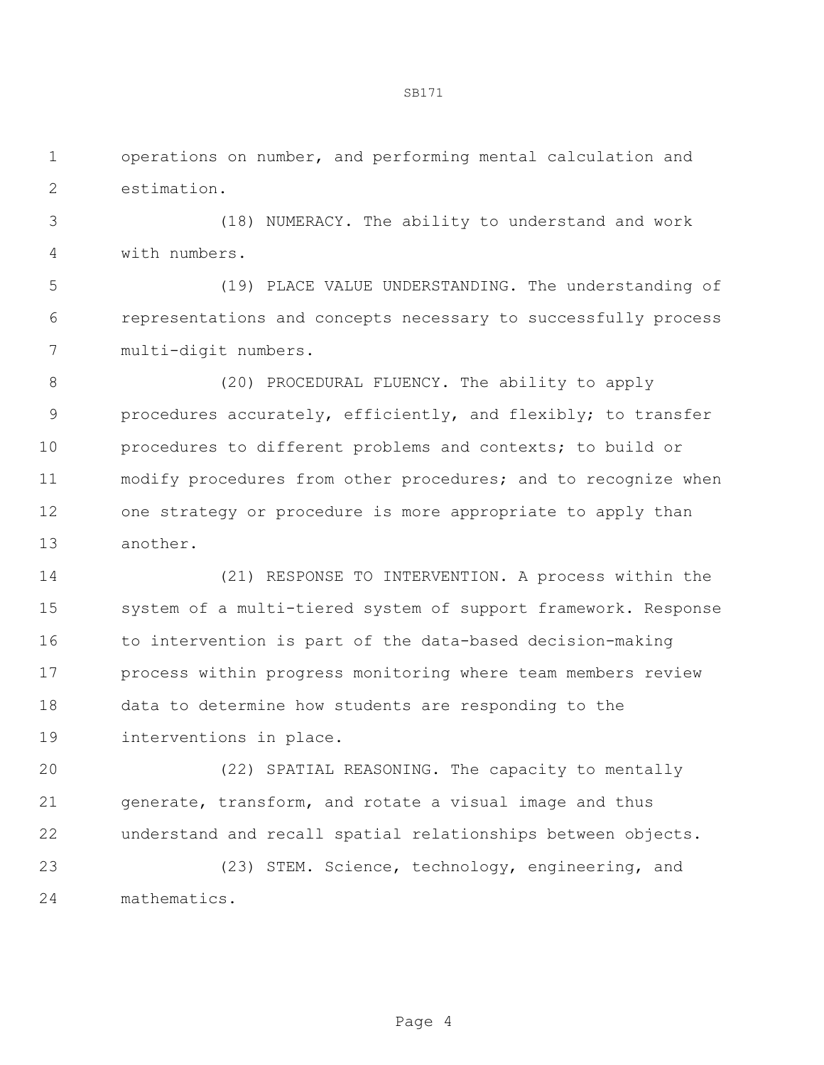operations on number, and performing mental calculation and estimation.

 (18) NUMERACY. The ability to understand and work with numbers.

 (19) PLACE VALUE UNDERSTANDING. The understanding of representations and concepts necessary to successfully process multi-digit numbers.

 (20) PROCEDURAL FLUENCY. The ability to apply procedures accurately, efficiently, and flexibly; to transfer procedures to different problems and contexts; to build or modify procedures from other procedures; and to recognize when one strategy or procedure is more appropriate to apply than another.

 (21) RESPONSE TO INTERVENTION. A process within the system of a multi-tiered system of support framework. Response to intervention is part of the data-based decision-making process within progress monitoring where team members review data to determine how students are responding to the interventions in place.

 (22) SPATIAL REASONING. The capacity to mentally generate, transform, and rotate a visual image and thus understand and recall spatial relationships between objects.

 (23) STEM. Science, technology, engineering, and mathematics.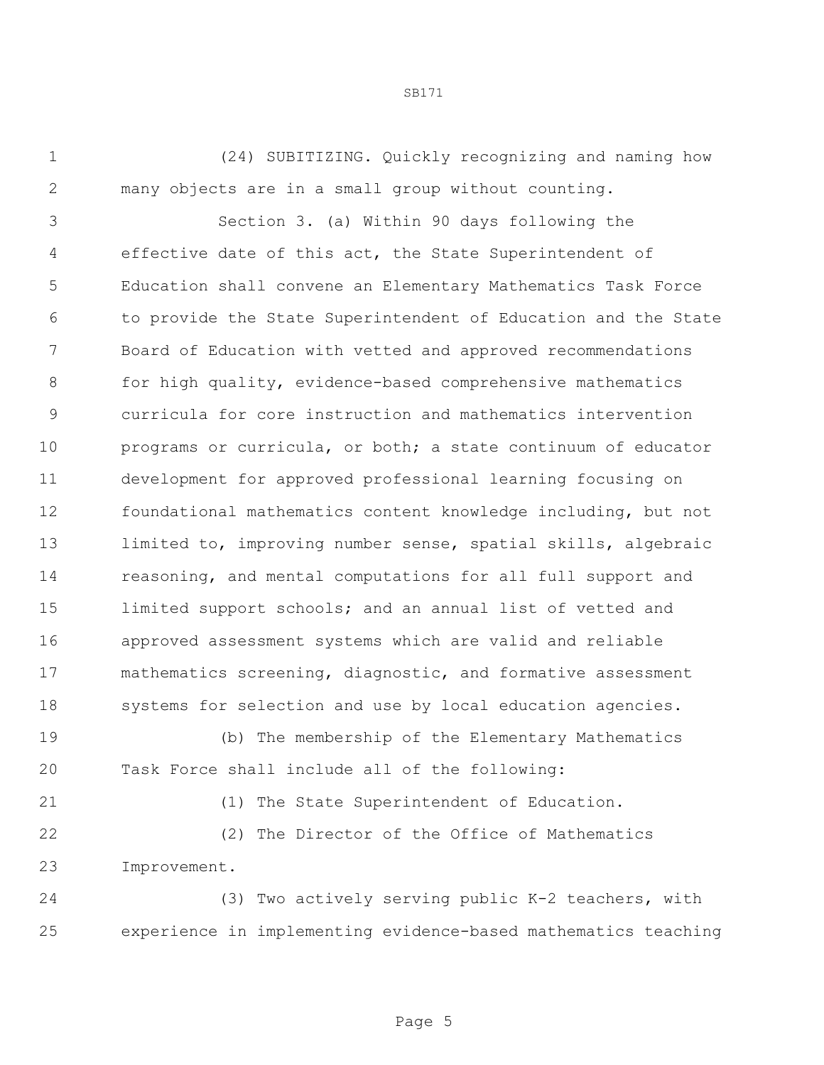(24) SUBITIZING. Quickly recognizing and naming how many objects are in a small group without counting.

 Section 3. (a) Within 90 days following the effective date of this act, the State Superintendent of Education shall convene an Elementary Mathematics Task Force to provide the State Superintendent of Education and the State Board of Education with vetted and approved recommendations for high quality, evidence-based comprehensive mathematics curricula for core instruction and mathematics intervention programs or curricula, or both; a state continuum of educator development for approved professional learning focusing on foundational mathematics content knowledge including, but not 13 limited to, improving number sense, spatial skills, algebraic reasoning, and mental computations for all full support and limited support schools; and an annual list of vetted and approved assessment systems which are valid and reliable mathematics screening, diagnostic, and formative assessment systems for selection and use by local education agencies.

 (b) The membership of the Elementary Mathematics Task Force shall include all of the following:

(1) The State Superintendent of Education.

 (2) The Director of the Office of Mathematics Improvement.

 (3) Two actively serving public K-2 teachers, with experience in implementing evidence-based mathematics teaching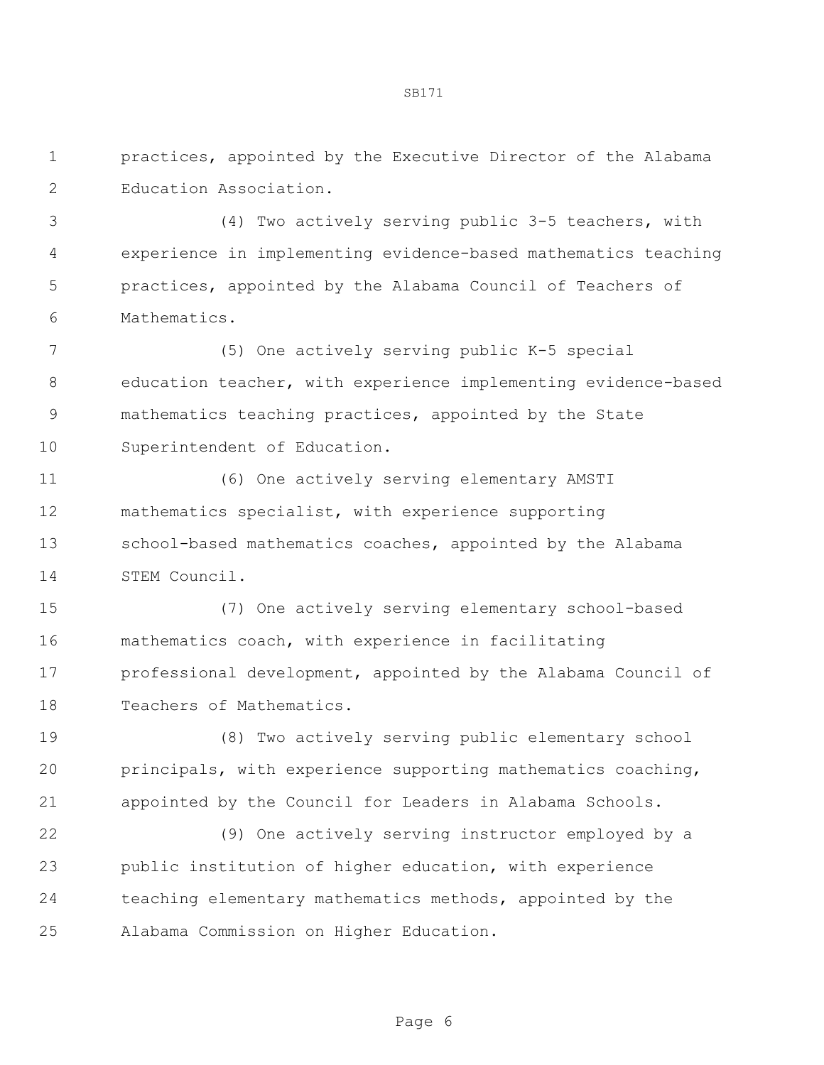practices, appointed by the Executive Director of the Alabama Education Association.

 (4) Two actively serving public 3-5 teachers, with experience in implementing evidence-based mathematics teaching practices, appointed by the Alabama Council of Teachers of Mathematics.

 (5) One actively serving public K-5 special education teacher, with experience implementing evidence-based mathematics teaching practices, appointed by the State Superintendent of Education.

 (6) One actively serving elementary AMSTI mathematics specialist, with experience supporting 13 school-based mathematics coaches, appointed by the Alabama STEM Council.

 (7) One actively serving elementary school-based mathematics coach, with experience in facilitating professional development, appointed by the Alabama Council of Teachers of Mathematics.

 (8) Two actively serving public elementary school principals, with experience supporting mathematics coaching, appointed by the Council for Leaders in Alabama Schools.

 (9) One actively serving instructor employed by a public institution of higher education, with experience teaching elementary mathematics methods, appointed by the Alabama Commission on Higher Education.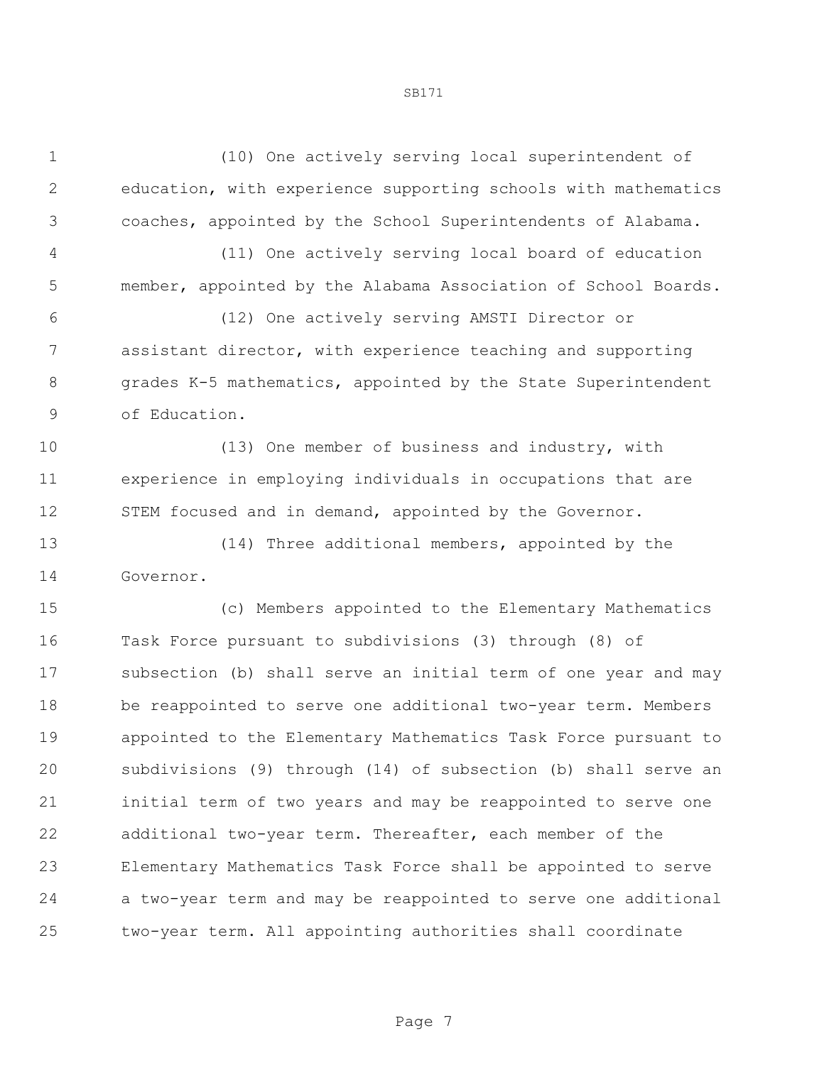(10) One actively serving local superintendent of education, with experience supporting schools with mathematics coaches, appointed by the School Superintendents of Alabama.

 (11) One actively serving local board of education member, appointed by the Alabama Association of School Boards.

 (12) One actively serving AMSTI Director or assistant director, with experience teaching and supporting 8 grades K-5 mathematics, appointed by the State Superintendent of Education.

 (13) One member of business and industry, with experience in employing individuals in occupations that are STEM focused and in demand, appointed by the Governor.

 (14) Three additional members, appointed by the Governor.

 (c) Members appointed to the Elementary Mathematics Task Force pursuant to subdivisions (3) through (8) of subsection (b) shall serve an initial term of one year and may be reappointed to serve one additional two-year term. Members appointed to the Elementary Mathematics Task Force pursuant to subdivisions (9) through (14) of subsection (b) shall serve an initial term of two years and may be reappointed to serve one additional two-year term. Thereafter, each member of the Elementary Mathematics Task Force shall be appointed to serve a two-year term and may be reappointed to serve one additional two-year term. All appointing authorities shall coordinate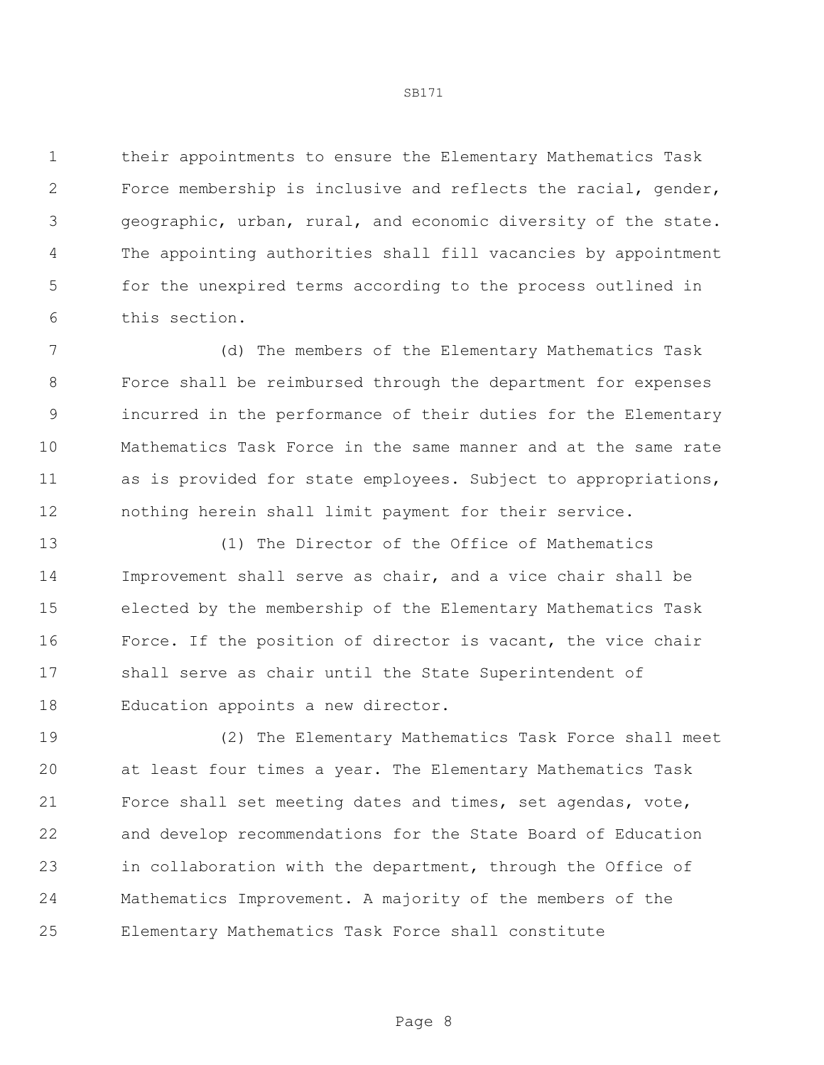their appointments to ensure the Elementary Mathematics Task Force membership is inclusive and reflects the racial, gender, geographic, urban, rural, and economic diversity of the state. The appointing authorities shall fill vacancies by appointment for the unexpired terms according to the process outlined in this section.

 (d) The members of the Elementary Mathematics Task Force shall be reimbursed through the department for expenses incurred in the performance of their duties for the Elementary Mathematics Task Force in the same manner and at the same rate as is provided for state employees. Subject to appropriations, nothing herein shall limit payment for their service.

 (1) The Director of the Office of Mathematics Improvement shall serve as chair, and a vice chair shall be elected by the membership of the Elementary Mathematics Task Force. If the position of director is vacant, the vice chair shall serve as chair until the State Superintendent of Education appoints a new director.

 (2) The Elementary Mathematics Task Force shall meet at least four times a year. The Elementary Mathematics Task Force shall set meeting dates and times, set agendas, vote, and develop recommendations for the State Board of Education in collaboration with the department, through the Office of Mathematics Improvement. A majority of the members of the Elementary Mathematics Task Force shall constitute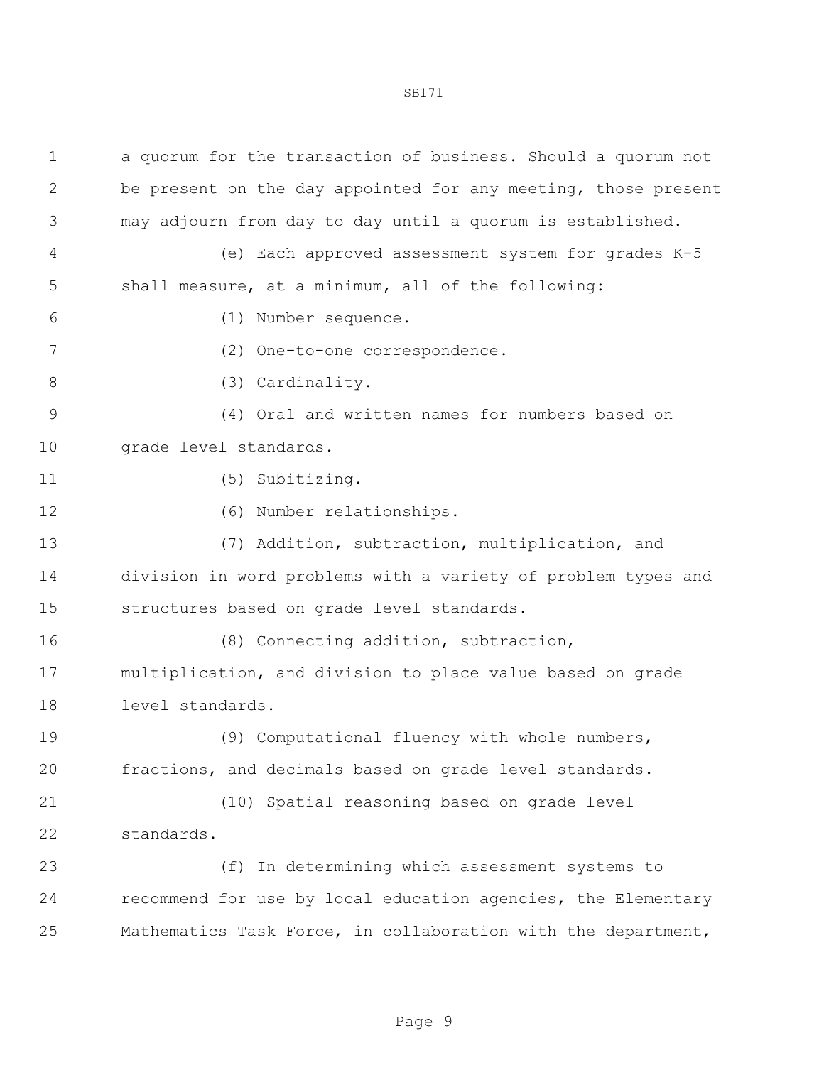| $\mathbf 1$ | a quorum for the transaction of business. Should a quorum not  |
|-------------|----------------------------------------------------------------|
| 2           | be present on the day appointed for any meeting, those present |
| 3           | may adjourn from day to day until a quorum is established.     |
| 4           | (e) Each approved assessment system for grades K-5             |
| 5           | shall measure, at a minimum, all of the following:             |
| 6           | (1) Number sequence.                                           |
| 7           | (2) One-to-one correspondence.                                 |
| 8           | (3) Cardinality.                                               |
| 9           | (4) Oral and written names for numbers based on                |
| 10          | grade level standards.                                         |
| 11          | (5) Subitizing.                                                |
| 12          | (6) Number relationships.                                      |
| 13          | (7) Addition, subtraction, multiplication, and                 |
| 14          | division in word problems with a variety of problem types and  |
| 15          | structures based on grade level standards.                     |
| 16          | (8) Connecting addition, subtraction,                          |
| 17          | multiplication, and division to place value based on grade     |
| 18          | level standards.                                               |
| 19          | (9) Computational fluency with whole numbers,                  |
| 20          | fractions, and decimals based on grade level standards.        |
| 21          | (10) Spatial reasoning based on grade level                    |
| 22          | standards.                                                     |
| 23          | In determining which assessment systems to<br>(f)              |
| 24          | recommend for use by local education agencies, the Elementary  |
| 25          | Mathematics Task Force, in collaboration with the department,  |
|             |                                                                |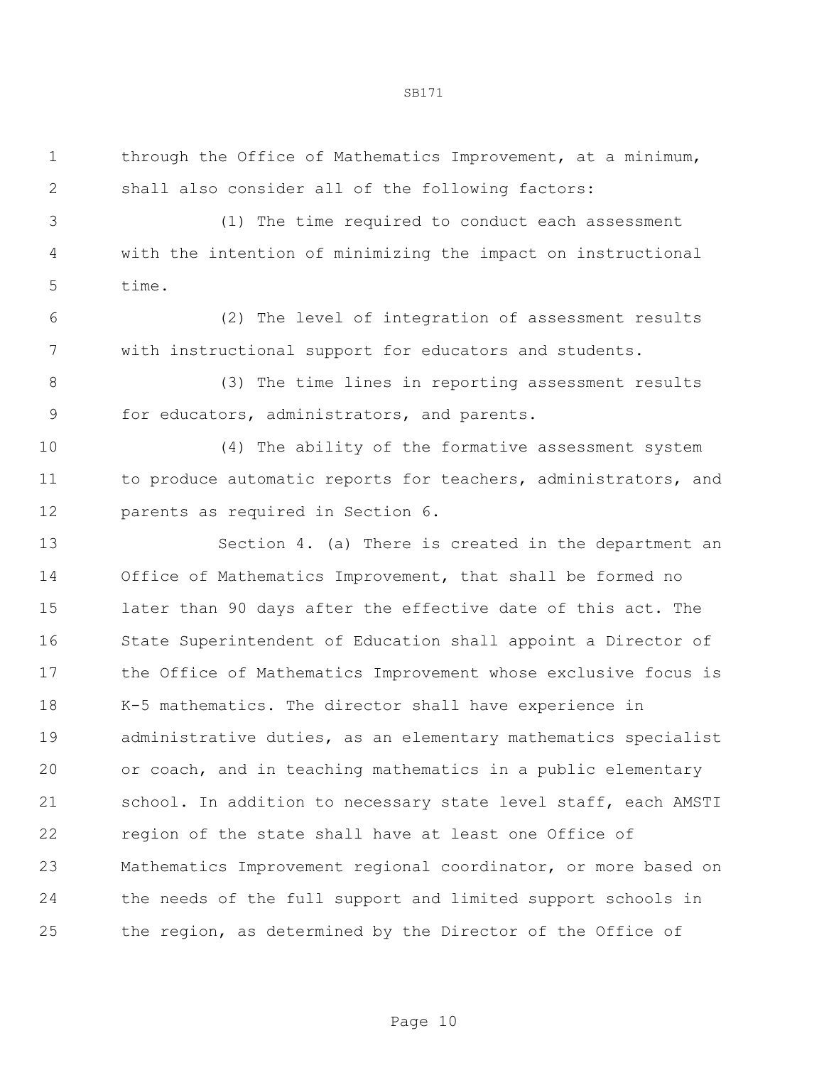through the Office of Mathematics Improvement, at a minimum, shall also consider all of the following factors:

 (1) The time required to conduct each assessment with the intention of minimizing the impact on instructional time.

 (2) The level of integration of assessment results with instructional support for educators and students.

 (3) The time lines in reporting assessment results for educators, administrators, and parents.

 (4) The ability of the formative assessment system 11 to produce automatic reports for teachers, administrators, and parents as required in Section 6.

 Section 4. (a) There is created in the department an Office of Mathematics Improvement, that shall be formed no later than 90 days after the effective date of this act. The State Superintendent of Education shall appoint a Director of the Office of Mathematics Improvement whose exclusive focus is K-5 mathematics. The director shall have experience in administrative duties, as an elementary mathematics specialist or coach, and in teaching mathematics in a public elementary school. In addition to necessary state level staff, each AMSTI region of the state shall have at least one Office of Mathematics Improvement regional coordinator, or more based on the needs of the full support and limited support schools in the region, as determined by the Director of the Office of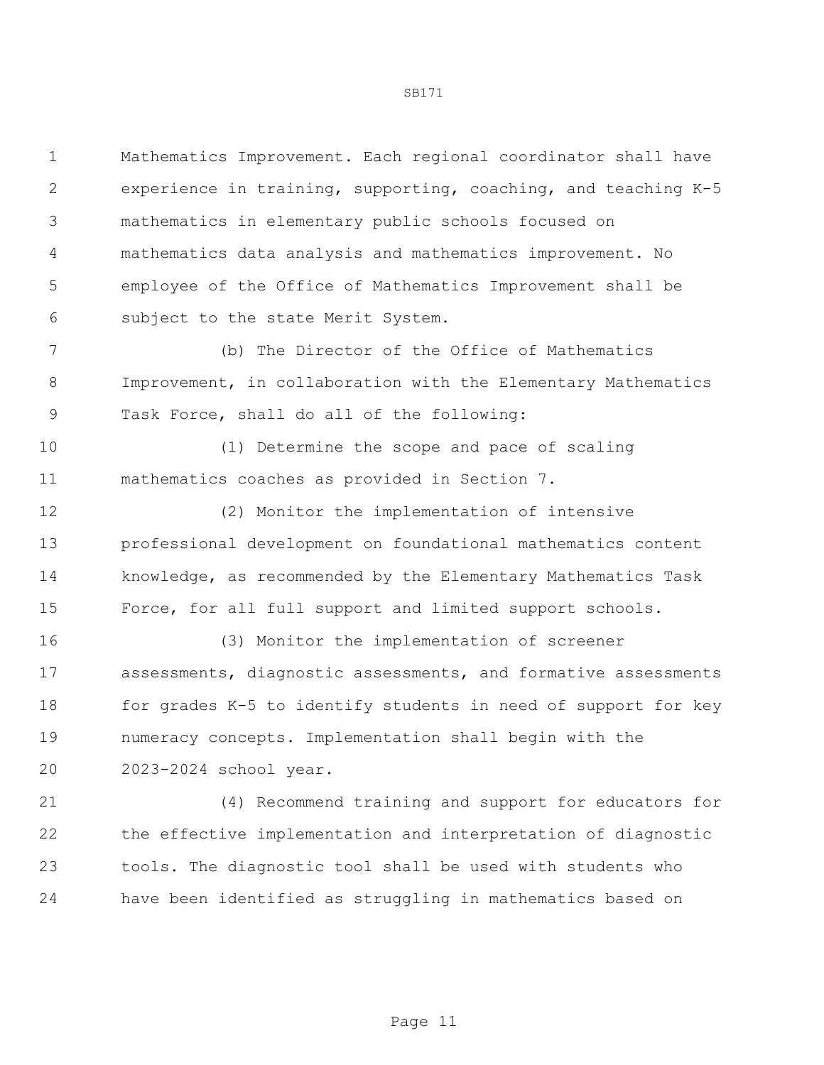Mathematics Improvement. Each regional coordinator shall have experience in training, supporting, coaching, and teaching K-5 mathematics in elementary public schools focused on mathematics data analysis and mathematics improvement. No employee of the Office of Mathematics Improvement shall be subject to the state Merit System.

 (b) The Director of the Office of Mathematics Improvement, in collaboration with the Elementary Mathematics Task Force, shall do all of the following:

 (1) Determine the scope and pace of scaling mathematics coaches as provided in Section 7.

 (2) Monitor the implementation of intensive professional development on foundational mathematics content knowledge, as recommended by the Elementary Mathematics Task Force, for all full support and limited support schools.

 (3) Monitor the implementation of screener assessments, diagnostic assessments, and formative assessments 18 for grades K-5 to identify students in need of support for key numeracy concepts. Implementation shall begin with the 2023-2024 school year.

 (4) Recommend training and support for educators for the effective implementation and interpretation of diagnostic tools. The diagnostic tool shall be used with students who have been identified as struggling in mathematics based on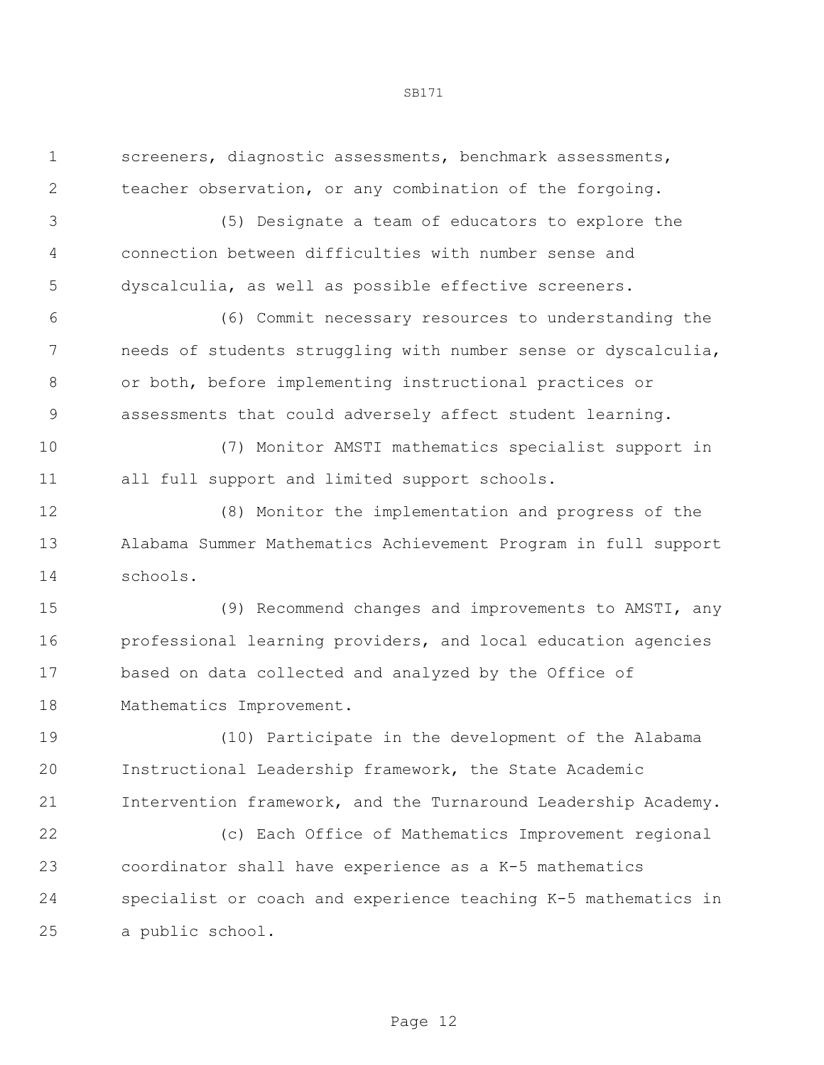screeners, diagnostic assessments, benchmark assessments, teacher observation, or any combination of the forgoing.

 (5) Designate a team of educators to explore the connection between difficulties with number sense and dyscalculia, as well as possible effective screeners.

 (6) Commit necessary resources to understanding the needs of students struggling with number sense or dyscalculia, or both, before implementing instructional practices or assessments that could adversely affect student learning.

 (7) Monitor AMSTI mathematics specialist support in all full support and limited support schools.

 (8) Monitor the implementation and progress of the Alabama Summer Mathematics Achievement Program in full support schools.

 (9) Recommend changes and improvements to AMSTI, any professional learning providers, and local education agencies based on data collected and analyzed by the Office of Mathematics Improvement.

 (10) Participate in the development of the Alabama Instructional Leadership framework, the State Academic Intervention framework, and the Turnaround Leadership Academy.

 (c) Each Office of Mathematics Improvement regional coordinator shall have experience as a K-5 mathematics specialist or coach and experience teaching K-5 mathematics in a public school.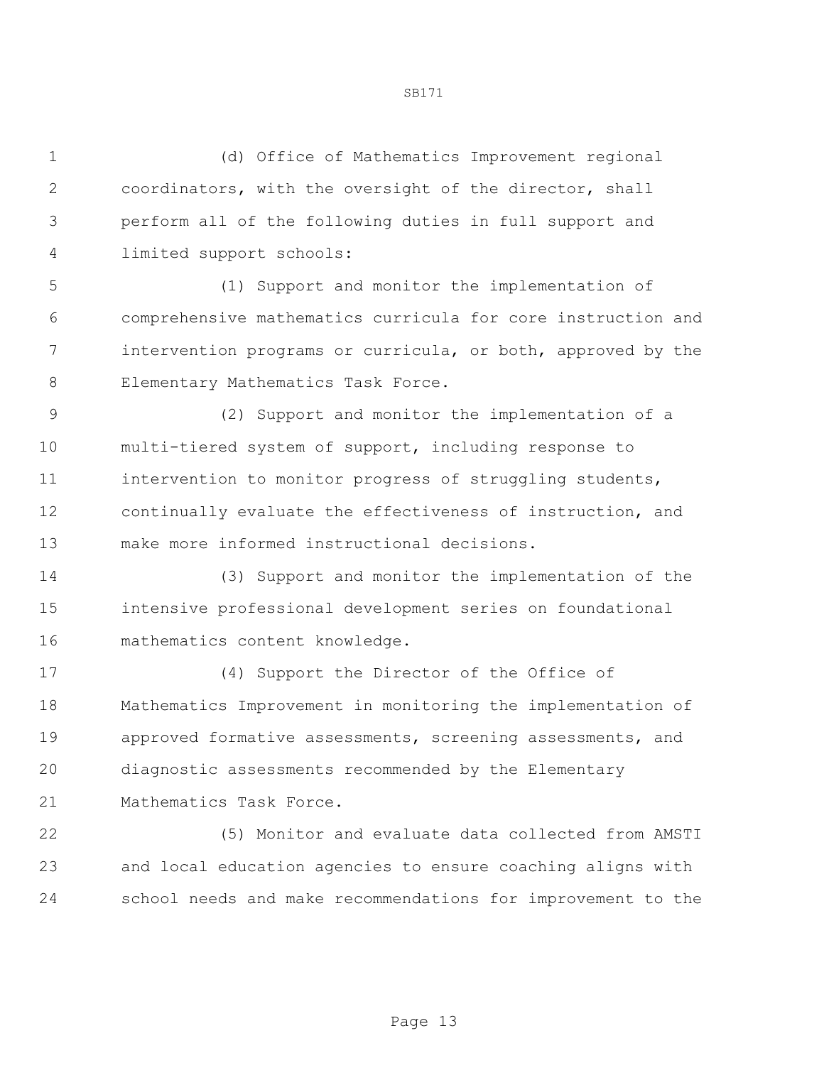(d) Office of Mathematics Improvement regional coordinators, with the oversight of the director, shall perform all of the following duties in full support and limited support schools: (1) Support and monitor the implementation of comprehensive mathematics curricula for core instruction and intervention programs or curricula, or both, approved by the Elementary Mathematics Task Force. (2) Support and monitor the implementation of a multi-tiered system of support, including response to intervention to monitor progress of struggling students, continually evaluate the effectiveness of instruction, and make more informed instructional decisions. (3) Support and monitor the implementation of the intensive professional development series on foundational mathematics content knowledge. (4) Support the Director of the Office of Mathematics Improvement in monitoring the implementation of approved formative assessments, screening assessments, and diagnostic assessments recommended by the Elementary Mathematics Task Force. (5) Monitor and evaluate data collected from AMSTI

 and local education agencies to ensure coaching aligns with school needs and make recommendations for improvement to the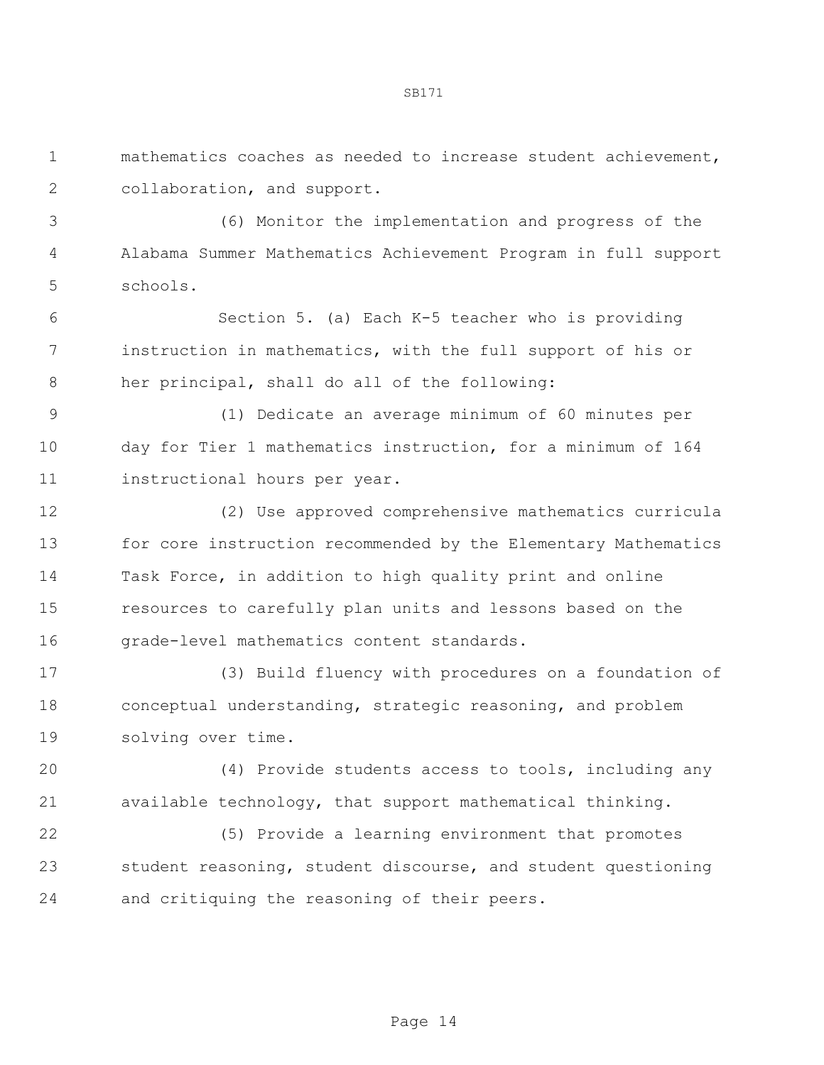mathematics coaches as needed to increase student achievement, collaboration, and support.

 (6) Monitor the implementation and progress of the Alabama Summer Mathematics Achievement Program in full support schools.

 Section 5. (a) Each K-5 teacher who is providing instruction in mathematics, with the full support of his or her principal, shall do all of the following:

 (1) Dedicate an average minimum of 60 minutes per day for Tier 1 mathematics instruction, for a minimum of 164 instructional hours per year.

 (2) Use approved comprehensive mathematics curricula for core instruction recommended by the Elementary Mathematics Task Force, in addition to high quality print and online resources to carefully plan units and lessons based on the grade-level mathematics content standards.

 (3) Build fluency with procedures on a foundation of conceptual understanding, strategic reasoning, and problem solving over time.

 (4) Provide students access to tools, including any available technology, that support mathematical thinking.

 (5) Provide a learning environment that promotes student reasoning, student discourse, and student questioning and critiquing the reasoning of their peers.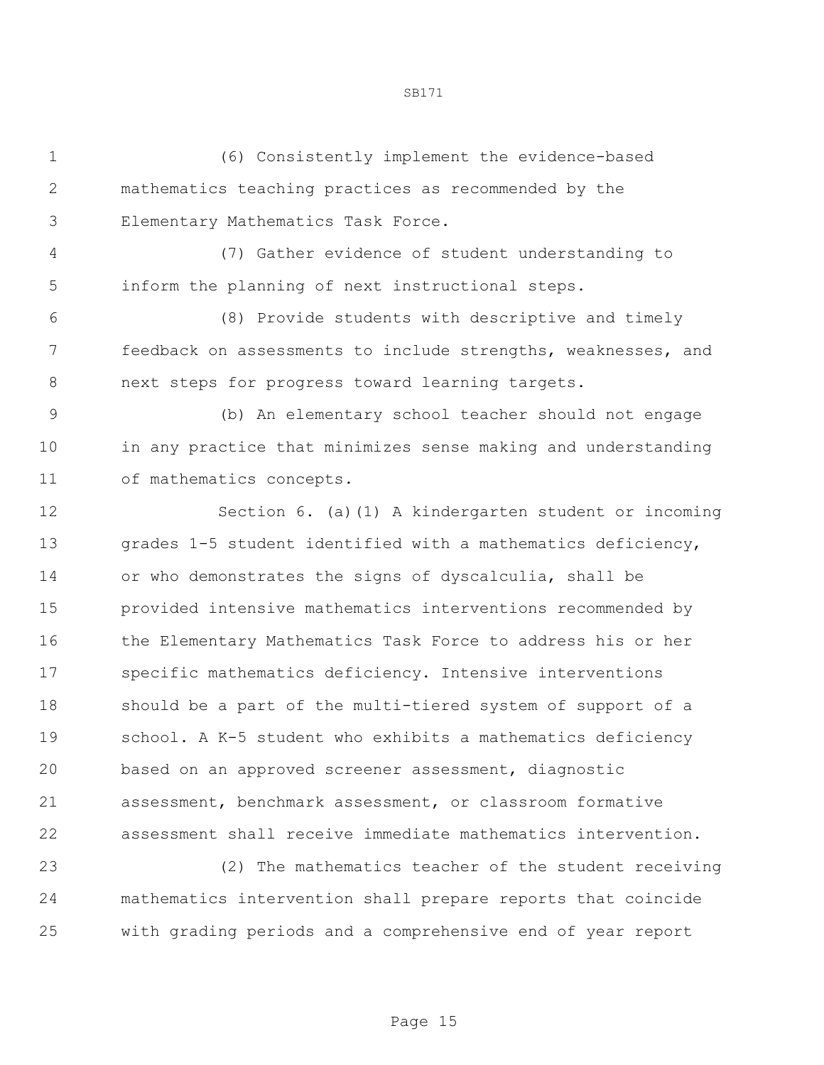(6) Consistently implement the evidence-based mathematics teaching practices as recommended by the Elementary Mathematics Task Force. (7) Gather evidence of student understanding to inform the planning of next instructional steps. (8) Provide students with descriptive and timely feedback on assessments to include strengths, weaknesses, and next steps for progress toward learning targets. (b) An elementary school teacher should not engage in any practice that minimizes sense making and understanding of mathematics concepts. Section 6. (a)(1) A kindergarten student or incoming grades 1-5 student identified with a mathematics deficiency, or who demonstrates the signs of dyscalculia, shall be provided intensive mathematics interventions recommended by the Elementary Mathematics Task Force to address his or her specific mathematics deficiency. Intensive interventions should be a part of the multi-tiered system of support of a school. A K-5 student who exhibits a mathematics deficiency based on an approved screener assessment, diagnostic assessment, benchmark assessment, or classroom formative assessment shall receive immediate mathematics intervention.

 (2) The mathematics teacher of the student receiving mathematics intervention shall prepare reports that coincide with grading periods and a comprehensive end of year report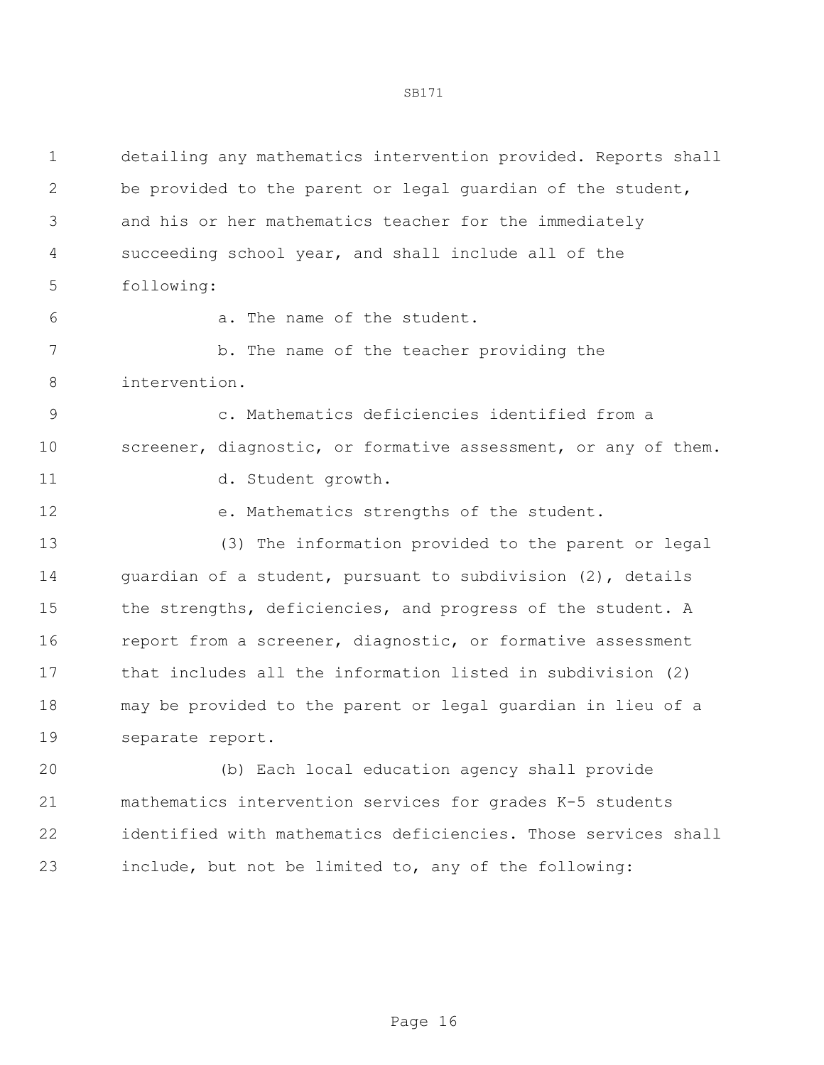| detailing any mathematics intervention provided. Reports shall |
|----------------------------------------------------------------|
| be provided to the parent or legal quardian of the student,    |
| and his or her mathematics teacher for the immediately         |
| succeeding school year, and shall include all of the           |
|                                                                |
|                                                                |
| b. The name of the teacher providing the                       |
|                                                                |
| c. Mathematics deficiencies identified from a                  |
| screener, diagnostic, or formative assessment, or any of them. |
|                                                                |
| e. Mathematics strengths of the student.                       |
| (3) The information provided to the parent or legal            |
| guardian of a student, pursuant to subdivision (2), details    |
| the strengths, deficiencies, and progress of the student. A    |
| report from a screener, diagnostic, or formative assessment    |
| that includes all the information listed in subdivision (2)    |
| may be provided to the parent or legal guardian in lieu of a   |
|                                                                |
| (b) Each local education agency shall provide                  |
| mathematics intervention services for grades K-5 students      |
| identified with mathematics deficiencies. Those services shall |
| include, but not be limited to, any of the following:          |
|                                                                |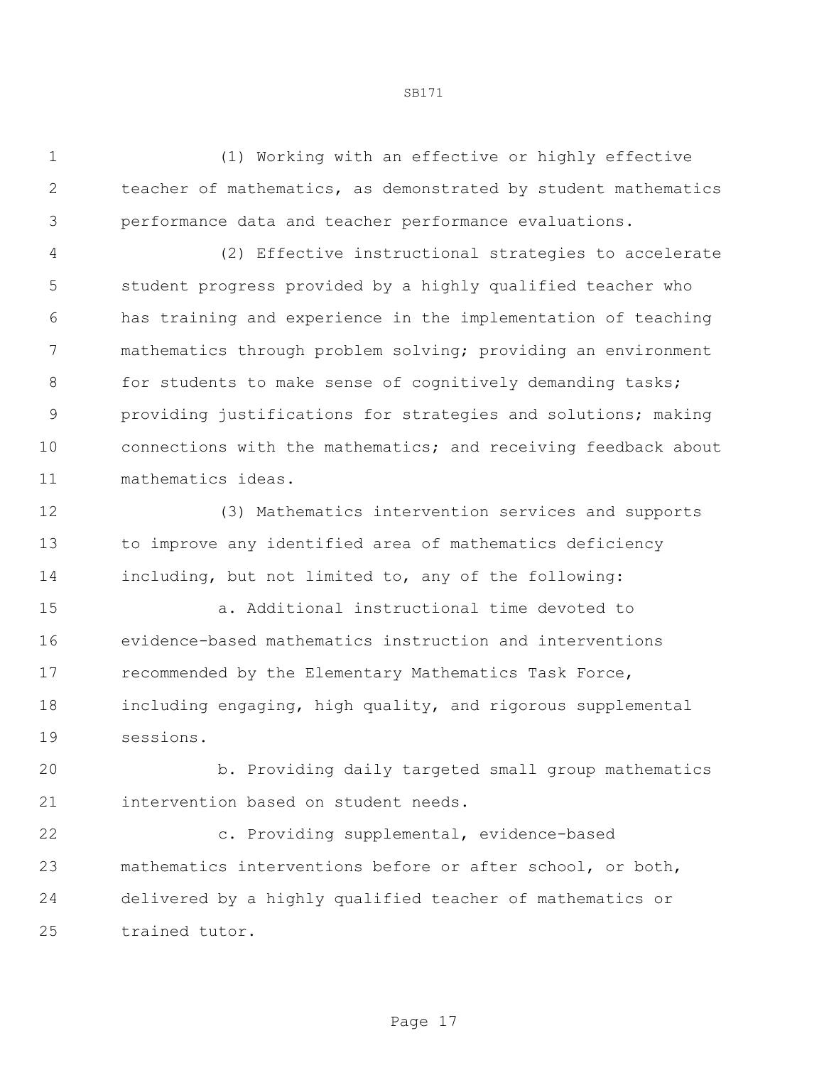(1) Working with an effective or highly effective teacher of mathematics, as demonstrated by student mathematics performance data and teacher performance evaluations.

 (2) Effective instructional strategies to accelerate student progress provided by a highly qualified teacher who has training and experience in the implementation of teaching mathematics through problem solving; providing an environment 8 for students to make sense of cognitively demanding tasks; providing justifications for strategies and solutions; making connections with the mathematics; and receiving feedback about mathematics ideas.

 (3) Mathematics intervention services and supports to improve any identified area of mathematics deficiency including, but not limited to, any of the following:

 a. Additional instructional time devoted to evidence-based mathematics instruction and interventions recommended by the Elementary Mathematics Task Force, including engaging, high quality, and rigorous supplemental sessions.

 b. Providing daily targeted small group mathematics intervention based on student needs.

 c. Providing supplemental, evidence-based mathematics interventions before or after school, or both, delivered by a highly qualified teacher of mathematics or trained tutor.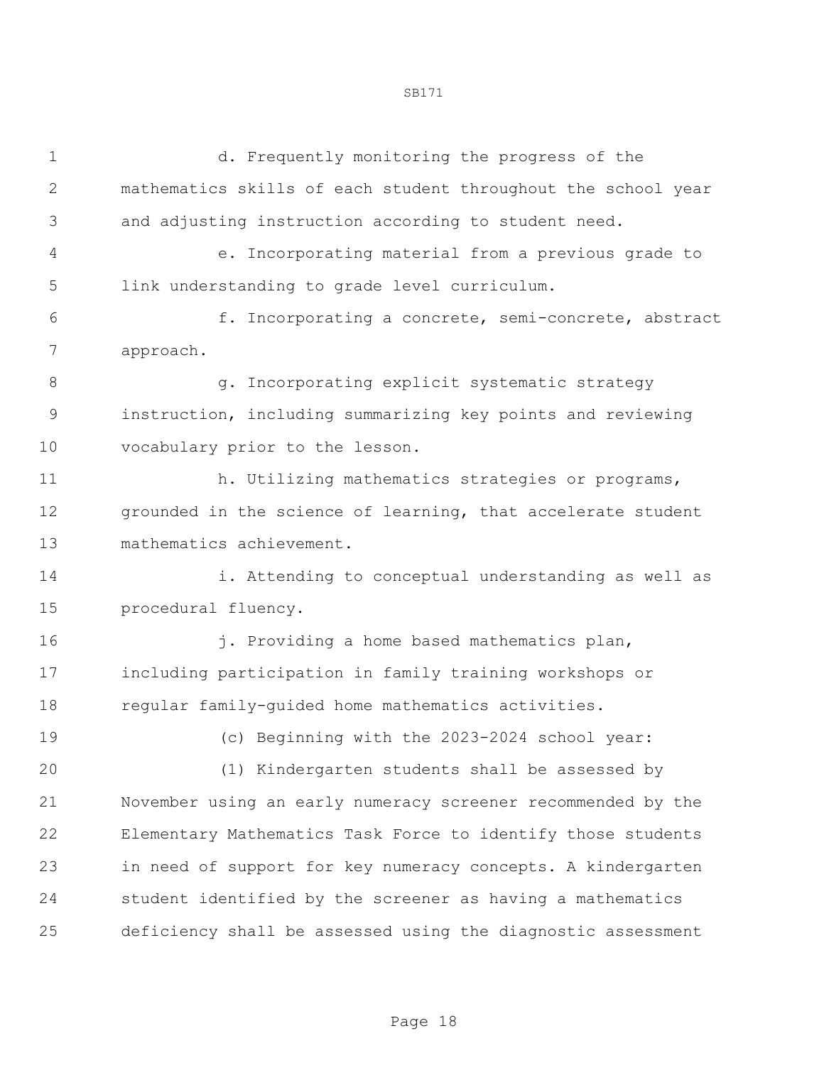d. Frequently monitoring the progress of the mathematics skills of each student throughout the school year and adjusting instruction according to student need. e. Incorporating material from a previous grade to link understanding to grade level curriculum. f. Incorporating a concrete, semi-concrete, abstract approach. 8 and **g.** Incorporating explicit systematic strategy instruction, including summarizing key points and reviewing vocabulary prior to the lesson. 11 h. Utilizing mathematics strategies or programs, grounded in the science of learning, that accelerate student mathematics achievement. i. Attending to conceptual understanding as well as procedural fluency. **j.** Providing a home based mathematics plan, including participation in family training workshops or regular family-guided home mathematics activities. (c) Beginning with the 2023-2024 school year: (1) Kindergarten students shall be assessed by November using an early numeracy screener recommended by the Elementary Mathematics Task Force to identify those students

 in need of support for key numeracy concepts. A kindergarten student identified by the screener as having a mathematics deficiency shall be assessed using the diagnostic assessment

Page 18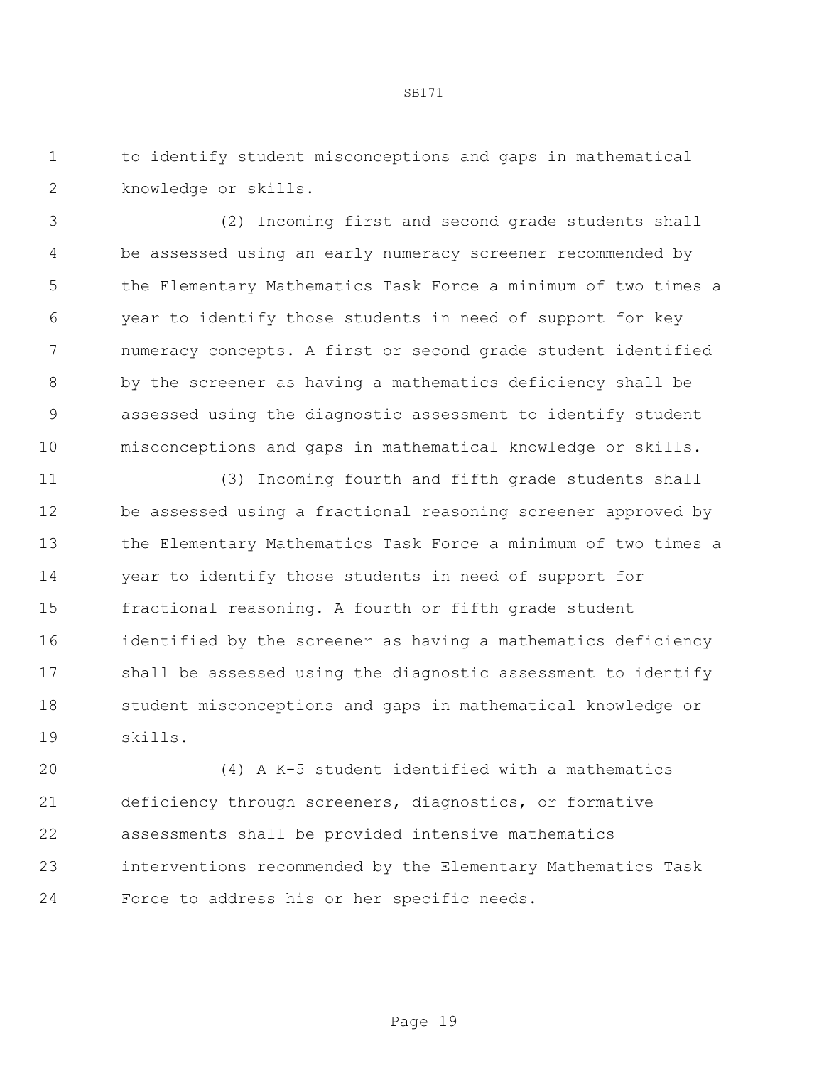to identify student misconceptions and gaps in mathematical knowledge or skills.

 (2) Incoming first and second grade students shall be assessed using an early numeracy screener recommended by the Elementary Mathematics Task Force a minimum of two times a year to identify those students in need of support for key numeracy concepts. A first or second grade student identified by the screener as having a mathematics deficiency shall be assessed using the diagnostic assessment to identify student misconceptions and gaps in mathematical knowledge or skills.

 (3) Incoming fourth and fifth grade students shall be assessed using a fractional reasoning screener approved by the Elementary Mathematics Task Force a minimum of two times a year to identify those students in need of support for fractional reasoning. A fourth or fifth grade student identified by the screener as having a mathematics deficiency shall be assessed using the diagnostic assessment to identify student misconceptions and gaps in mathematical knowledge or skills.

 (4) A K-5 student identified with a mathematics deficiency through screeners, diagnostics, or formative assessments shall be provided intensive mathematics interventions recommended by the Elementary Mathematics Task Force to address his or her specific needs.

$$
SB171
$$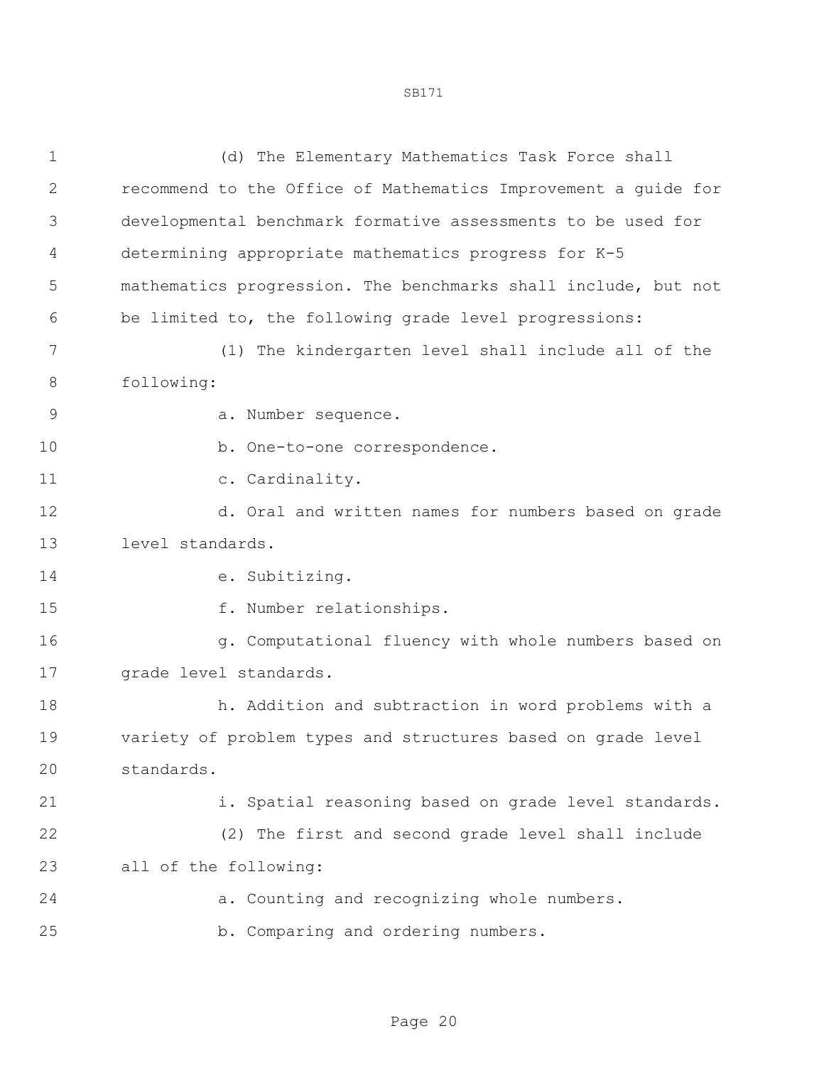| 1            | (d) The Elementary Mathematics Task Force shall                |
|--------------|----------------------------------------------------------------|
| $\mathbf{2}$ | recommend to the Office of Mathematics Improvement a guide for |
| 3            | developmental benchmark formative assessments to be used for   |
| 4            | determining appropriate mathematics progress for K-5           |
| 5            | mathematics progression. The benchmarks shall include, but not |
| 6            | be limited to, the following grade level progressions:         |
| 7            | (1) The kindergarten level shall include all of the            |
| 8            | following:                                                     |
| 9            | a. Number sequence.                                            |
| 10           | b. One-to-one correspondence.                                  |
| 11           | c. Cardinality.                                                |
| 12           | d. Oral and written names for numbers based on grade           |
| 13           | level standards.                                               |
| 14           | e. Subitizing.                                                 |
| 15           | f. Number relationships.                                       |
| 16           | g. Computational fluency with whole numbers based on           |
| 17           | grade level standards.                                         |
| 18           | h. Addition and subtraction in word problems with a            |
| 19           | variety of problem types and structures based on grade level   |
| 20           | standards.                                                     |
| 21           | i. Spatial reasoning based on grade level standards.           |
| 22           | (2) The first and second grade level shall include             |
| 23           | all of the following:                                          |
| 24           | a. Counting and recognizing whole numbers.                     |
| 25           | b. Comparing and ordering numbers.                             |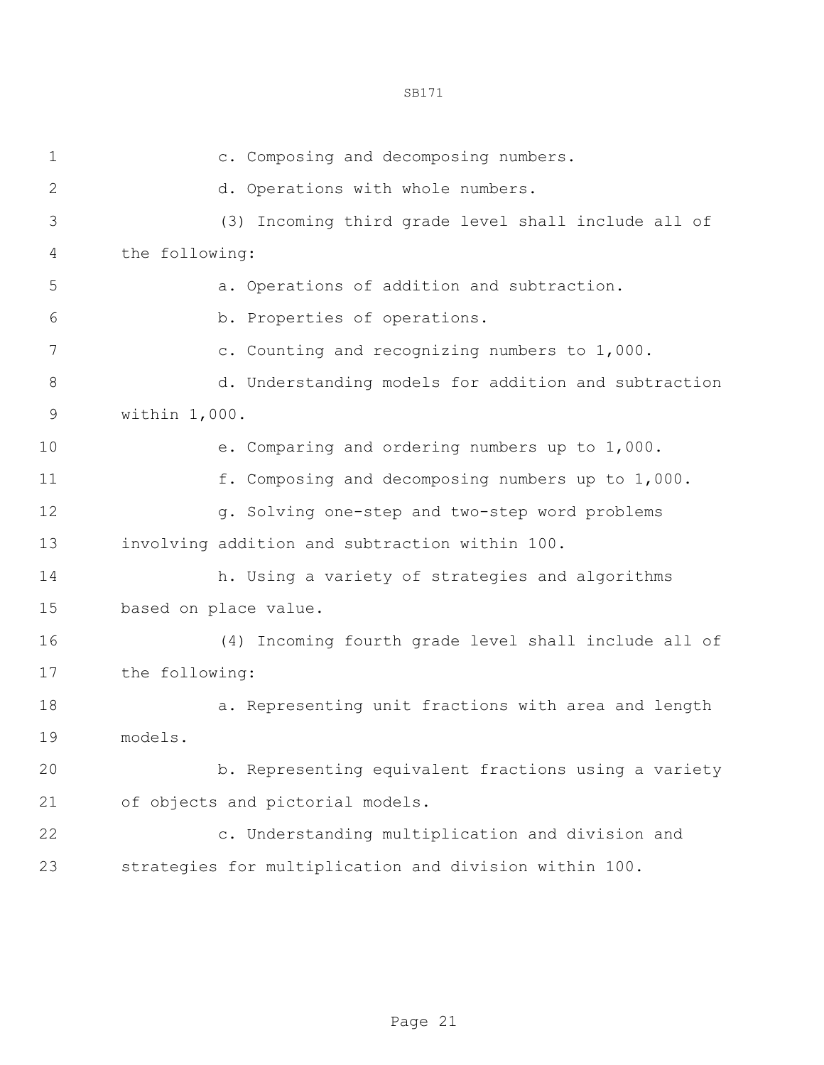c. Composing and decomposing numbers. d. Operations with whole numbers. (3) Incoming third grade level shall include all of the following: a. Operations of addition and subtraction. b. Properties of operations. 7 c. Counting and recognizing numbers to 1,000. 8 d. Understanding models for addition and subtraction within 1,000. e. Comparing and ordering numbers up to 1,000. f. Composing and decomposing numbers up to 1,000. 12 g. Solving one-step and two-step word problems involving addition and subtraction within 100. h. Using a variety of strategies and algorithms based on place value. (4) Incoming fourth grade level shall include all of the following: 18 a. Representing unit fractions with area and length models. b. Representing equivalent fractions using a variety of objects and pictorial models. c. Understanding multiplication and division and strategies for multiplication and division within 100.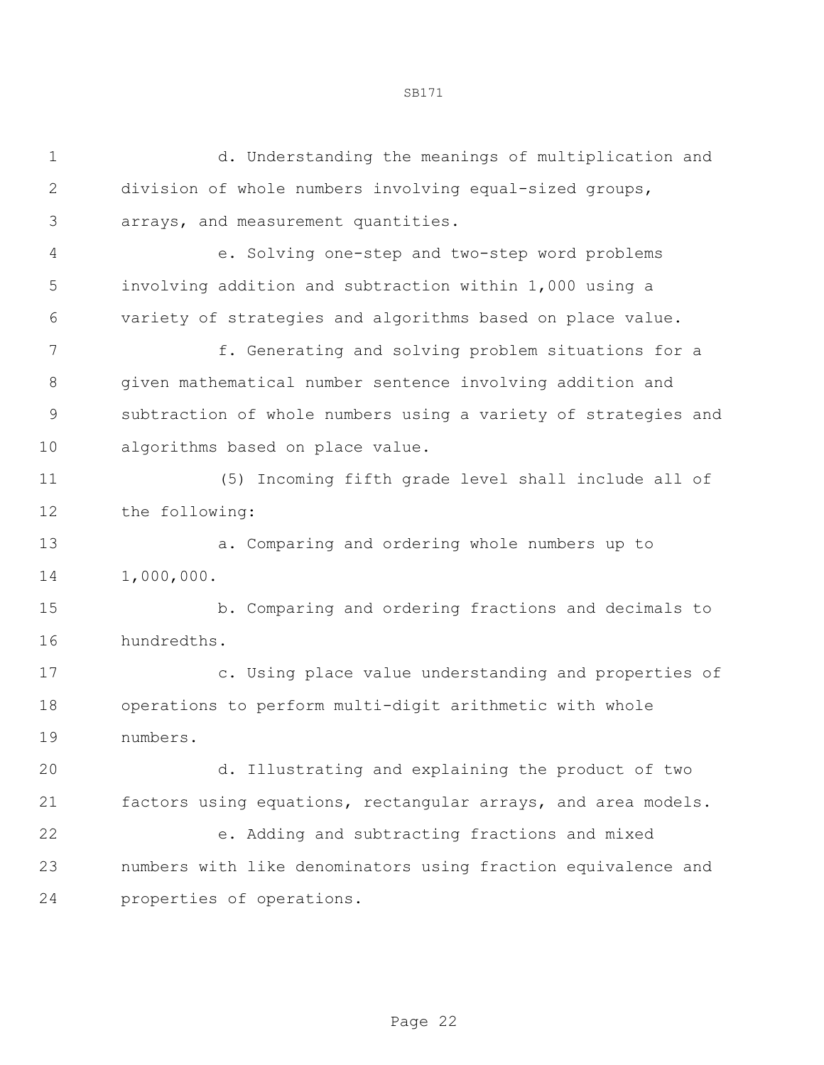| $\mathbf 1$   | d. Understanding the meanings of multiplication and            |
|---------------|----------------------------------------------------------------|
| $\mathbf{2}$  | division of whole numbers involving equal-sized groups,        |
| 3             | arrays, and measurement quantities.                            |
| 4             | e. Solving one-step and two-step word problems                 |
| 5             | involving addition and subtraction within 1,000 using a        |
| 6             | variety of strategies and algorithms based on place value.     |
| 7             | f. Generating and solving problem situations for a             |
| 8             | given mathematical number sentence involving addition and      |
| $\mathcal{G}$ | subtraction of whole numbers using a variety of strategies and |
| 10            | algorithms based on place value.                               |
| 11            | Incoming fifth grade level shall include all of<br>(5)         |
| 12            | the following:                                                 |
| 13            | a. Comparing and ordering whole numbers up to                  |
| 14            | 1,000,000.                                                     |
| 15            | b. Comparing and ordering fractions and decimals to            |
| 16            | hundredths.                                                    |
| 17            | c. Using place value understanding and properties of           |
| 18            | operations to perform multi-digit arithmetic with whole        |
| 19            | numbers.                                                       |
| 20            | d. Illustrating and explaining the product of two              |
| 21            | factors using equations, rectangular arrays, and area models.  |
| 22            | e. Adding and subtracting fractions and mixed                  |
| 23            | numbers with like denominators using fraction equivalence and  |
| 24            | properties of operations.                                      |
|               |                                                                |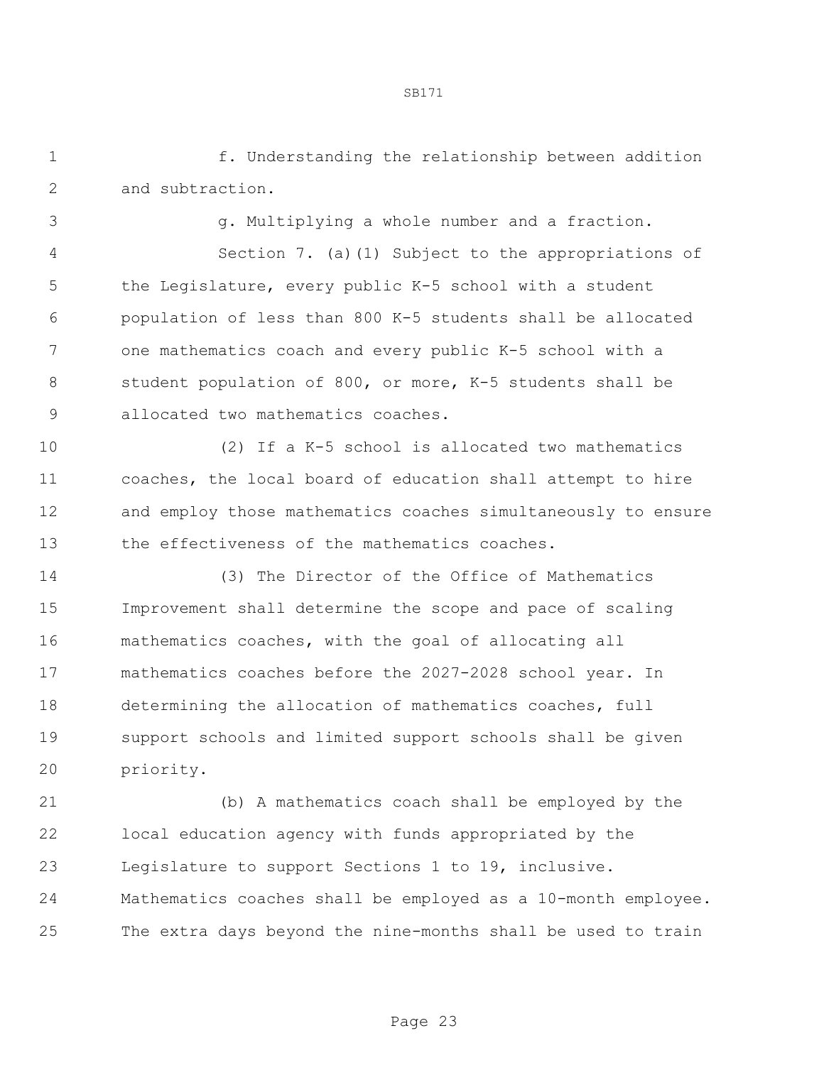f. Understanding the relationship between addition and subtraction.

g. Multiplying a whole number and a fraction.

 Section 7. (a)(1) Subject to the appropriations of the Legislature, every public K-5 school with a student population of less than 800 K-5 students shall be allocated one mathematics coach and every public K-5 school with a student population of 800, or more, K-5 students shall be allocated two mathematics coaches.

 (2) If a K-5 school is allocated two mathematics coaches, the local board of education shall attempt to hire and employ those mathematics coaches simultaneously to ensure the effectiveness of the mathematics coaches.

 (3) The Director of the Office of Mathematics Improvement shall determine the scope and pace of scaling mathematics coaches, with the goal of allocating all mathematics coaches before the 2027-2028 school year. In determining the allocation of mathematics coaches, full support schools and limited support schools shall be given priority.

 (b) A mathematics coach shall be employed by the local education agency with funds appropriated by the Legislature to support Sections 1 to 19, inclusive. Mathematics coaches shall be employed as a 10-month employee. The extra days beyond the nine-months shall be used to train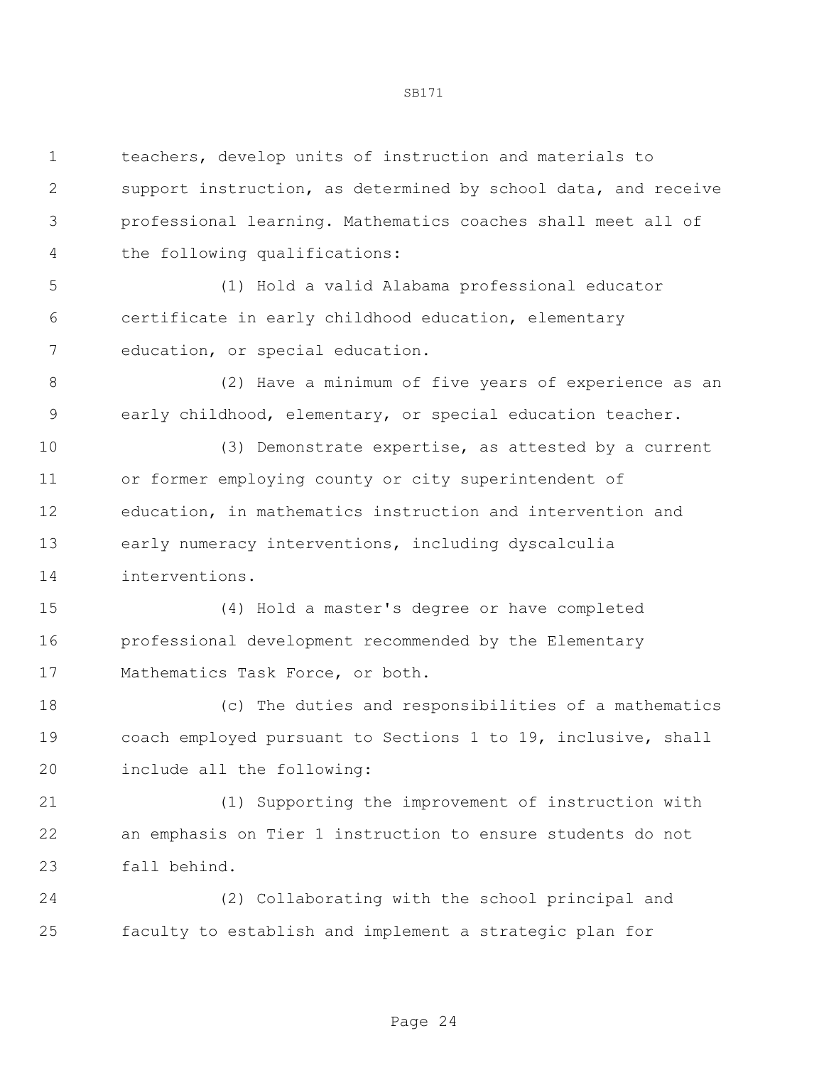| $\mathbf 1$ | teachers, develop units of instruction and materials to        |
|-------------|----------------------------------------------------------------|
| 2           | support instruction, as determined by school data, and receive |
| 3           | professional learning. Mathematics coaches shall meet all of   |
| 4           | the following qualifications:                                  |
| 5           | (1) Hold a valid Alabama professional educator                 |
| 6           | certificate in early childhood education, elementary           |
| 7           | education, or special education.                               |
| 8           | (2) Have a minimum of five years of experience as an           |
| 9           | early childhood, elementary, or special education teacher.     |
| 10          | (3) Demonstrate expertise, as attested by a current            |
| 11          | or former employing county or city superintendent of           |
| 12          | education, in mathematics instruction and intervention and     |
| 13          | early numeracy interventions, including dyscalculia            |
| 14          | interventions.                                                 |
| 15          | (4) Hold a master's degree or have completed                   |
| 16          | professional development recommended by the Elementary         |
| 17          | Mathematics Task Force, or both.                               |
| 18          | (c) The duties and responsibilities of a mathematics           |
| 19          | coach employed pursuant to Sections 1 to 19, inclusive, shall  |
| 20          | include all the following:                                     |
| 21          | (1) Supporting the improvement of instruction with             |
| 22          | an emphasis on Tier 1 instruction to ensure students do not    |
| 23          | fall behind.                                                   |
| 24          | (2) Collaborating with the school principal and                |
| 25          | faculty to establish and implement a strategic plan for        |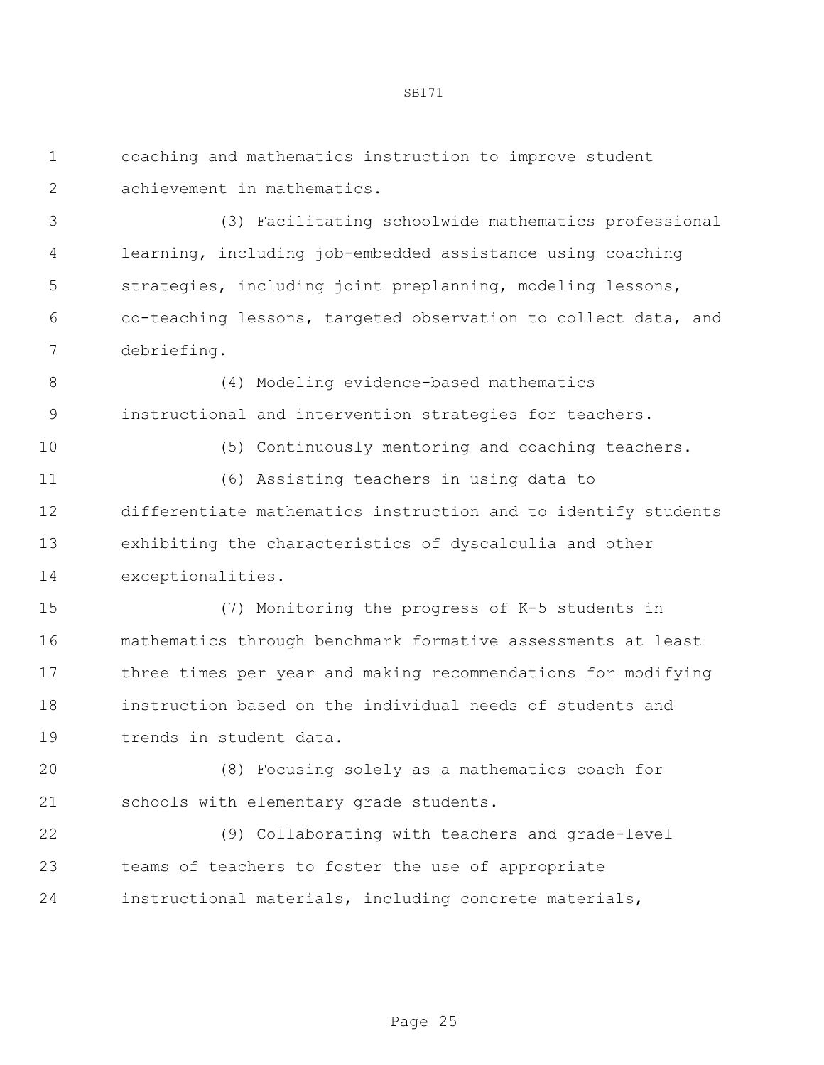coaching and mathematics instruction to improve student achievement in mathematics.

 (3) Facilitating schoolwide mathematics professional learning, including job-embedded assistance using coaching strategies, including joint preplanning, modeling lessons, co-teaching lessons, targeted observation to collect data, and debriefing.

 (4) Modeling evidence-based mathematics instructional and intervention strategies for teachers.

(5) Continuously mentoring and coaching teachers.

 (6) Assisting teachers in using data to differentiate mathematics instruction and to identify students exhibiting the characteristics of dyscalculia and other exceptionalities.

 (7) Monitoring the progress of K-5 students in mathematics through benchmark formative assessments at least three times per year and making recommendations for modifying instruction based on the individual needs of students and trends in student data.

 (8) Focusing solely as a mathematics coach for schools with elementary grade students.

 (9) Collaborating with teachers and grade-level teams of teachers to foster the use of appropriate instructional materials, including concrete materials,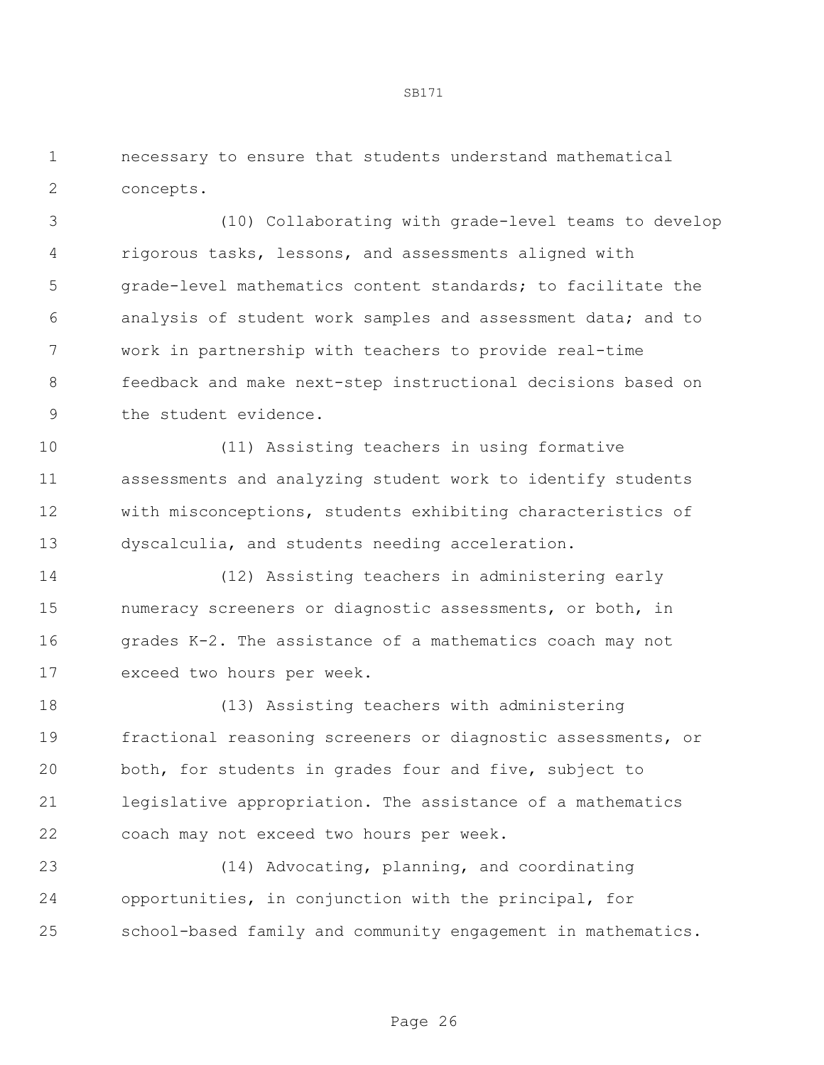necessary to ensure that students understand mathematical concepts.

 (10) Collaborating with grade-level teams to develop rigorous tasks, lessons, and assessments aligned with grade-level mathematics content standards; to facilitate the analysis of student work samples and assessment data; and to work in partnership with teachers to provide real-time feedback and make next-step instructional decisions based on the student evidence.

 (11) Assisting teachers in using formative assessments and analyzing student work to identify students with misconceptions, students exhibiting characteristics of dyscalculia, and students needing acceleration.

 (12) Assisting teachers in administering early numeracy screeners or diagnostic assessments, or both, in grades K-2. The assistance of a mathematics coach may not exceed two hours per week.

 (13) Assisting teachers with administering fractional reasoning screeners or diagnostic assessments, or both, for students in grades four and five, subject to legislative appropriation. The assistance of a mathematics coach may not exceed two hours per week.

 (14) Advocating, planning, and coordinating opportunities, in conjunction with the principal, for school-based family and community engagement in mathematics.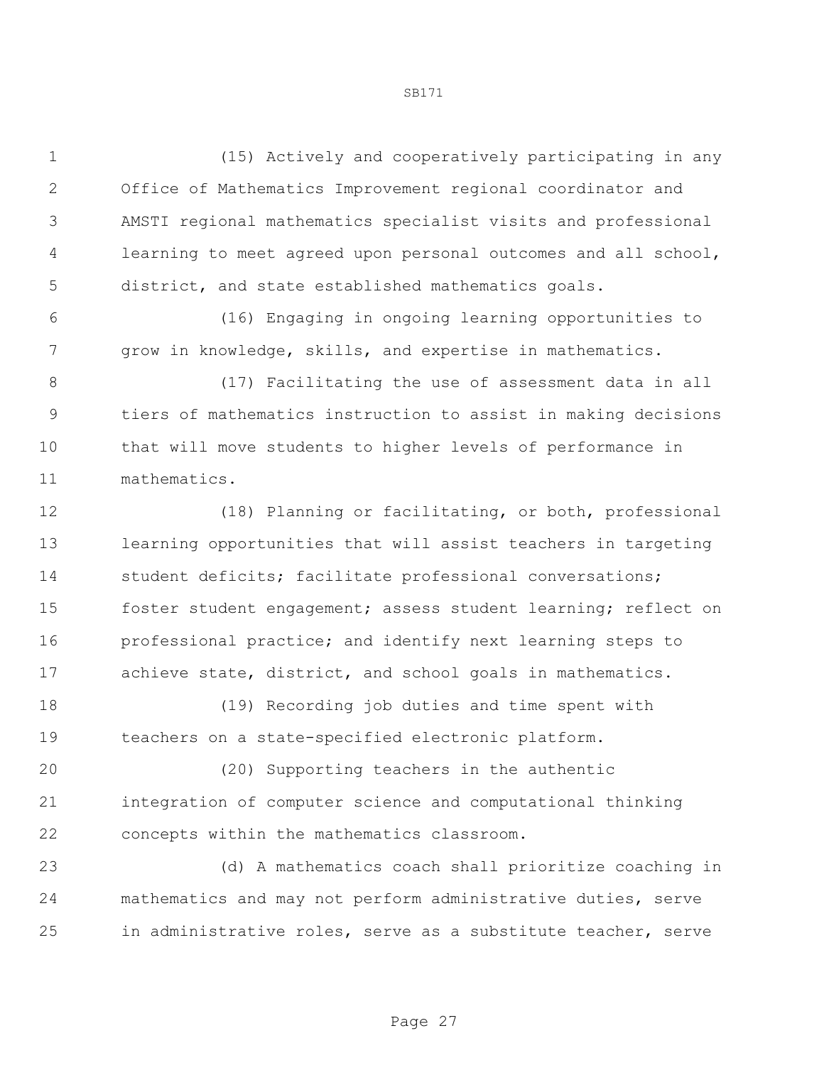(15) Actively and cooperatively participating in any Office of Mathematics Improvement regional coordinator and AMSTI regional mathematics specialist visits and professional learning to meet agreed upon personal outcomes and all school, district, and state established mathematics goals.

 (16) Engaging in ongoing learning opportunities to grow in knowledge, skills, and expertise in mathematics.

 (17) Facilitating the use of assessment data in all tiers of mathematics instruction to assist in making decisions that will move students to higher levels of performance in mathematics.

 (18) Planning or facilitating, or both, professional learning opportunities that will assist teachers in targeting student deficits; facilitate professional conversations; foster student engagement; assess student learning; reflect on professional practice; and identify next learning steps to achieve state, district, and school goals in mathematics.

 (19) Recording job duties and time spent with teachers on a state-specified electronic platform.

 (20) Supporting teachers in the authentic integration of computer science and computational thinking concepts within the mathematics classroom.

 (d) A mathematics coach shall prioritize coaching in mathematics and may not perform administrative duties, serve in administrative roles, serve as a substitute teacher, serve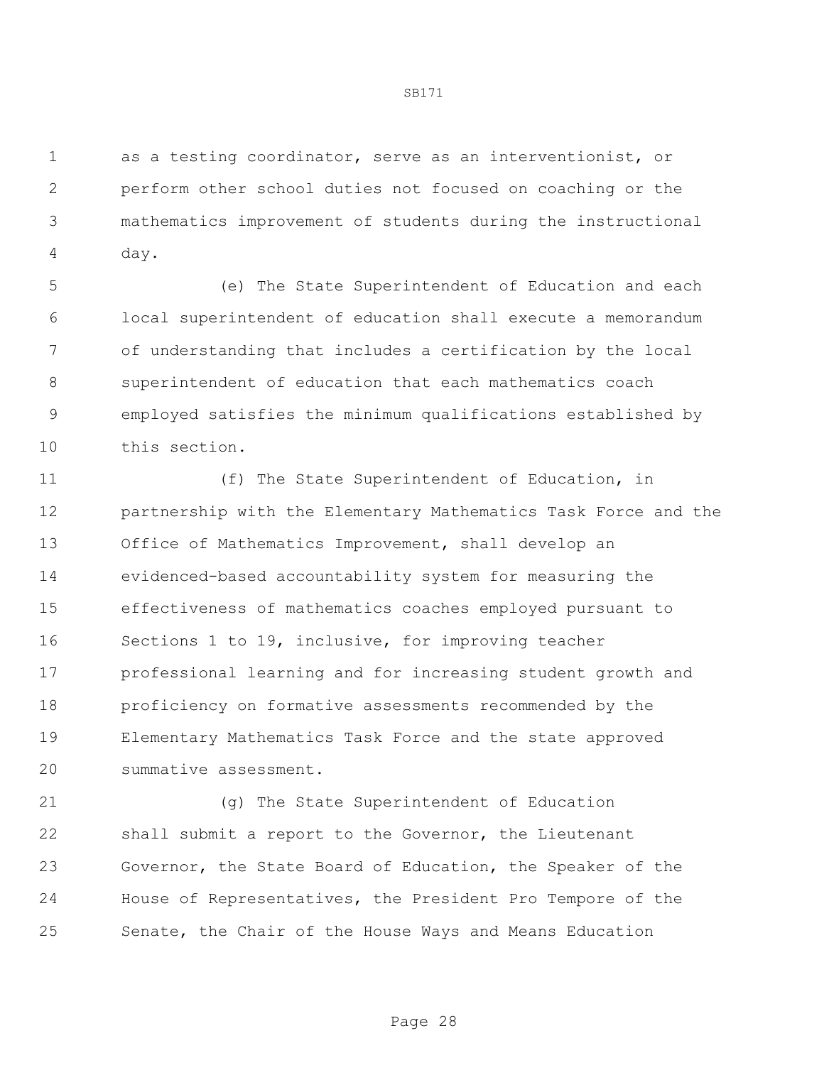as a testing coordinator, serve as an interventionist, or perform other school duties not focused on coaching or the mathematics improvement of students during the instructional day.

 (e) The State Superintendent of Education and each local superintendent of education shall execute a memorandum of understanding that includes a certification by the local superintendent of education that each mathematics coach employed satisfies the minimum qualifications established by this section.

 (f) The State Superintendent of Education, in partnership with the Elementary Mathematics Task Force and the Office of Mathematics Improvement, shall develop an evidenced-based accountability system for measuring the effectiveness of mathematics coaches employed pursuant to Sections 1 to 19, inclusive, for improving teacher professional learning and for increasing student growth and proficiency on formative assessments recommended by the Elementary Mathematics Task Force and the state approved summative assessment.

 (g) The State Superintendent of Education shall submit a report to the Governor, the Lieutenant Governor, the State Board of Education, the Speaker of the House of Representatives, the President Pro Tempore of the Senate, the Chair of the House Ways and Means Education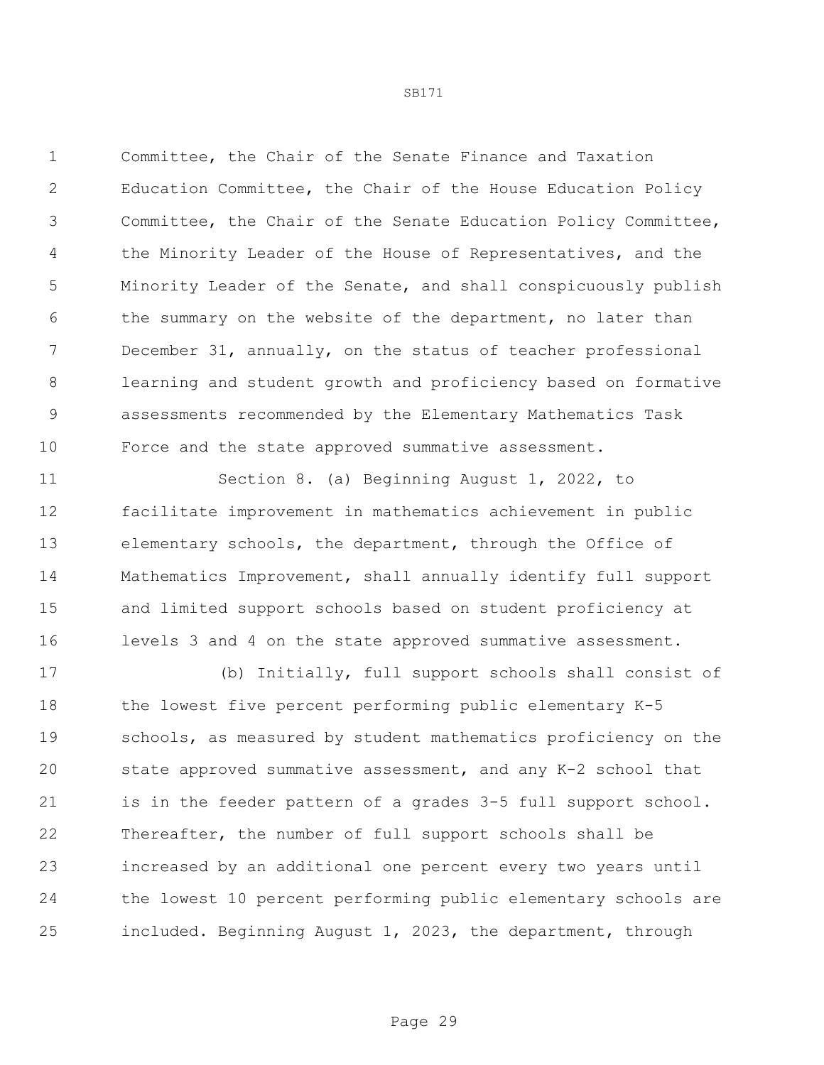Committee, the Chair of the Senate Finance and Taxation Education Committee, the Chair of the House Education Policy Committee, the Chair of the Senate Education Policy Committee, 4 the Minority Leader of the House of Representatives, and the Minority Leader of the Senate, and shall conspicuously publish 6 the summary on the website of the department, no later than December 31, annually, on the status of teacher professional learning and student growth and proficiency based on formative assessments recommended by the Elementary Mathematics Task Force and the state approved summative assessment.

 Section 8. (a) Beginning August 1, 2022, to facilitate improvement in mathematics achievement in public elementary schools, the department, through the Office of Mathematics Improvement, shall annually identify full support and limited support schools based on student proficiency at levels 3 and 4 on the state approved summative assessment.

 (b) Initially, full support schools shall consist of the lowest five percent performing public elementary K-5 19 schools, as measured by student mathematics proficiency on the state approved summative assessment, and any K-2 school that 21 is in the feeder pattern of a grades 3-5 full support school. Thereafter, the number of full support schools shall be increased by an additional one percent every two years until the lowest 10 percent performing public elementary schools are included. Beginning August 1, 2023, the department, through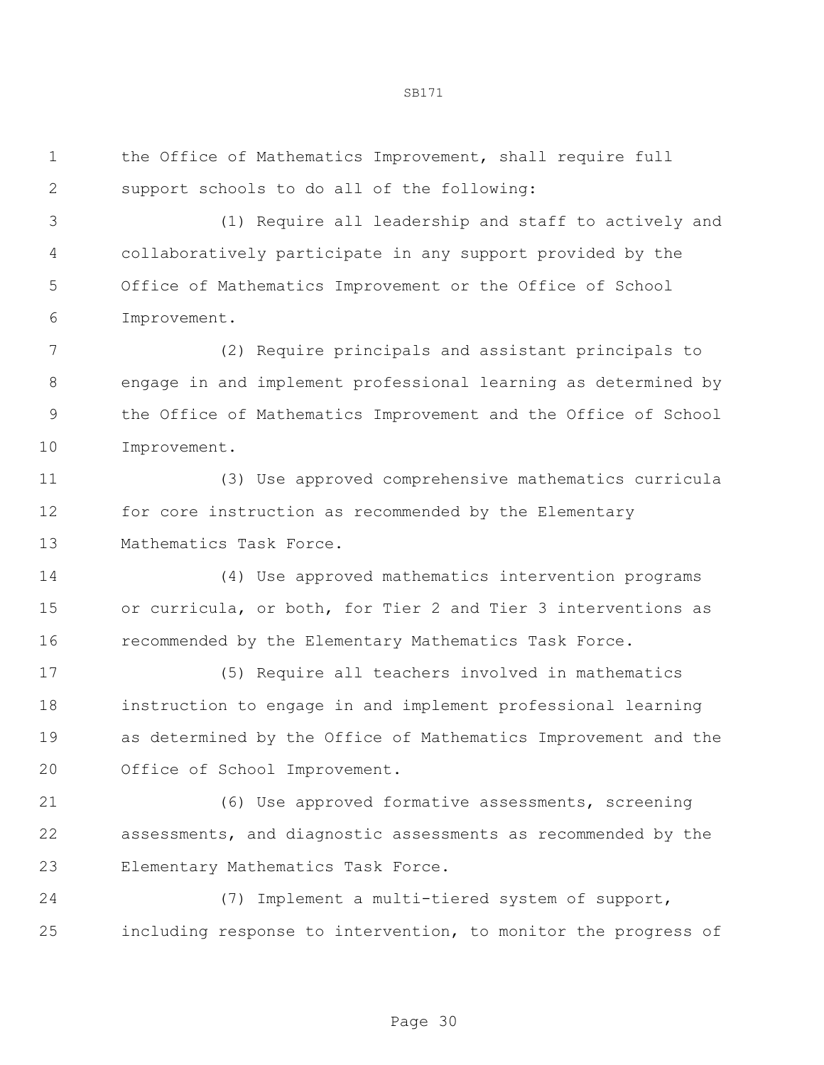the Office of Mathematics Improvement, shall require full support schools to do all of the following:

 (1) Require all leadership and staff to actively and collaboratively participate in any support provided by the Office of Mathematics Improvement or the Office of School Improvement.

 (2) Require principals and assistant principals to engage in and implement professional learning as determined by the Office of Mathematics Improvement and the Office of School Improvement.

 (3) Use approved comprehensive mathematics curricula for core instruction as recommended by the Elementary Mathematics Task Force.

 (4) Use approved mathematics intervention programs or curricula, or both, for Tier 2 and Tier 3 interventions as recommended by the Elementary Mathematics Task Force.

 (5) Require all teachers involved in mathematics instruction to engage in and implement professional learning as determined by the Office of Mathematics Improvement and the Office of School Improvement.

 (6) Use approved formative assessments, screening assessments, and diagnostic assessments as recommended by the Elementary Mathematics Task Force.

 (7) Implement a multi-tiered system of support, including response to intervention, to monitor the progress of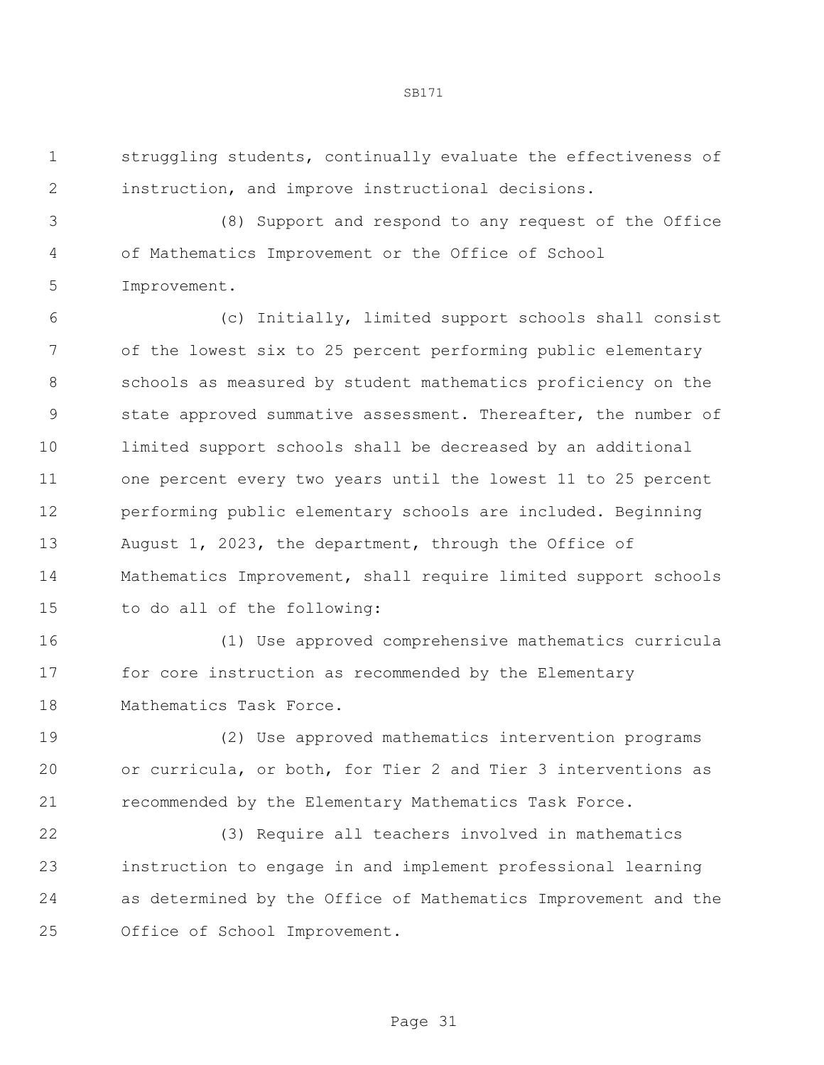struggling students, continually evaluate the effectiveness of instruction, and improve instructional decisions.

 (8) Support and respond to any request of the Office of Mathematics Improvement or the Office of School Improvement.

 (c) Initially, limited support schools shall consist of the lowest six to 25 percent performing public elementary schools as measured by student mathematics proficiency on the state approved summative assessment. Thereafter, the number of limited support schools shall be decreased by an additional one percent every two years until the lowest 11 to 25 percent performing public elementary schools are included. Beginning August 1, 2023, the department, through the Office of Mathematics Improvement, shall require limited support schools to do all of the following:

 (1) Use approved comprehensive mathematics curricula for core instruction as recommended by the Elementary Mathematics Task Force.

 (2) Use approved mathematics intervention programs or curricula, or both, for Tier 2 and Tier 3 interventions as recommended by the Elementary Mathematics Task Force.

 (3) Require all teachers involved in mathematics instruction to engage in and implement professional learning as determined by the Office of Mathematics Improvement and the Office of School Improvement.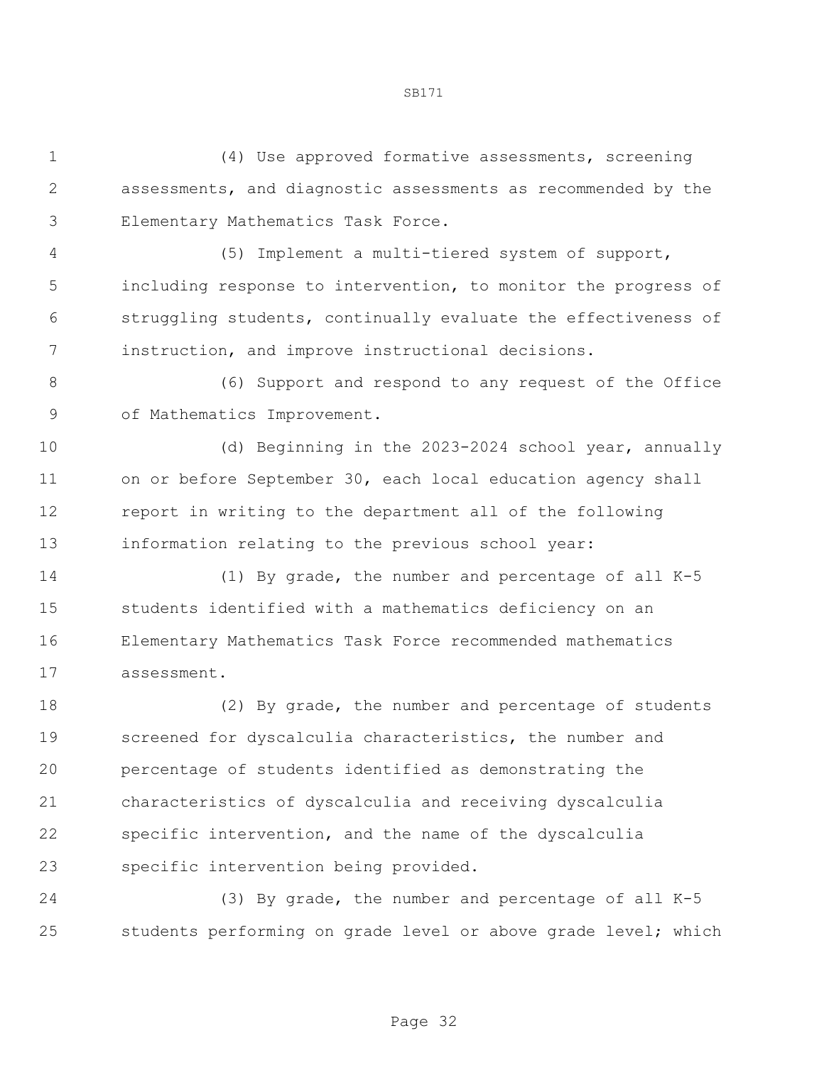(4) Use approved formative assessments, screening assessments, and diagnostic assessments as recommended by the Elementary Mathematics Task Force.

 (5) Implement a multi-tiered system of support, including response to intervention, to monitor the progress of struggling students, continually evaluate the effectiveness of instruction, and improve instructional decisions.

 (6) Support and respond to any request of the Office of Mathematics Improvement.

 (d) Beginning in the 2023-2024 school year, annually on or before September 30, each local education agency shall report in writing to the department all of the following information relating to the previous school year:

 (1) By grade, the number and percentage of all K-5 students identified with a mathematics deficiency on an Elementary Mathematics Task Force recommended mathematics assessment.

 (2) By grade, the number and percentage of students screened for dyscalculia characteristics, the number and percentage of students identified as demonstrating the characteristics of dyscalculia and receiving dyscalculia specific intervention, and the name of the dyscalculia specific intervention being provided.

 (3) By grade, the number and percentage of all K-5 students performing on grade level or above grade level; which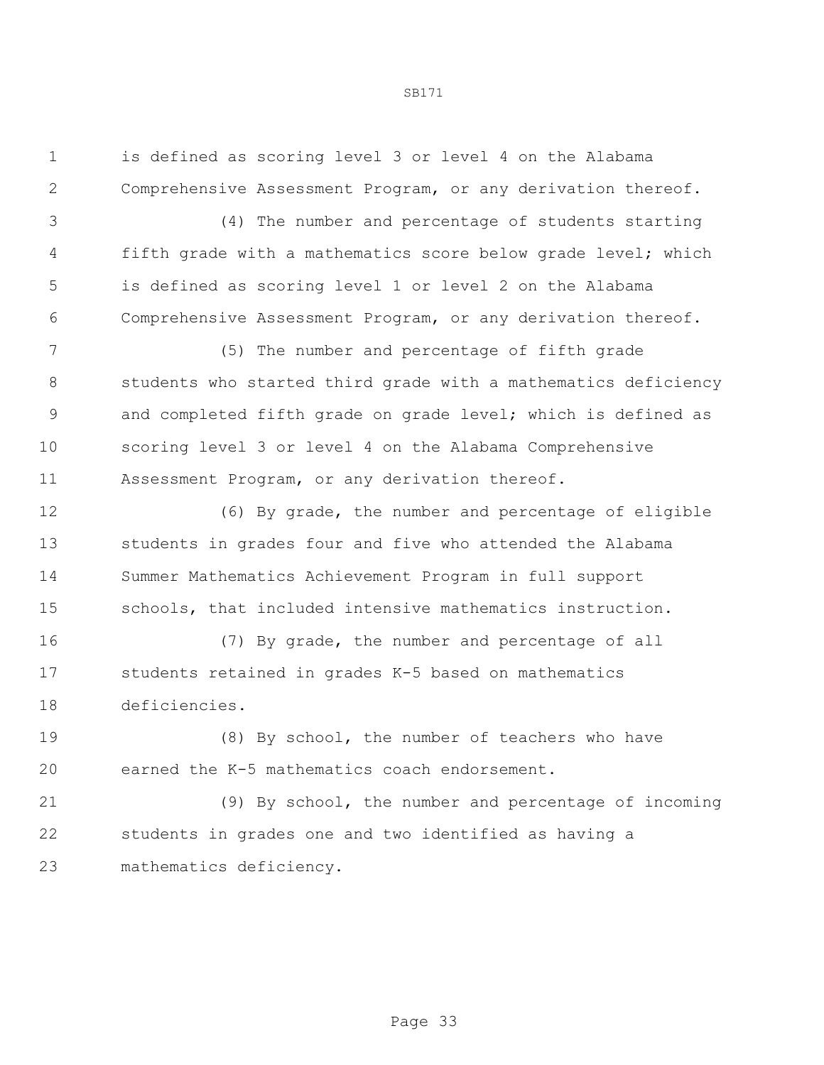is defined as scoring level 3 or level 4 on the Alabama Comprehensive Assessment Program, or any derivation thereof.

 (4) The number and percentage of students starting fifth grade with a mathematics score below grade level; which is defined as scoring level 1 or level 2 on the Alabama Comprehensive Assessment Program, or any derivation thereof.

 (5) The number and percentage of fifth grade students who started third grade with a mathematics deficiency and completed fifth grade on grade level; which is defined as scoring level 3 or level 4 on the Alabama Comprehensive Assessment Program, or any derivation thereof.

 (6) By grade, the number and percentage of eligible students in grades four and five who attended the Alabama Summer Mathematics Achievement Program in full support schools, that included intensive mathematics instruction.

 (7) By grade, the number and percentage of all students retained in grades K-5 based on mathematics deficiencies.

 (8) By school, the number of teachers who have earned the K-5 mathematics coach endorsement.

 (9) By school, the number and percentage of incoming students in grades one and two identified as having a mathematics deficiency.

Page 33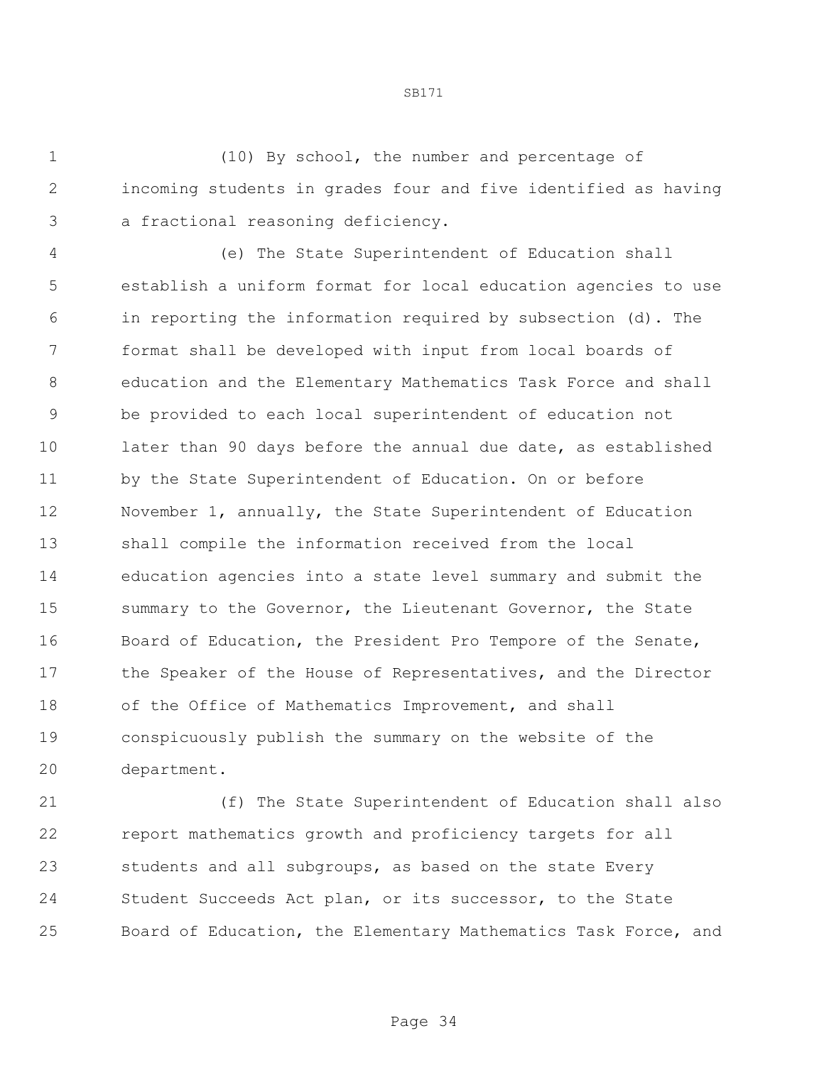(10) By school, the number and percentage of incoming students in grades four and five identified as having a fractional reasoning deficiency.

SB171

 (e) The State Superintendent of Education shall establish a uniform format for local education agencies to use in reporting the information required by subsection (d). The format shall be developed with input from local boards of education and the Elementary Mathematics Task Force and shall be provided to each local superintendent of education not 10 later than 90 days before the annual due date, as established by the State Superintendent of Education. On or before November 1, annually, the State Superintendent of Education shall compile the information received from the local education agencies into a state level summary and submit the summary to the Governor, the Lieutenant Governor, the State Board of Education, the President Pro Tempore of the Senate, 17 the Speaker of the House of Representatives, and the Director of the Office of Mathematics Improvement, and shall conspicuously publish the summary on the website of the department.

 (f) The State Superintendent of Education shall also report mathematics growth and proficiency targets for all students and all subgroups, as based on the state Every Student Succeeds Act plan, or its successor, to the State Board of Education, the Elementary Mathematics Task Force, and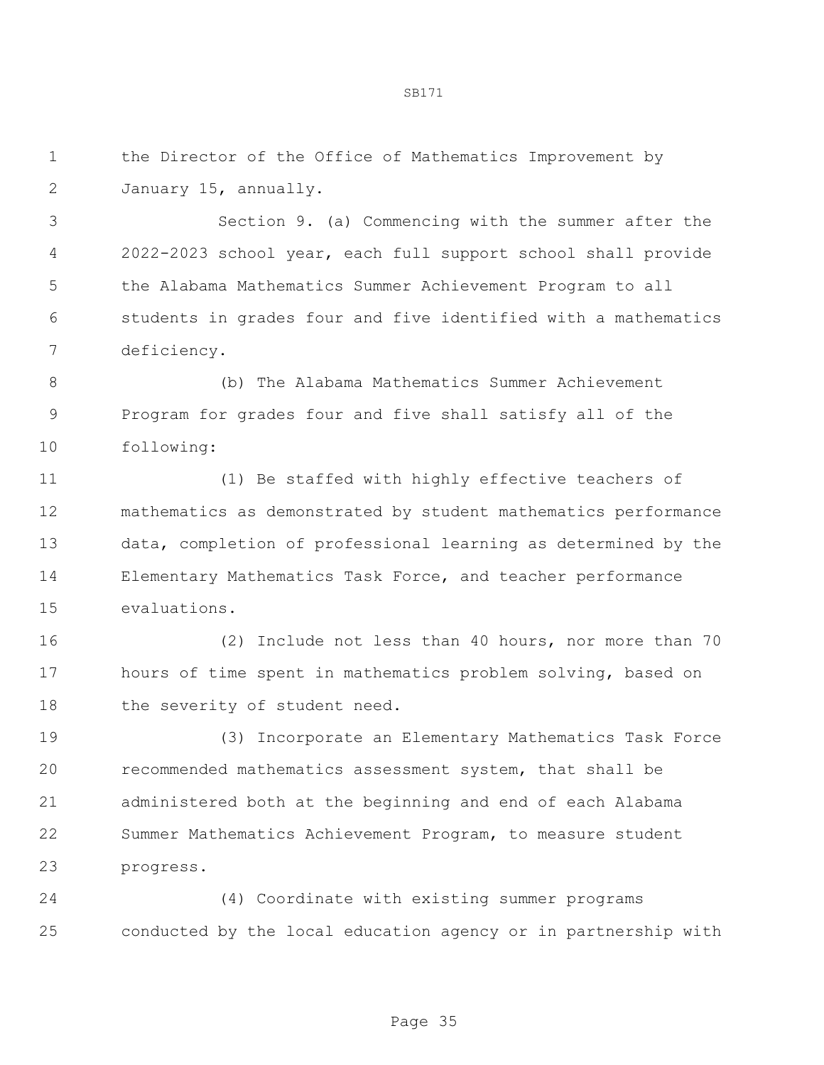the Director of the Office of Mathematics Improvement by January 15, annually.

 Section 9. (a) Commencing with the summer after the 2022-2023 school year, each full support school shall provide the Alabama Mathematics Summer Achievement Program to all students in grades four and five identified with a mathematics deficiency.

 (b) The Alabama Mathematics Summer Achievement Program for grades four and five shall satisfy all of the following:

 (1) Be staffed with highly effective teachers of mathematics as demonstrated by student mathematics performance data, completion of professional learning as determined by the Elementary Mathematics Task Force, and teacher performance evaluations.

 (2) Include not less than 40 hours, nor more than 70 hours of time spent in mathematics problem solving, based on 18 the severity of student need.

 (3) Incorporate an Elementary Mathematics Task Force recommended mathematics assessment system, that shall be administered both at the beginning and end of each Alabama Summer Mathematics Achievement Program, to measure student progress.

 (4) Coordinate with existing summer programs conducted by the local education agency or in partnership with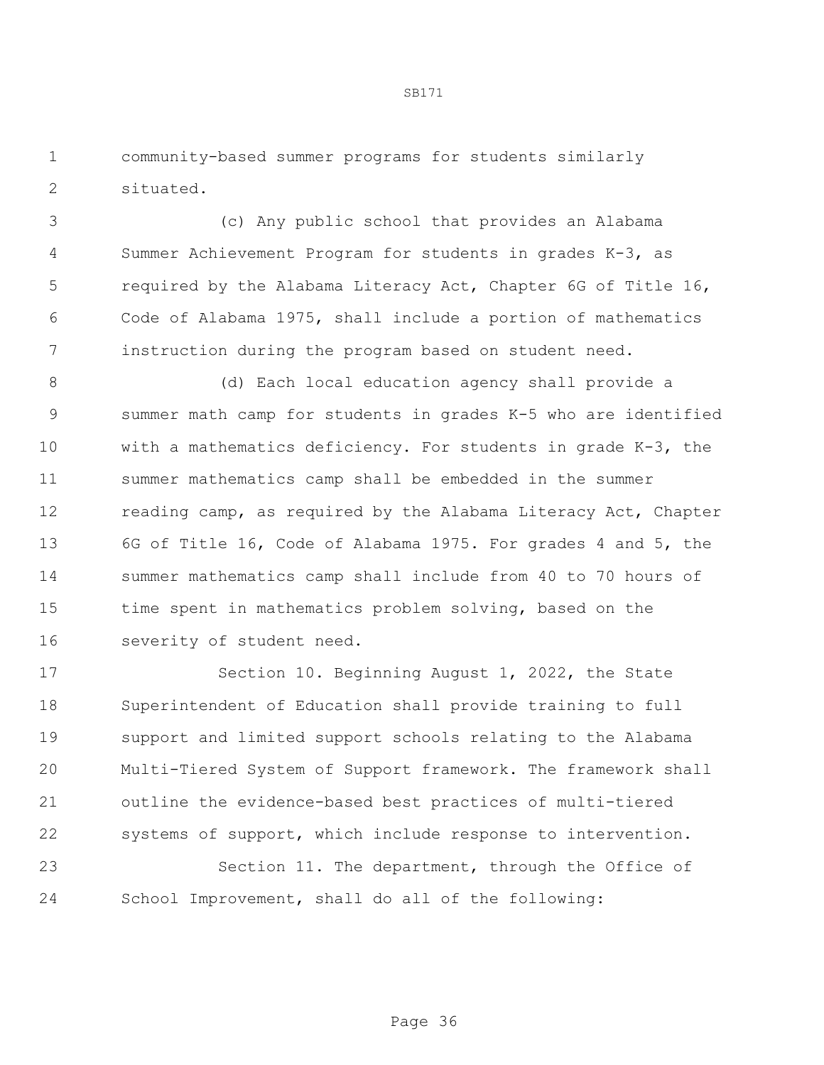community-based summer programs for students similarly situated.

 (c) Any public school that provides an Alabama Summer Achievement Program for students in grades K-3, as required by the Alabama Literacy Act, Chapter 6G of Title 16, Code of Alabama 1975, shall include a portion of mathematics instruction during the program based on student need.

 (d) Each local education agency shall provide a summer math camp for students in grades K-5 who are identified with a mathematics deficiency. For students in grade K-3, the summer mathematics camp shall be embedded in the summer 12 reading camp, as required by the Alabama Literacy Act, Chapter 6G of Title 16, Code of Alabama 1975. For grades 4 and 5, the summer mathematics camp shall include from 40 to 70 hours of time spent in mathematics problem solving, based on the severity of student need.

 Section 10. Beginning August 1, 2022, the State Superintendent of Education shall provide training to full support and limited support schools relating to the Alabama Multi-Tiered System of Support framework. The framework shall outline the evidence-based best practices of multi-tiered systems of support, which include response to intervention. Section 11. The department, through the Office of School Improvement, shall do all of the following: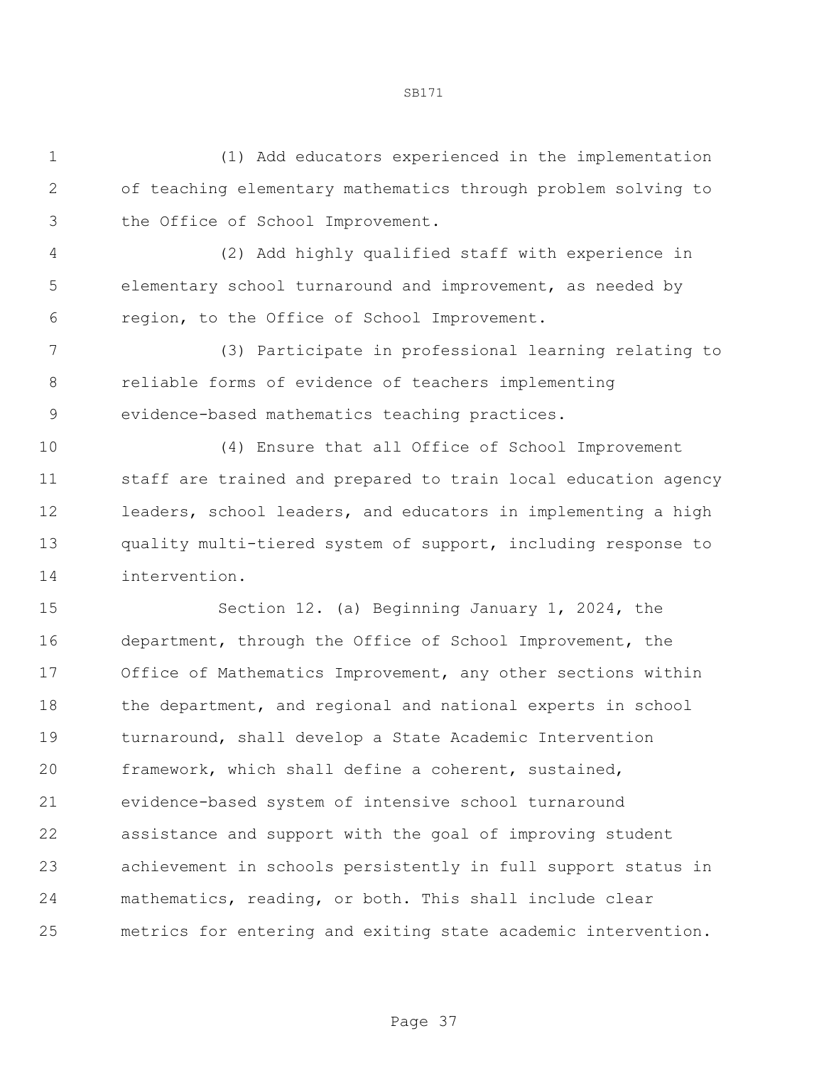(1) Add educators experienced in the implementation of teaching elementary mathematics through problem solving to the Office of School Improvement.

 (2) Add highly qualified staff with experience in elementary school turnaround and improvement, as needed by region, to the Office of School Improvement.

 (3) Participate in professional learning relating to reliable forms of evidence of teachers implementing evidence-based mathematics teaching practices.

 (4) Ensure that all Office of School Improvement staff are trained and prepared to train local education agency leaders, school leaders, and educators in implementing a high quality multi-tiered system of support, including response to intervention.

 Section 12. (a) Beginning January 1, 2024, the department, through the Office of School Improvement, the Office of Mathematics Improvement, any other sections within 18 the department, and regional and national experts in school 19 turnaround, shall develop a State Academic Intervention framework, which shall define a coherent, sustained, evidence-based system of intensive school turnaround assistance and support with the goal of improving student achievement in schools persistently in full support status in mathematics, reading, or both. This shall include clear metrics for entering and exiting state academic intervention.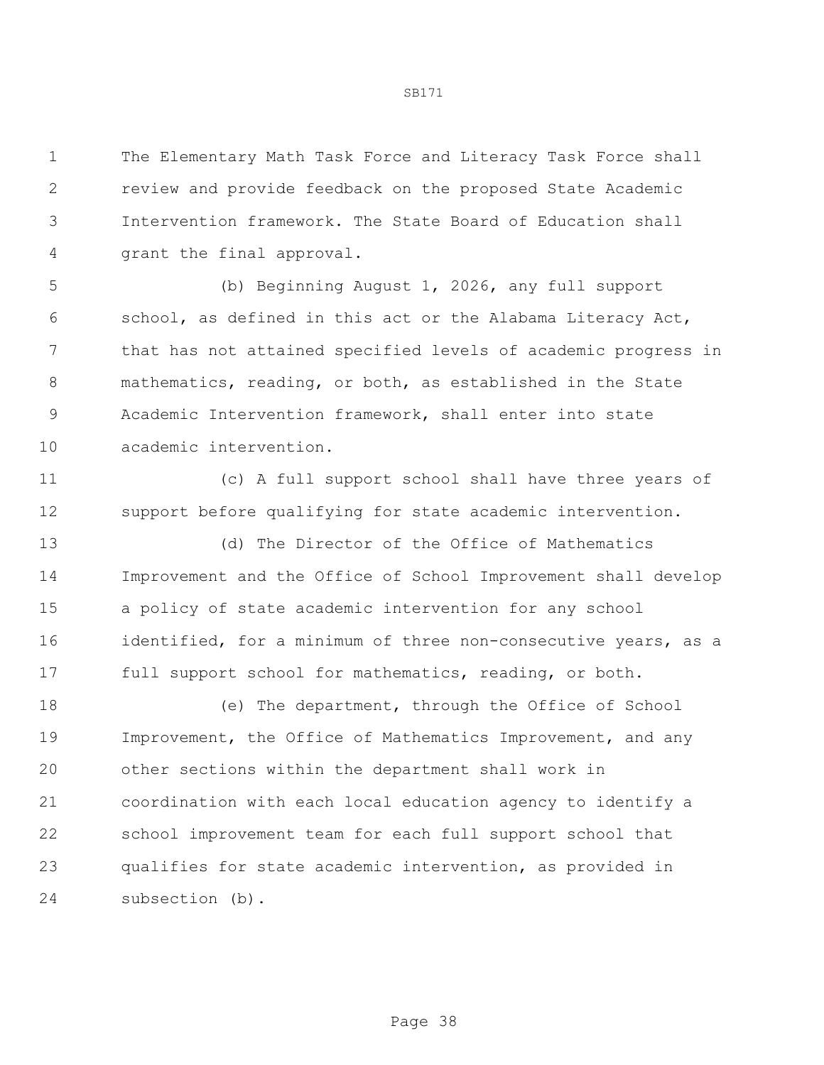The Elementary Math Task Force and Literacy Task Force shall review and provide feedback on the proposed State Academic Intervention framework. The State Board of Education shall grant the final approval.

 (b) Beginning August 1, 2026, any full support school, as defined in this act or the Alabama Literacy Act, that has not attained specified levels of academic progress in mathematics, reading, or both, as established in the State Academic Intervention framework, shall enter into state academic intervention.

 (c) A full support school shall have three years of support before qualifying for state academic intervention.

 (d) The Director of the Office of Mathematics Improvement and the Office of School Improvement shall develop a policy of state academic intervention for any school 16 identified, for a minimum of three non-consecutive years, as a full support school for mathematics, reading, or both.

 (e) The department, through the Office of School Improvement, the Office of Mathematics Improvement, and any other sections within the department shall work in coordination with each local education agency to identify a school improvement team for each full support school that qualifies for state academic intervention, as provided in subsection (b).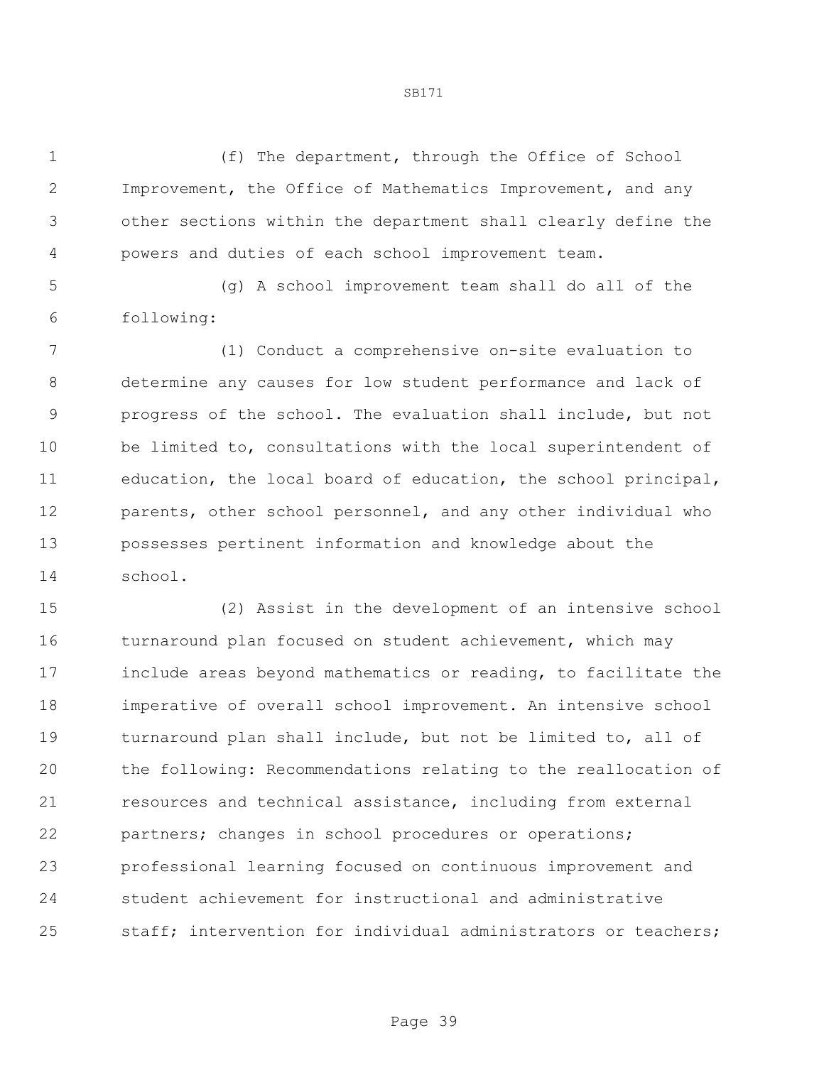(f) The department, through the Office of School Improvement, the Office of Mathematics Improvement, and any other sections within the department shall clearly define the powers and duties of each school improvement team.

 (g) A school improvement team shall do all of the following:

 (1) Conduct a comprehensive on-site evaluation to determine any causes for low student performance and lack of progress of the school. The evaluation shall include, but not be limited to, consultations with the local superintendent of education, the local board of education, the school principal, parents, other school personnel, and any other individual who possesses pertinent information and knowledge about the school.

 (2) Assist in the development of an intensive school 16 turnaround plan focused on student achievement, which may include areas beyond mathematics or reading, to facilitate the imperative of overall school improvement. An intensive school turnaround plan shall include, but not be limited to, all of the following: Recommendations relating to the reallocation of resources and technical assistance, including from external partners; changes in school procedures or operations; professional learning focused on continuous improvement and student achievement for instructional and administrative staff; intervention for individual administrators or teachers;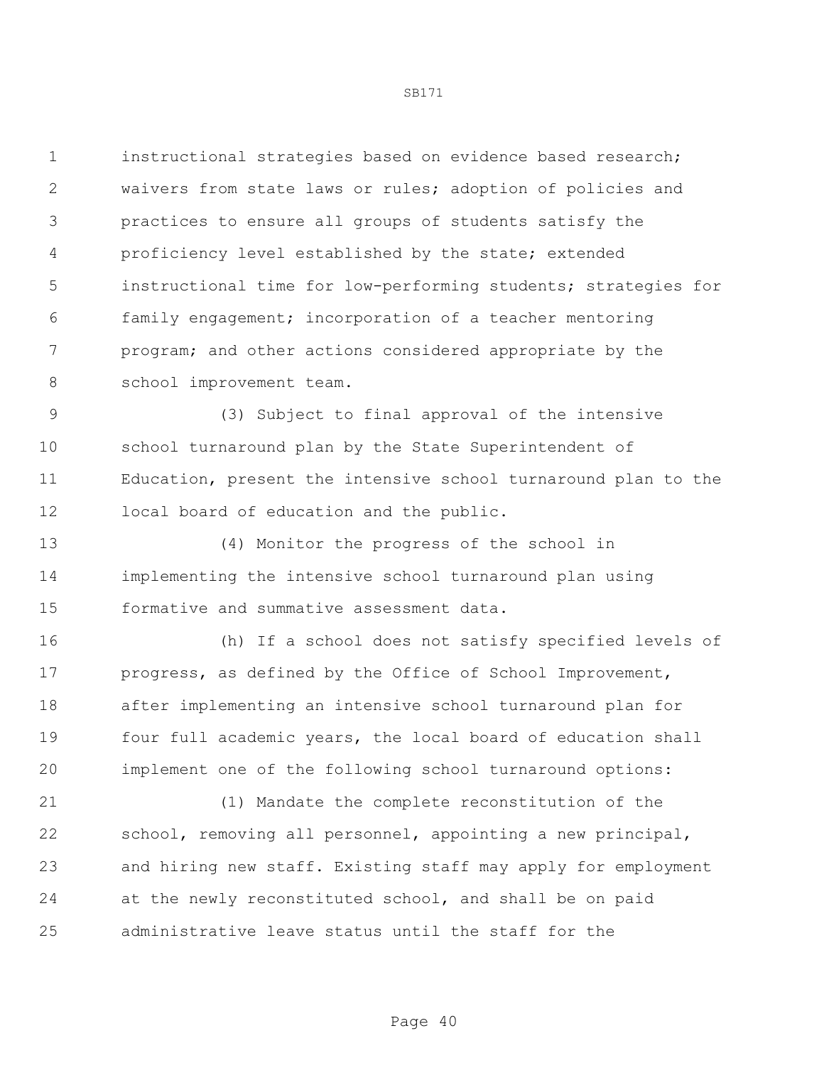instructional strategies based on evidence based research; waivers from state laws or rules; adoption of policies and practices to ensure all groups of students satisfy the proficiency level established by the state; extended instructional time for low-performing students; strategies for family engagement; incorporation of a teacher mentoring program; and other actions considered appropriate by the 8 school improvement team.

 (3) Subject to final approval of the intensive school turnaround plan by the State Superintendent of Education, present the intensive school turnaround plan to the local board of education and the public.

 (4) Monitor the progress of the school in implementing the intensive school turnaround plan using formative and summative assessment data.

 (h) If a school does not satisfy specified levels of progress, as defined by the Office of School Improvement, after implementing an intensive school turnaround plan for four full academic years, the local board of education shall implement one of the following school turnaround options:

 (1) Mandate the complete reconstitution of the school, removing all personnel, appointing a new principal, and hiring new staff. Existing staff may apply for employment at the newly reconstituted school, and shall be on paid administrative leave status until the staff for the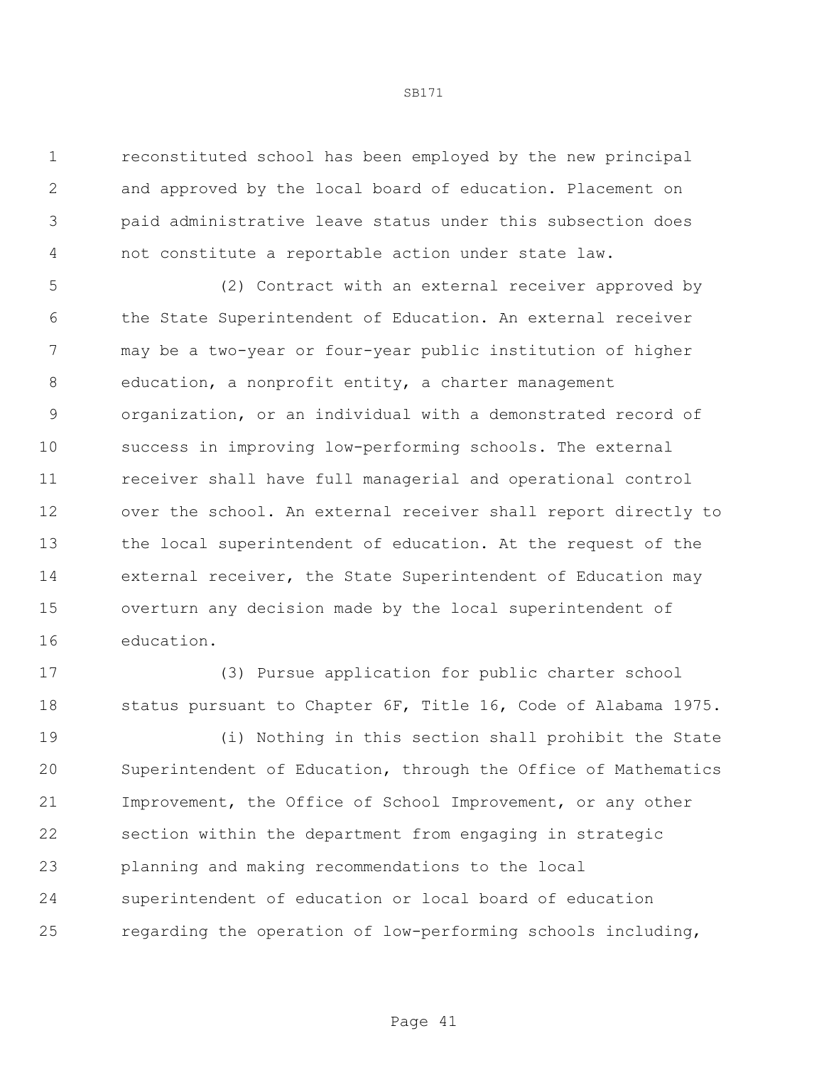reconstituted school has been employed by the new principal and approved by the local board of education. Placement on paid administrative leave status under this subsection does not constitute a reportable action under state law.

 (2) Contract with an external receiver approved by the State Superintendent of Education. An external receiver may be a two-year or four-year public institution of higher education, a nonprofit entity, a charter management organization, or an individual with a demonstrated record of success in improving low-performing schools. The external receiver shall have full managerial and operational control over the school. An external receiver shall report directly to the local superintendent of education. At the request of the external receiver, the State Superintendent of Education may overturn any decision made by the local superintendent of education.

 (3) Pursue application for public charter school status pursuant to Chapter 6F, Title 16, Code of Alabama 1975.

 (i) Nothing in this section shall prohibit the State Superintendent of Education, through the Office of Mathematics Improvement, the Office of School Improvement, or any other section within the department from engaging in strategic planning and making recommendations to the local superintendent of education or local board of education regarding the operation of low-performing schools including,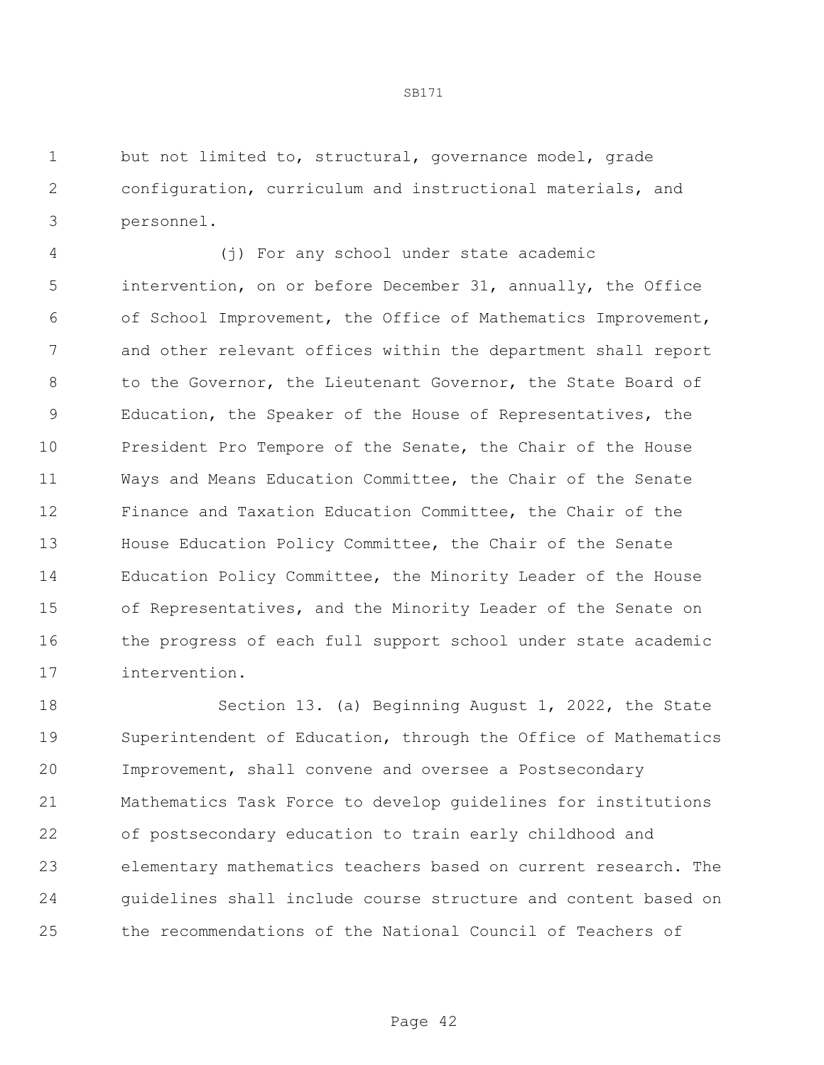but not limited to, structural, governance model, grade configuration, curriculum and instructional materials, and personnel.

 (j) For any school under state academic intervention, on or before December 31, annually, the Office of School Improvement, the Office of Mathematics Improvement, and other relevant offices within the department shall report 8 to the Governor, the Lieutenant Governor, the State Board of Education, the Speaker of the House of Representatives, the President Pro Tempore of the Senate, the Chair of the House Ways and Means Education Committee, the Chair of the Senate Finance and Taxation Education Committee, the Chair of the House Education Policy Committee, the Chair of the Senate Education Policy Committee, the Minority Leader of the House of Representatives, and the Minority Leader of the Senate on 16 the progress of each full support school under state academic intervention.

 Section 13. (a) Beginning August 1, 2022, the State Superintendent of Education, through the Office of Mathematics Improvement, shall convene and oversee a Postsecondary Mathematics Task Force to develop guidelines for institutions of postsecondary education to train early childhood and elementary mathematics teachers based on current research. The guidelines shall include course structure and content based on the recommendations of the National Council of Teachers of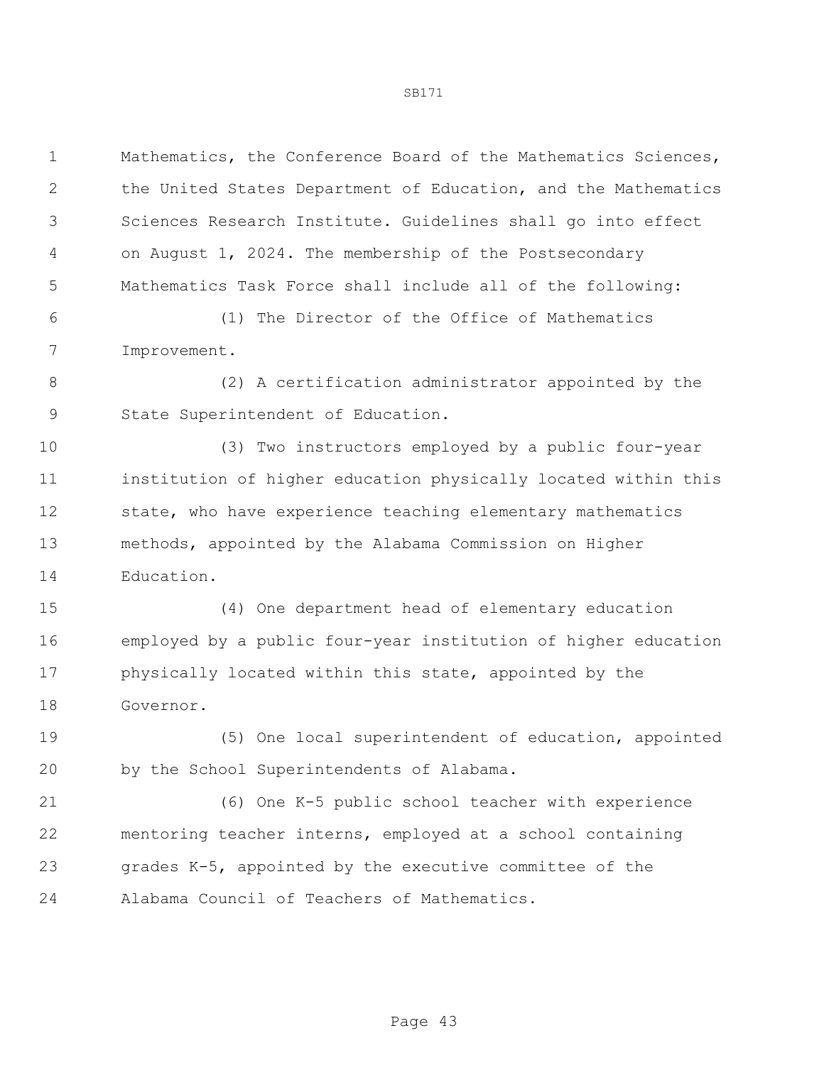Mathematics, the Conference Board of the Mathematics Sciences, the United States Department of Education, and the Mathematics Sciences Research Institute. Guidelines shall go into effect on August 1, 2024. The membership of the Postsecondary Mathematics Task Force shall include all of the following:

 (1) The Director of the Office of Mathematics Improvement.

 (2) A certification administrator appointed by the State Superintendent of Education.

 (3) Two instructors employed by a public four-year institution of higher education physically located within this state, who have experience teaching elementary mathematics methods, appointed by the Alabama Commission on Higher Education.

 (4) One department head of elementary education employed by a public four-year institution of higher education physically located within this state, appointed by the Governor.

 (5) One local superintendent of education, appointed by the School Superintendents of Alabama.

 (6) One K-5 public school teacher with experience mentoring teacher interns, employed at a school containing grades K-5, appointed by the executive committee of the Alabama Council of Teachers of Mathematics.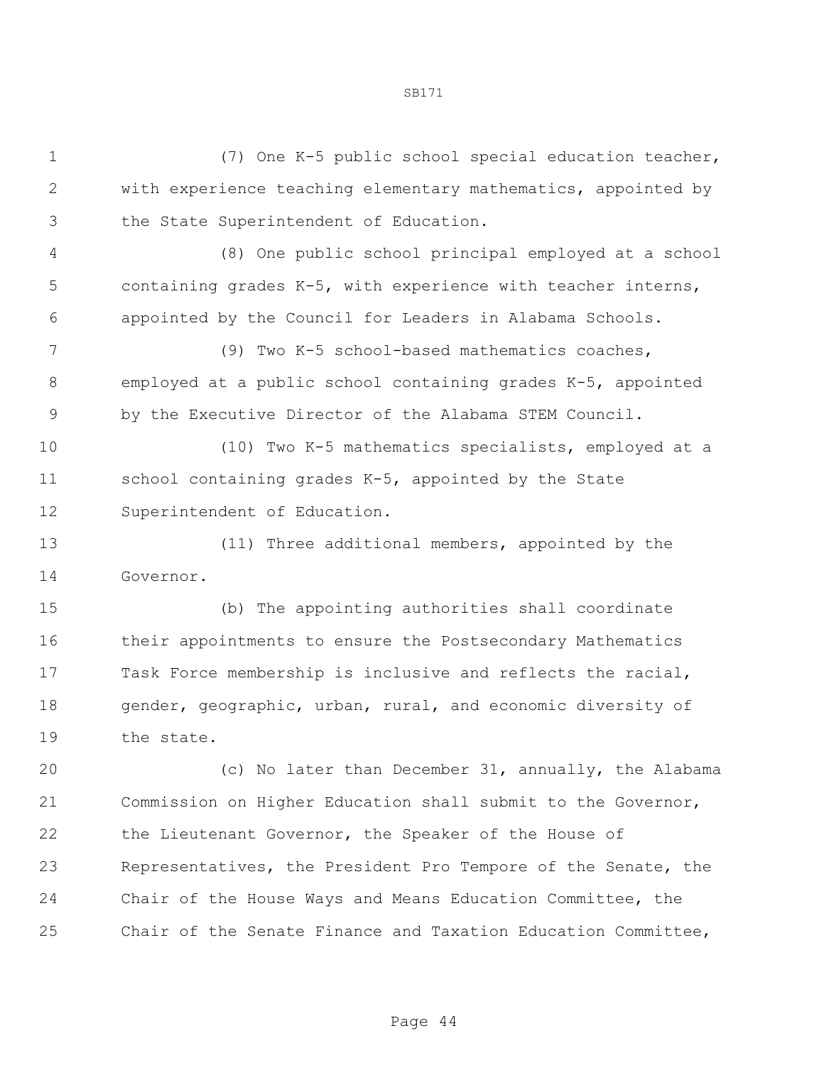| $\mathbf 1$  | (7) One K-5 public school special education teacher,          |
|--------------|---------------------------------------------------------------|
| $\mathbf{2}$ | with experience teaching elementary mathematics, appointed by |
| 3            | the State Superintendent of Education.                        |
| 4            | (8) One public school principal employed at a school          |
| 5            | containing grades K-5, with experience with teacher interns,  |
| 6            | appointed by the Council for Leaders in Alabama Schools.      |
| 7            | (9) Two K-5 school-based mathematics coaches,                 |
| 8            | employed at a public school containing grades K-5, appointed  |
| $\mathsf 9$  | by the Executive Director of the Alabama STEM Council.        |
| 10           | (10) Two K-5 mathematics specialists, employed at a           |
| 11           | school containing grades K-5, appointed by the State          |
| 12           | Superintendent of Education.                                  |
| 13           | (11) Three additional members, appointed by the               |
| 14           | Governor.                                                     |
| 15           | (b) The appointing authorities shall coordinate               |
| 16           | their appointments to ensure the Postsecondary Mathematics    |
| 17           | Task Force membership is inclusive and reflects the racial,   |
| 18           | gender, geographic, urban, rural, and economic diversity of   |
| 19           | the state.                                                    |
| 20           | (c) No later than December 31, annually, the Alabama          |
| 21           | Commission on Higher Education shall submit to the Governor,  |
| 22           | the Lieutenant Governor, the Speaker of the House of          |
| 23           | Representatives, the President Pro Tempore of the Senate, the |
| 24           | Chair of the House Ways and Means Education Committee, the    |
| 25           | Chair of the Senate Finance and Taxation Education Committee, |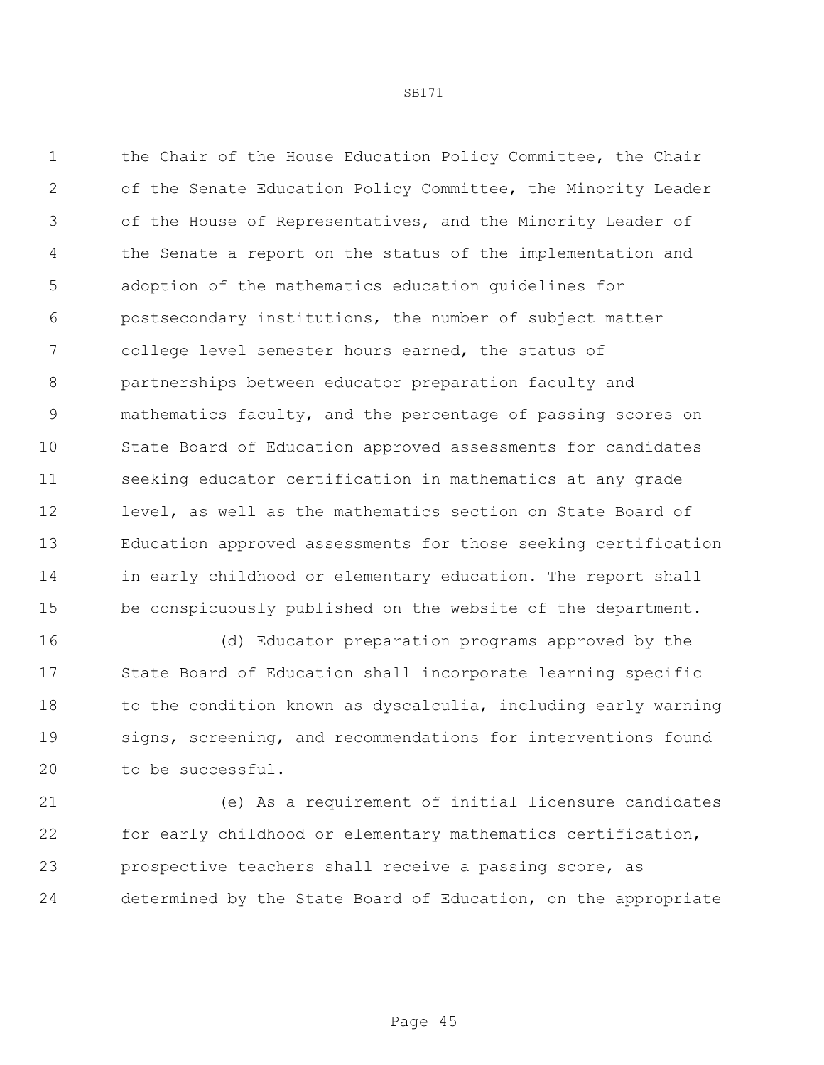1 the Chair of the House Education Policy Committee, the Chair of the Senate Education Policy Committee, the Minority Leader of the House of Representatives, and the Minority Leader of the Senate a report on the status of the implementation and adoption of the mathematics education guidelines for postsecondary institutions, the number of subject matter college level semester hours earned, the status of partnerships between educator preparation faculty and mathematics faculty, and the percentage of passing scores on State Board of Education approved assessments for candidates seeking educator certification in mathematics at any grade level, as well as the mathematics section on State Board of Education approved assessments for those seeking certification in early childhood or elementary education. The report shall be conspicuously published on the website of the department.

 (d) Educator preparation programs approved by the State Board of Education shall incorporate learning specific 18 to the condition known as dyscalculia, including early warning signs, screening, and recommendations for interventions found to be successful.

 (e) As a requirement of initial licensure candidates for early childhood or elementary mathematics certification, prospective teachers shall receive a passing score, as determined by the State Board of Education, on the appropriate

Page 45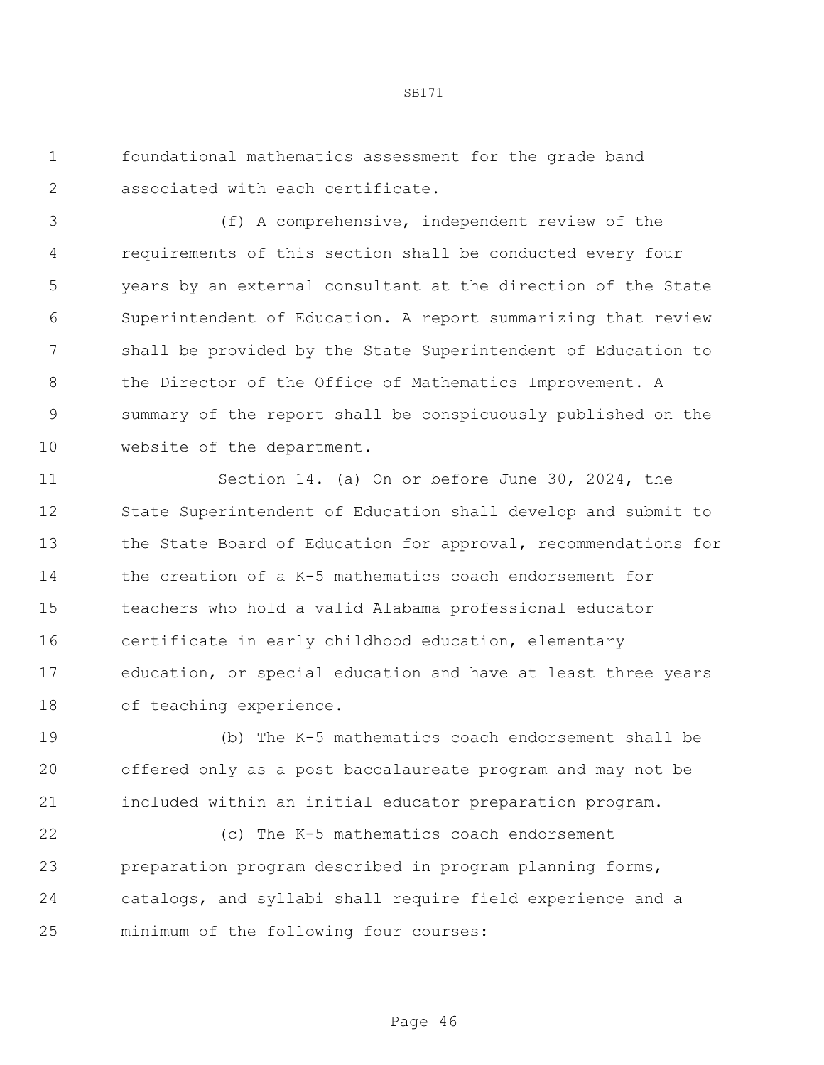foundational mathematics assessment for the grade band associated with each certificate.

 (f) A comprehensive, independent review of the requirements of this section shall be conducted every four years by an external consultant at the direction of the State Superintendent of Education. A report summarizing that review shall be provided by the State Superintendent of Education to the Director of the Office of Mathematics Improvement. A summary of the report shall be conspicuously published on the website of the department.

 Section 14. (a) On or before June 30, 2024, the State Superintendent of Education shall develop and submit to the State Board of Education for approval, recommendations for the creation of a K-5 mathematics coach endorsement for teachers who hold a valid Alabama professional educator certificate in early childhood education, elementary education, or special education and have at least three years of teaching experience.

 (b) The K-5 mathematics coach endorsement shall be offered only as a post baccalaureate program and may not be included within an initial educator preparation program.

 (c) The K-5 mathematics coach endorsement preparation program described in program planning forms, catalogs, and syllabi shall require field experience and a minimum of the following four courses: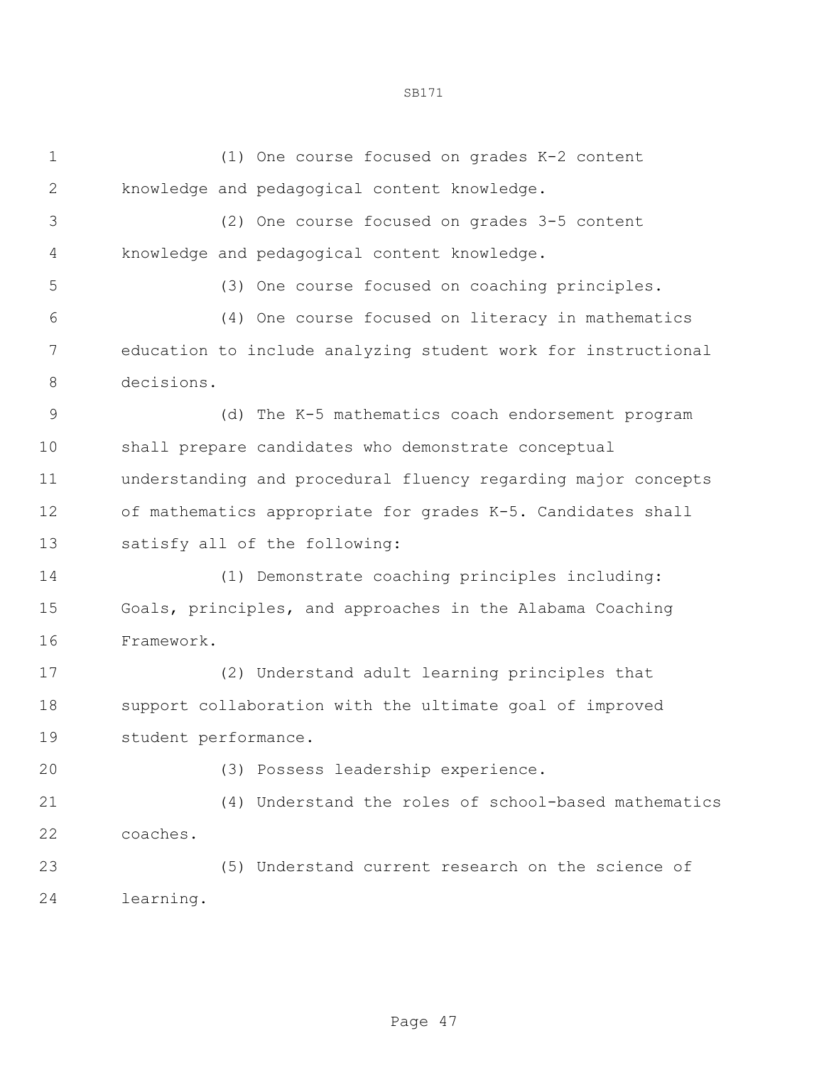(1) One course focused on grades K-2 content knowledge and pedagogical content knowledge. (2) One course focused on grades 3-5 content knowledge and pedagogical content knowledge. (3) One course focused on coaching principles. (4) One course focused on literacy in mathematics education to include analyzing student work for instructional decisions. (d) The K-5 mathematics coach endorsement program shall prepare candidates who demonstrate conceptual understanding and procedural fluency regarding major concepts of mathematics appropriate for grades K-5. Candidates shall satisfy all of the following: (1) Demonstrate coaching principles including: Goals, principles, and approaches in the Alabama Coaching Framework. (2) Understand adult learning principles that support collaboration with the ultimate goal of improved student performance. (3) Possess leadership experience. (4) Understand the roles of school-based mathematics coaches.

 (5) Understand current research on the science of learning.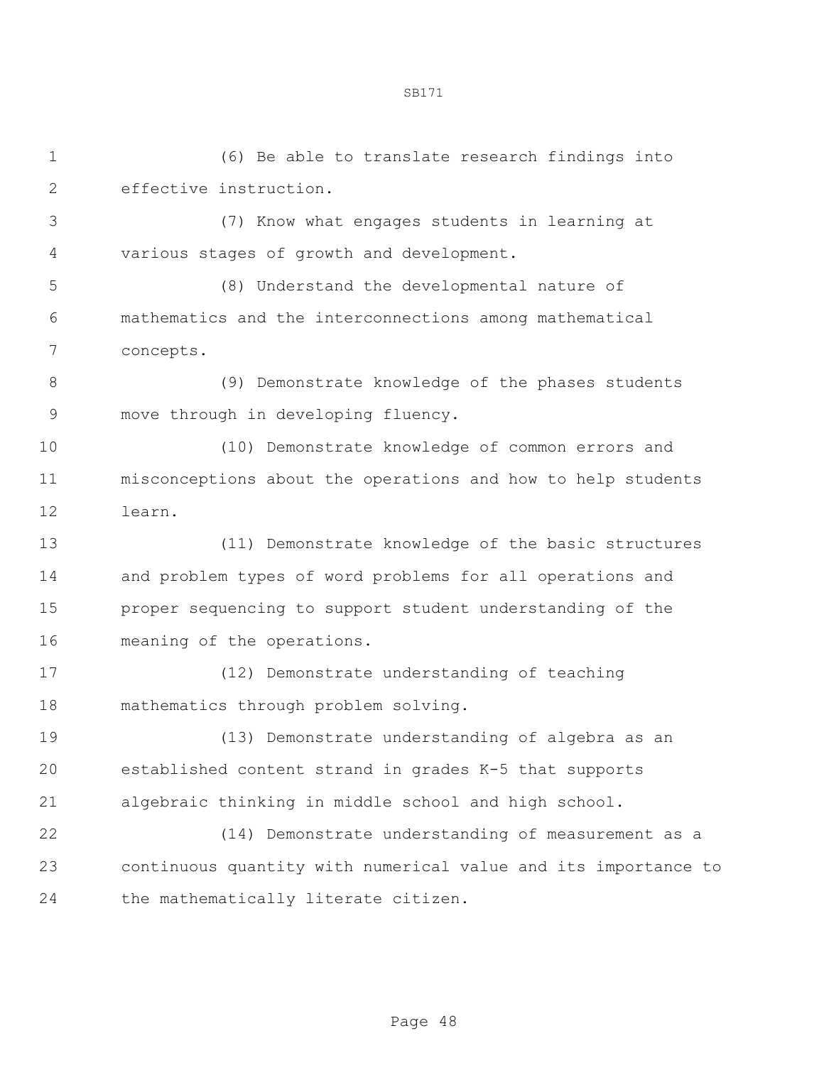(6) Be able to translate research findings into effective instruction.

 (7) Know what engages students in learning at various stages of growth and development.

 (8) Understand the developmental nature of mathematics and the interconnections among mathematical concepts.

 (9) Demonstrate knowledge of the phases students move through in developing fluency.

 (10) Demonstrate knowledge of common errors and misconceptions about the operations and how to help students learn.

 (11) Demonstrate knowledge of the basic structures and problem types of word problems for all operations and proper sequencing to support student understanding of the meaning of the operations.

 (12) Demonstrate understanding of teaching mathematics through problem solving.

 (13) Demonstrate understanding of algebra as an established content strand in grades K-5 that supports algebraic thinking in middle school and high school.

 (14) Demonstrate understanding of measurement as a continuous quantity with numerical value and its importance to 24 the mathematically literate citizen.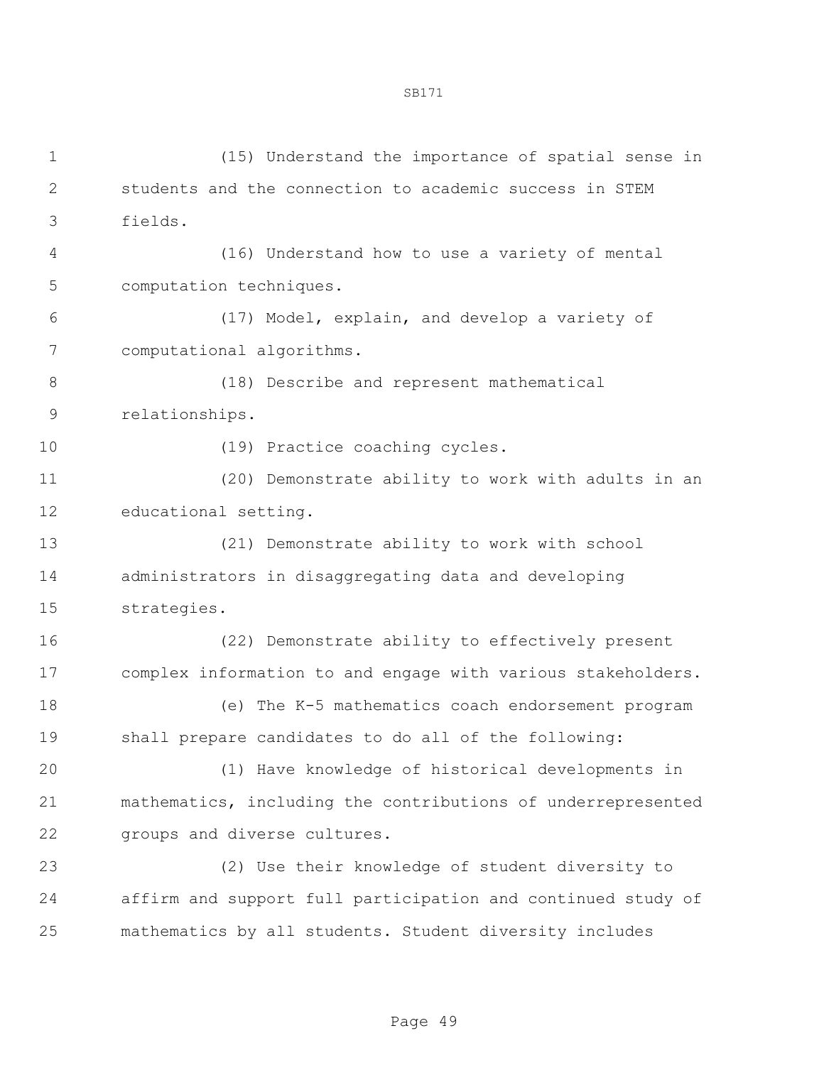(15) Understand the importance of spatial sense in students and the connection to academic success in STEM fields. (16) Understand how to use a variety of mental computation techniques. (17) Model, explain, and develop a variety of computational algorithms. (18) Describe and represent mathematical relationships. (19) Practice coaching cycles. (20) Demonstrate ability to work with adults in an educational setting. (21) Demonstrate ability to work with school administrators in disaggregating data and developing strategies. (22) Demonstrate ability to effectively present complex information to and engage with various stakeholders. (e) The K-5 mathematics coach endorsement program shall prepare candidates to do all of the following: (1) Have knowledge of historical developments in mathematics, including the contributions of underrepresented groups and diverse cultures. (2) Use their knowledge of student diversity to affirm and support full participation and continued study of mathematics by all students. Student diversity includes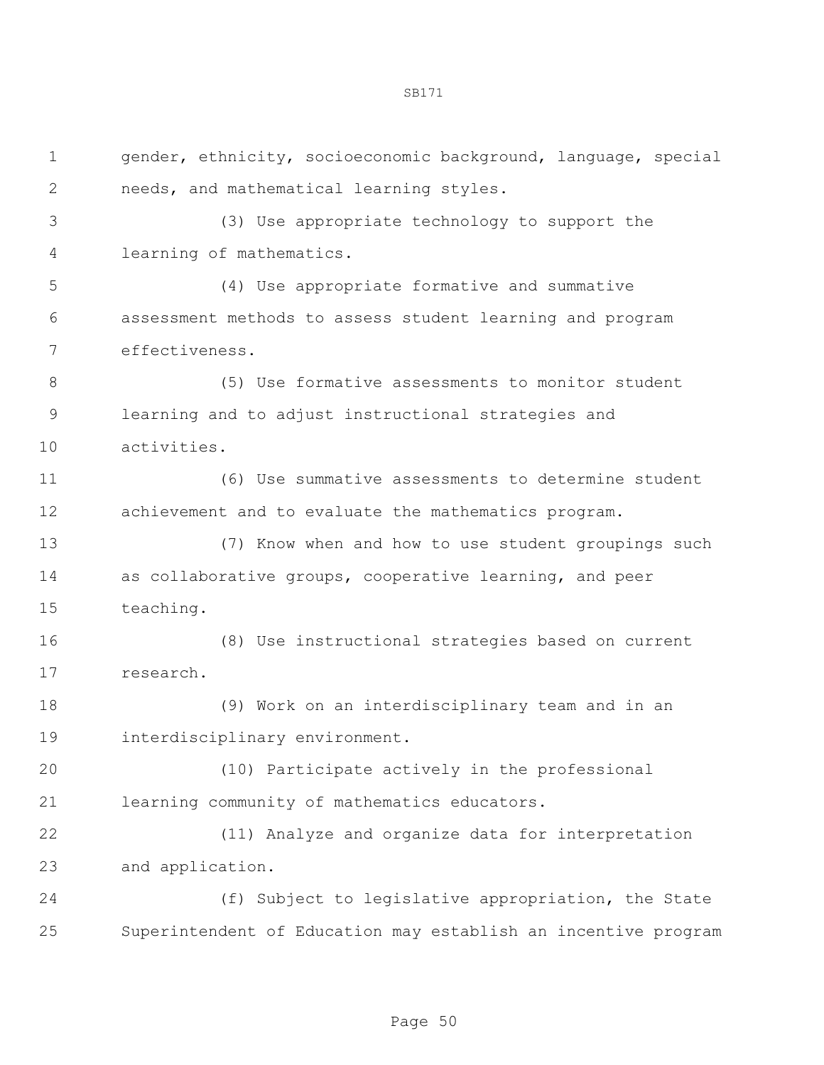gender, ethnicity, socioeconomic background, language, special needs, and mathematical learning styles. (3) Use appropriate technology to support the learning of mathematics. (4) Use appropriate formative and summative assessment methods to assess student learning and program effectiveness. (5) Use formative assessments to monitor student learning and to adjust instructional strategies and activities. (6) Use summative assessments to determine student achievement and to evaluate the mathematics program. (7) Know when and how to use student groupings such as collaborative groups, cooperative learning, and peer teaching. (8) Use instructional strategies based on current research. (9) Work on an interdisciplinary team and in an interdisciplinary environment. (10) Participate actively in the professional learning community of mathematics educators. (11) Analyze and organize data for interpretation and application. (f) Subject to legislative appropriation, the State Superintendent of Education may establish an incentive program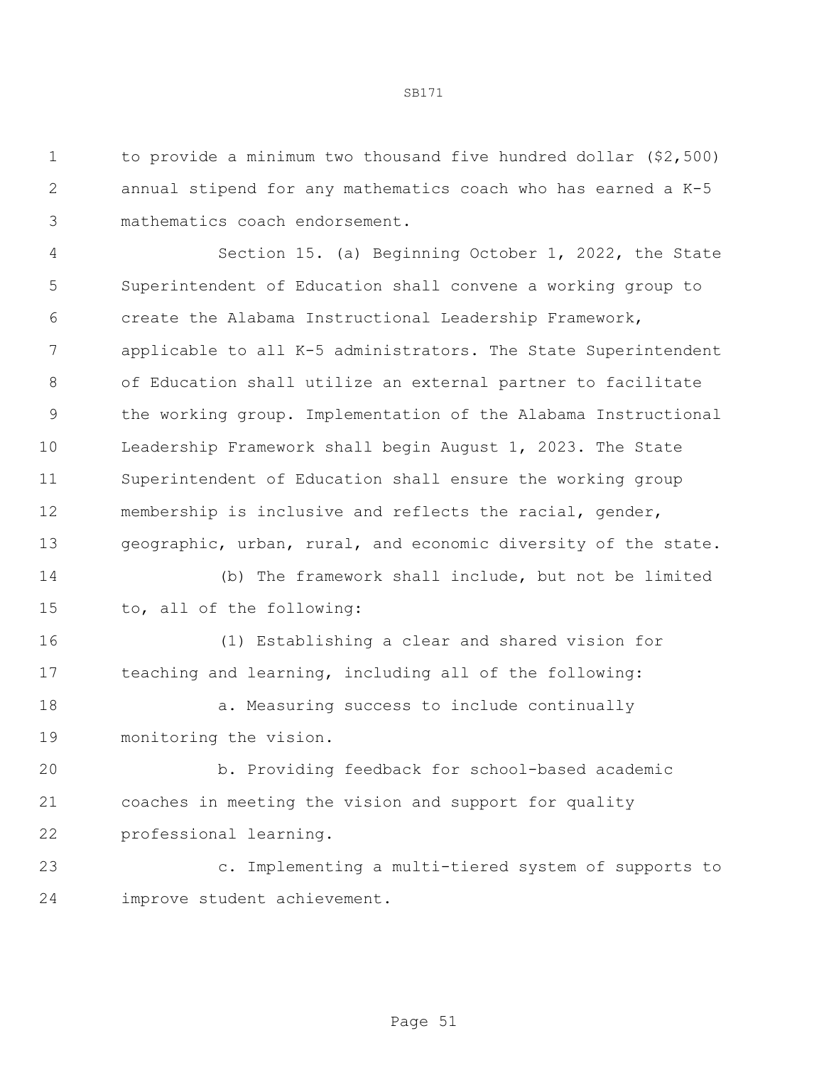to provide a minimum two thousand five hundred dollar (\$2,500) annual stipend for any mathematics coach who has earned a K-5 mathematics coach endorsement.

 Section 15. (a) Beginning October 1, 2022, the State Superintendent of Education shall convene a working group to create the Alabama Instructional Leadership Framework, applicable to all K-5 administrators. The State Superintendent of Education shall utilize an external partner to facilitate the working group. Implementation of the Alabama Instructional Leadership Framework shall begin August 1, 2023. The State Superintendent of Education shall ensure the working group membership is inclusive and reflects the racial, gender, geographic, urban, rural, and economic diversity of the state.

 (b) The framework shall include, but not be limited to, all of the following:

 (1) Establishing a clear and shared vision for teaching and learning, including all of the following:

18 a. Measuring success to include continually monitoring the vision.

 b. Providing feedback for school-based academic coaches in meeting the vision and support for quality professional learning.

 c. Implementing a multi-tiered system of supports to improve student achievement.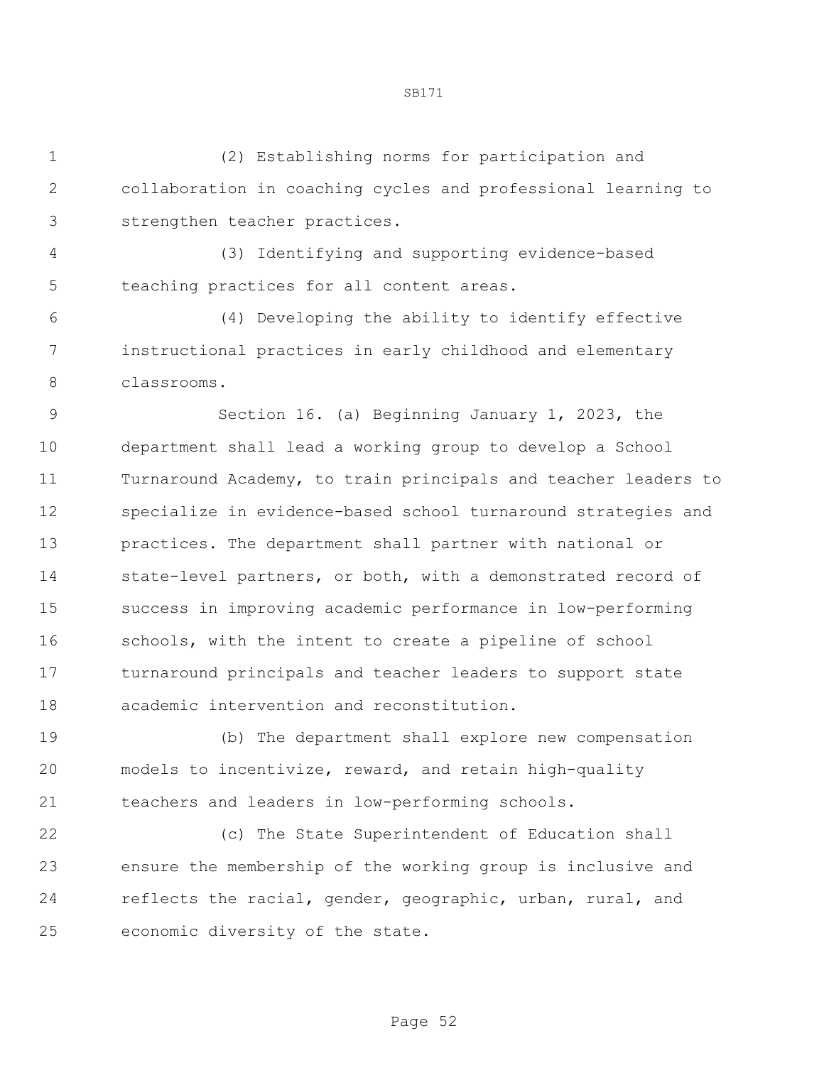(2) Establishing norms for participation and collaboration in coaching cycles and professional learning to strengthen teacher practices.

 (3) Identifying and supporting evidence-based teaching practices for all content areas.

 (4) Developing the ability to identify effective instructional practices in early childhood and elementary classrooms.

 Section 16. (a) Beginning January 1, 2023, the department shall lead a working group to develop a School Turnaround Academy, to train principals and teacher leaders to specialize in evidence-based school turnaround strategies and practices. The department shall partner with national or state-level partners, or both, with a demonstrated record of success in improving academic performance in low-performing schools, with the intent to create a pipeline of school turnaround principals and teacher leaders to support state academic intervention and reconstitution.

 (b) The department shall explore new compensation models to incentivize, reward, and retain high-quality teachers and leaders in low-performing schools.

 (c) The State Superintendent of Education shall ensure the membership of the working group is inclusive and 24 reflects the racial, gender, geographic, urban, rural, and economic diversity of the state.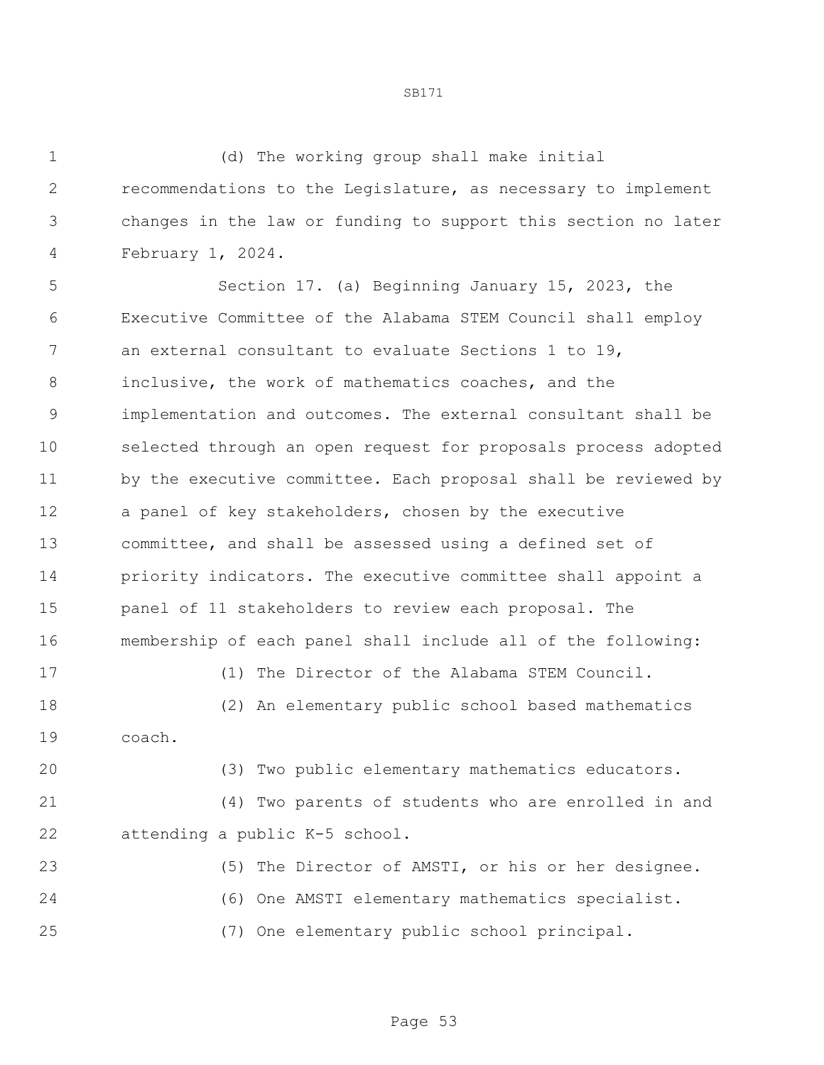(d) The working group shall make initial recommendations to the Legislature, as necessary to implement changes in the law or funding to support this section no later February 1, 2024.

 Section 17. (a) Beginning January 15, 2023, the Executive Committee of the Alabama STEM Council shall employ an external consultant to evaluate Sections 1 to 19, inclusive, the work of mathematics coaches, and the implementation and outcomes. The external consultant shall be selected through an open request for proposals process adopted by the executive committee. Each proposal shall be reviewed by a panel of key stakeholders, chosen by the executive committee, and shall be assessed using a defined set of priority indicators. The executive committee shall appoint a panel of 11 stakeholders to review each proposal. The membership of each panel shall include all of the following:

(1) The Director of the Alabama STEM Council.

 (2) An elementary public school based mathematics coach.

 (3) Two public elementary mathematics educators. (4) Two parents of students who are enrolled in and

attending a public K-5 school.

 (5) The Director of AMSTI, or his or her designee. (6) One AMSTI elementary mathematics specialist. (7) One elementary public school principal.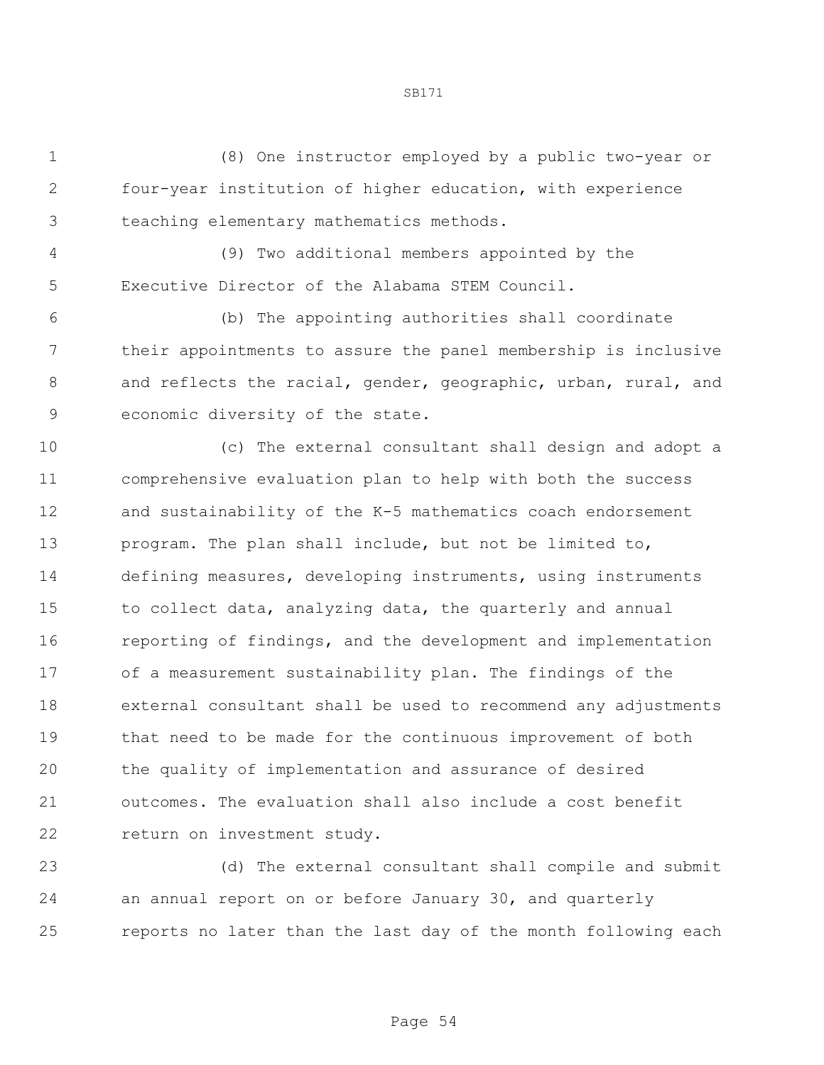(8) One instructor employed by a public two-year or four-year institution of higher education, with experience teaching elementary mathematics methods.

 (9) Two additional members appointed by the Executive Director of the Alabama STEM Council.

 (b) The appointing authorities shall coordinate their appointments to assure the panel membership is inclusive 8 and reflects the racial, gender, geographic, urban, rural, and economic diversity of the state.

 (c) The external consultant shall design and adopt a comprehensive evaluation plan to help with both the success and sustainability of the K-5 mathematics coach endorsement program. The plan shall include, but not be limited to, defining measures, developing instruments, using instruments to collect data, analyzing data, the quarterly and annual reporting of findings, and the development and implementation of a measurement sustainability plan. The findings of the external consultant shall be used to recommend any adjustments that need to be made for the continuous improvement of both the quality of implementation and assurance of desired outcomes. The evaluation shall also include a cost benefit return on investment study.

 (d) The external consultant shall compile and submit an annual report on or before January 30, and quarterly reports no later than the last day of the month following each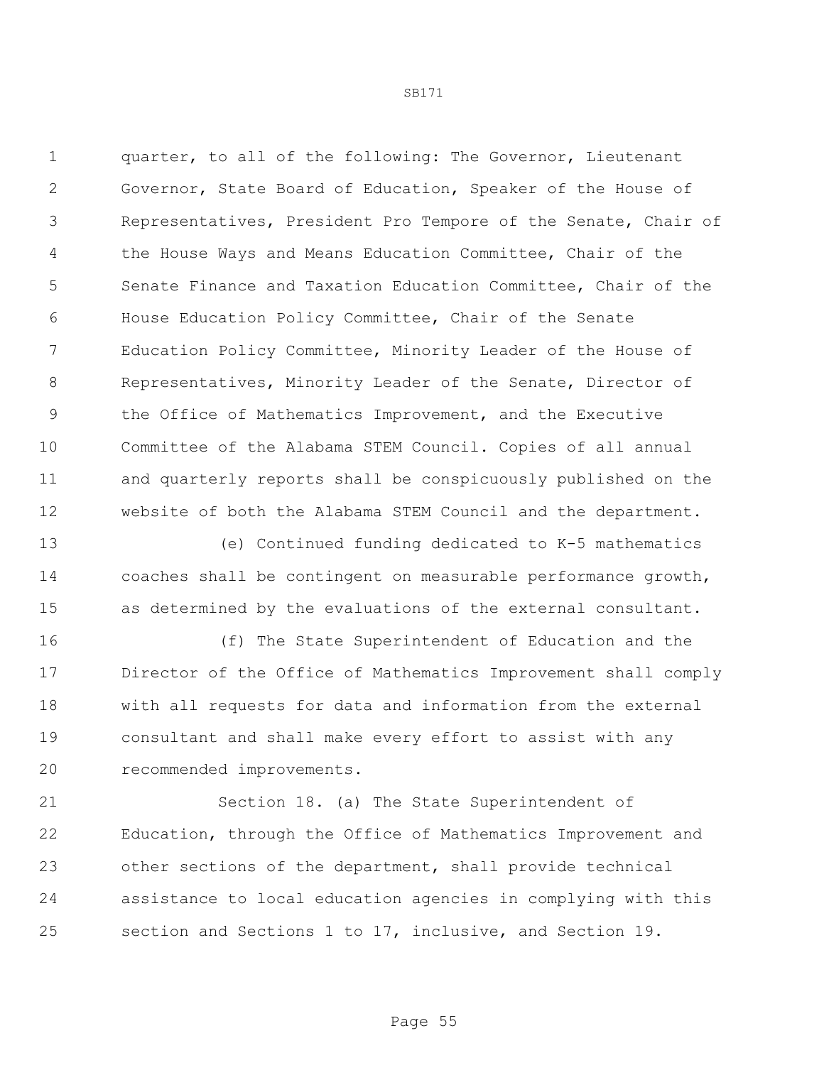quarter, to all of the following: The Governor, Lieutenant Governor, State Board of Education, Speaker of the House of Representatives, President Pro Tempore of the Senate, Chair of the House Ways and Means Education Committee, Chair of the Senate Finance and Taxation Education Committee, Chair of the House Education Policy Committee, Chair of the Senate Education Policy Committee, Minority Leader of the House of Representatives, Minority Leader of the Senate, Director of the Office of Mathematics Improvement, and the Executive Committee of the Alabama STEM Council. Copies of all annual and quarterly reports shall be conspicuously published on the website of both the Alabama STEM Council and the department.

 (e) Continued funding dedicated to K-5 mathematics coaches shall be contingent on measurable performance growth, as determined by the evaluations of the external consultant.

 (f) The State Superintendent of Education and the Director of the Office of Mathematics Improvement shall comply with all requests for data and information from the external consultant and shall make every effort to assist with any recommended improvements.

 Section 18. (a) The State Superintendent of Education, through the Office of Mathematics Improvement and other sections of the department, shall provide technical assistance to local education agencies in complying with this section and Sections 1 to 17, inclusive, and Section 19.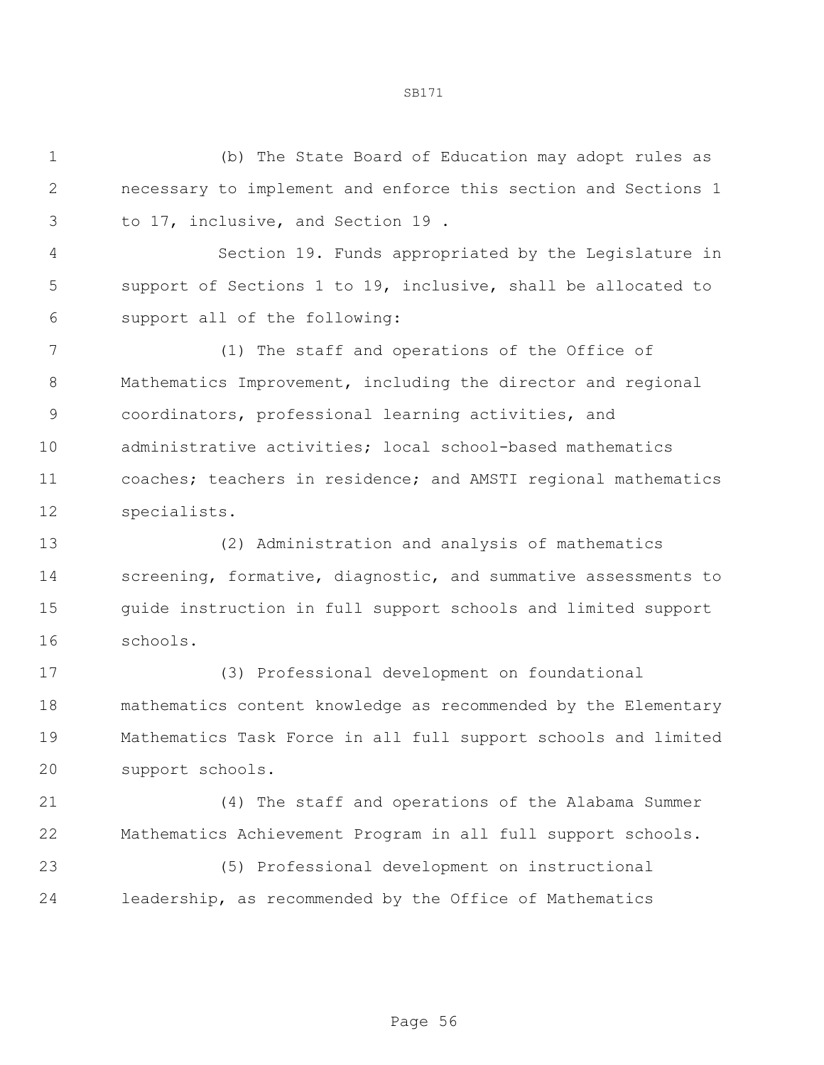(b) The State Board of Education may adopt rules as necessary to implement and enforce this section and Sections 1 to 17, inclusive, and Section 19 .

 Section 19. Funds appropriated by the Legislature in support of Sections 1 to 19, inclusive, shall be allocated to support all of the following:

 (1) The staff and operations of the Office of Mathematics Improvement, including the director and regional coordinators, professional learning activities, and administrative activities; local school-based mathematics coaches; teachers in residence; and AMSTI regional mathematics specialists.

 (2) Administration and analysis of mathematics screening, formative, diagnostic, and summative assessments to guide instruction in full support schools and limited support schools.

 (3) Professional development on foundational mathematics content knowledge as recommended by the Elementary Mathematics Task Force in all full support schools and limited support schools.

 (4) The staff and operations of the Alabama Summer Mathematics Achievement Program in all full support schools.

 (5) Professional development on instructional leadership, as recommended by the Office of Mathematics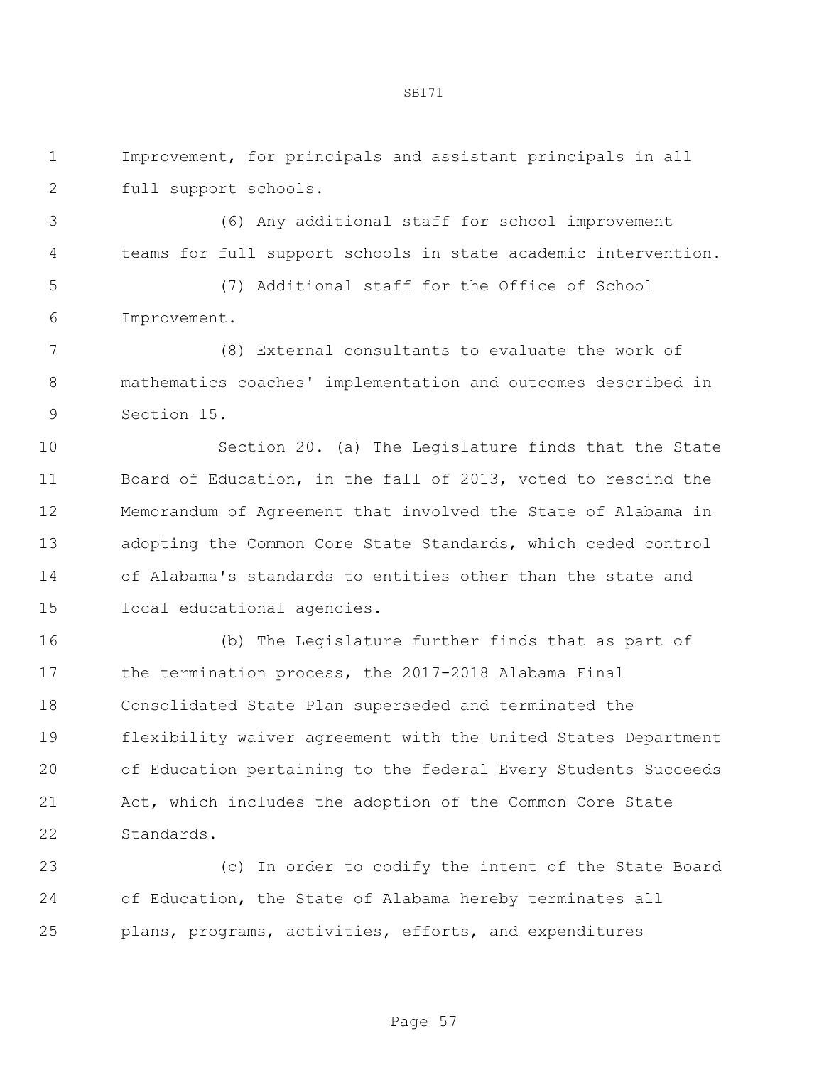Improvement, for principals and assistant principals in all full support schools.

 (6) Any additional staff for school improvement teams for full support schools in state academic intervention.

 (7) Additional staff for the Office of School Improvement.

 (8) External consultants to evaluate the work of mathematics coaches' implementation and outcomes described in Section 15.

 Section 20. (a) The Legislature finds that the State Board of Education, in the fall of 2013, voted to rescind the Memorandum of Agreement that involved the State of Alabama in adopting the Common Core State Standards, which ceded control of Alabama's standards to entities other than the state and local educational agencies.

 (b) The Legislature further finds that as part of the termination process, the 2017-2018 Alabama Final Consolidated State Plan superseded and terminated the flexibility waiver agreement with the United States Department of Education pertaining to the federal Every Students Succeeds Act, which includes the adoption of the Common Core State Standards.

 (c) In order to codify the intent of the State Board of Education, the State of Alabama hereby terminates all plans, programs, activities, efforts, and expenditures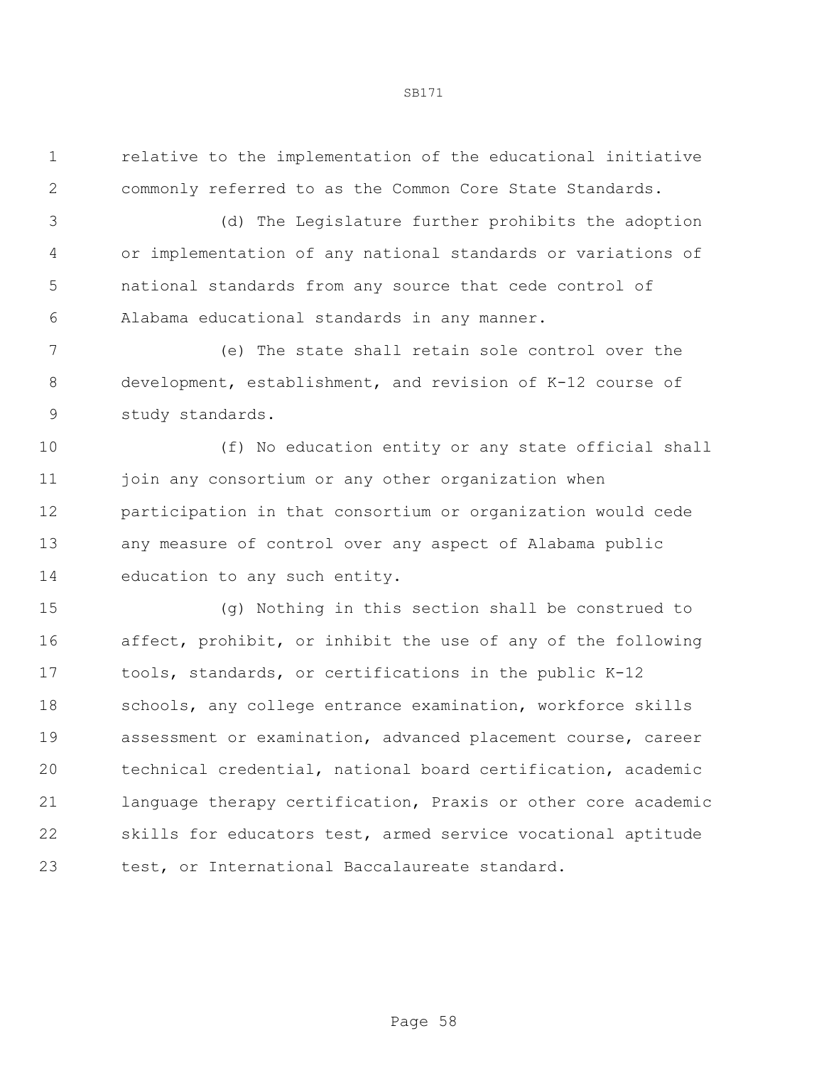relative to the implementation of the educational initiative commonly referred to as the Common Core State Standards.

 (d) The Legislature further prohibits the adoption or implementation of any national standards or variations of national standards from any source that cede control of Alabama educational standards in any manner.

 (e) The state shall retain sole control over the development, establishment, and revision of K-12 course of study standards.

 (f) No education entity or any state official shall 11 join any consortium or any other organization when participation in that consortium or organization would cede any measure of control over any aspect of Alabama public education to any such entity.

 (g) Nothing in this section shall be construed to affect, prohibit, or inhibit the use of any of the following tools, standards, or certifications in the public K-12 18 schools, any college entrance examination, workforce skills assessment or examination, advanced placement course, career technical credential, national board certification, academic language therapy certification, Praxis or other core academic skills for educators test, armed service vocational aptitude test, or International Baccalaureate standard.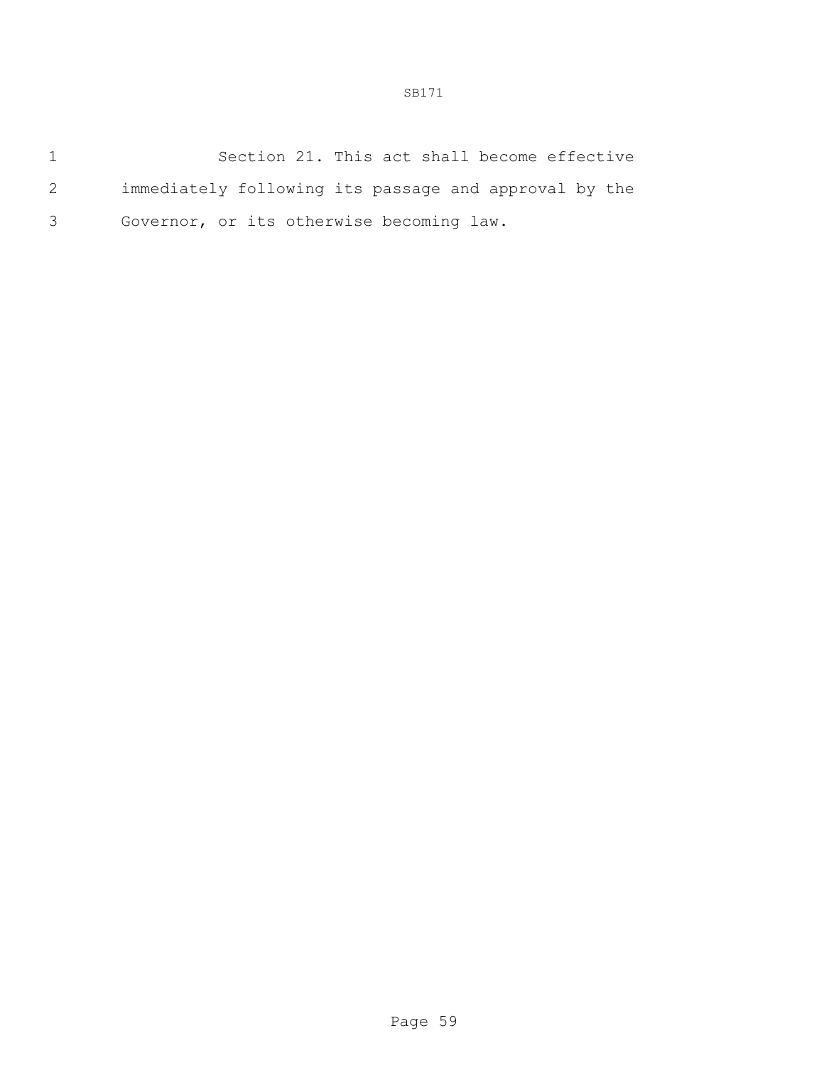|     | Section 21. This act shall become effective           |
|-----|-------------------------------------------------------|
| 2   | immediately following its passage and approval by the |
| 3 — | Governor, or its otherwise becoming law.              |